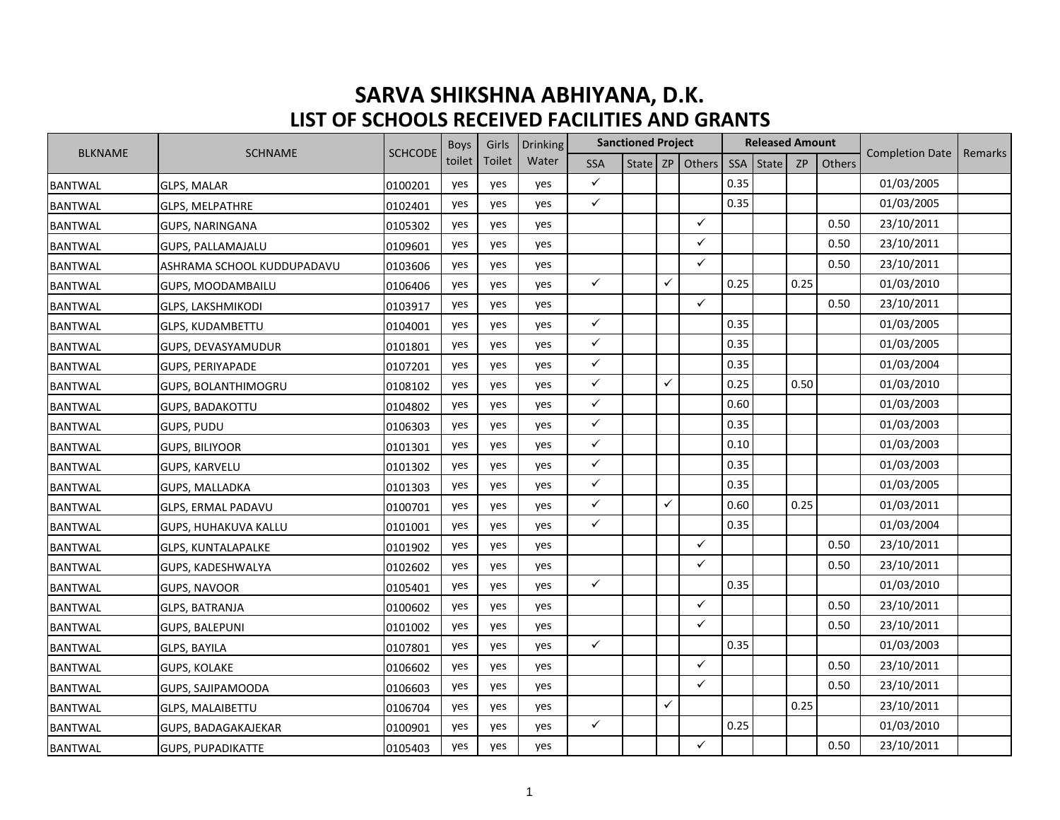## **SARVA SHIKSHNA ABHIYANA, D.K. LIST OF SCHOOLS RECEIVED FACILITIES AND GRANTS**

| <b>BLKNAME</b><br><b>SCHNAME</b> | <b>SCHCODE</b>             | <b>Boys</b> | Girls  | <b>Drinking</b> |       | <b>Sanctioned Project</b> |  |              |                     | <b>Released Amount</b> |       |      | <b>Completion Date</b> | Remarks    |  |
|----------------------------------|----------------------------|-------------|--------|-----------------|-------|---------------------------|--|--------------|---------------------|------------------------|-------|------|------------------------|------------|--|
|                                  |                            |             | toilet | Toilet          | Water | <b>SSA</b>                |  |              | State   ZP   Others | SSA                    | State | ZP   | Others                 |            |  |
| <b>BANTWAL</b>                   | <b>GLPS, MALAR</b>         | 0100201     | yes    | yes             | yes   | $\checkmark$              |  |              |                     | 0.35                   |       |      |                        | 01/03/2005 |  |
| <b>BANTWAL</b>                   | <b>GLPS, MELPATHRE</b>     | 0102401     | yes    | yes             | yes   | $\checkmark$              |  |              |                     | 0.35                   |       |      |                        | 01/03/2005 |  |
| <b>BANTWAL</b>                   | GUPS, NARINGANA            | 0105302     | yes    | yes             | yes   |                           |  |              | $\checkmark$        |                        |       |      | 0.50                   | 23/10/2011 |  |
| <b>BANTWAL</b>                   | GUPS, PALLAMAJALU          | 0109601     | yes    | yes             | yes   |                           |  |              | $\checkmark$        |                        |       |      | 0.50                   | 23/10/2011 |  |
| <b>BANTWAL</b>                   | ASHRAMA SCHOOL KUDDUPADAVU | 0103606     | yes    | yes             | yes   |                           |  |              | $\checkmark$        |                        |       |      | 0.50                   | 23/10/2011 |  |
| <b>BANTWAL</b>                   | GUPS, MOODAMBAILU          | 0106406     | yes    | yes             | ves   | $\checkmark$              |  | $\checkmark$ |                     | 0.25                   |       | 0.25 |                        | 01/03/2010 |  |
| <b>BANTWAL</b>                   | <b>GLPS, LAKSHMIKODI</b>   | 0103917     | yes    | yes             | yes   |                           |  |              | $\checkmark$        |                        |       |      | 0.50                   | 23/10/2011 |  |
| <b>BANTWAL</b>                   | <b>GLPS, KUDAMBETTU</b>    | 0104001     | yes    | yes             | yes   | $\checkmark$              |  |              |                     | 0.35                   |       |      |                        | 01/03/2005 |  |
| <b>BANTWAL</b>                   | GUPS, DEVASYAMUDUR         | 0101801     | yes    | yes             | yes   | ✓                         |  |              |                     | 0.35                   |       |      |                        | 01/03/2005 |  |
| <b>BANTWAL</b>                   | <b>GUPS, PERIYAPADE</b>    | 0107201     | yes    | yes             | yes   | ✓                         |  |              |                     | 0.35                   |       |      |                        | 01/03/2004 |  |
| <b>BANTWAL</b>                   | <b>GUPS, BOLANTHIMOGRU</b> | 0108102     | yes    | yes             | yes   | $\checkmark$              |  | $\checkmark$ |                     | 0.25                   |       | 0.50 |                        | 01/03/2010 |  |
| <b>BANTWAL</b>                   | <b>GUPS, BADAKOTTU</b>     | 0104802     | yes    | yes             | yes   | ✓                         |  |              |                     | 0.60                   |       |      |                        | 01/03/2003 |  |
| <b>BANTWAL</b>                   | GUPS, PUDU                 | 0106303     | yes    | yes             | ves   | ✓                         |  |              |                     | 0.35                   |       |      |                        | 01/03/2003 |  |
| <b>BANTWAL</b>                   | <b>GUPS, BILIYOOR</b>      | 0101301     | yes    | yes             | yes   | $\checkmark$              |  |              |                     | 0.10                   |       |      |                        | 01/03/2003 |  |
| <b>BANTWAL</b>                   | <b>GUPS, KARVELU</b>       | 0101302     | yes    | yes             | yes   | $\checkmark$              |  |              |                     | 0.35                   |       |      |                        | 01/03/2003 |  |
| <b>BANTWAL</b>                   | GUPS, MALLADKA             | 0101303     | yes    | yes             | yes   | ✓                         |  |              |                     | 0.35                   |       |      |                        | 01/03/2005 |  |
| <b>BANTWAL</b>                   | <b>GLPS, ERMAL PADAVU</b>  | 0100701     | yes    | yes             | yes   | $\checkmark$              |  | $\checkmark$ |                     | 0.60                   |       | 0.25 |                        | 01/03/2011 |  |
| <b>BANTWAL</b>                   | GUPS, HUHAKUVA KALLU       | 0101001     | yes    | yes             | ves   | ✓                         |  |              |                     | 0.35                   |       |      |                        | 01/03/2004 |  |
| <b>BANTWAL</b>                   | <b>GLPS, KUNTALAPALKE</b>  | 0101902     | yes    | yes             | yes   |                           |  |              | $\checkmark$        |                        |       |      | 0.50                   | 23/10/2011 |  |
| <b>BANTWAL</b>                   | GUPS, KADESHWALYA          | 0102602     | yes    | yes             | yes   |                           |  |              | $\checkmark$        |                        |       |      | 0.50                   | 23/10/2011 |  |
| <b>BANTWAL</b>                   | <b>GUPS, NAVOOR</b>        | 0105401     | yes    | yes             | yes   | $\checkmark$              |  |              |                     | 0.35                   |       |      |                        | 01/03/2010 |  |
| <b>BANTWAL</b>                   | GLPS, BATRANJA             | 0100602     | yes    | yes             | yes   |                           |  |              | $\checkmark$        |                        |       |      | 0.50                   | 23/10/2011 |  |
| <b>BANTWAL</b>                   | <b>GUPS, BALEPUNI</b>      | 0101002     | yes    | yes             | yes   |                           |  |              | $\checkmark$        |                        |       |      | 0.50                   | 23/10/2011 |  |
| <b>BANTWAL</b>                   | <b>GLPS, BAYILA</b>        | 0107801     | yes    | yes             | yes   | $\checkmark$              |  |              |                     | 0.35                   |       |      |                        | 01/03/2003 |  |
| <b>BANTWAL</b>                   | <b>GUPS, KOLAKE</b>        | 0106602     | yes    | yes             | yes   |                           |  |              | $\checkmark$        |                        |       |      | 0.50                   | 23/10/2011 |  |
| <b>BANTWAL</b>                   | GUPS, SAJIPAMOODA          | 0106603     | yes    | yes             | yes   |                           |  |              | $\checkmark$        |                        |       |      | 0.50                   | 23/10/2011 |  |
| <b>BANTWAL</b>                   | <b>GLPS, MALAIBETTU</b>    | 0106704     | yes    | yes             | yes   |                           |  | $\checkmark$ |                     |                        |       | 0.25 |                        | 23/10/2011 |  |
| <b>BANTWAL</b>                   | GUPS, BADAGAKAJEKAR        | 0100901     | yes    | yes             | yes   | $\checkmark$              |  |              |                     | 0.25                   |       |      |                        | 01/03/2010 |  |
| <b>BANTWAL</b>                   | <b>GUPS, PUPADIKATTE</b>   | 0105403     | yes    | yes             | yes   |                           |  |              | $\checkmark$        |                        |       |      | 0.50                   | 23/10/2011 |  |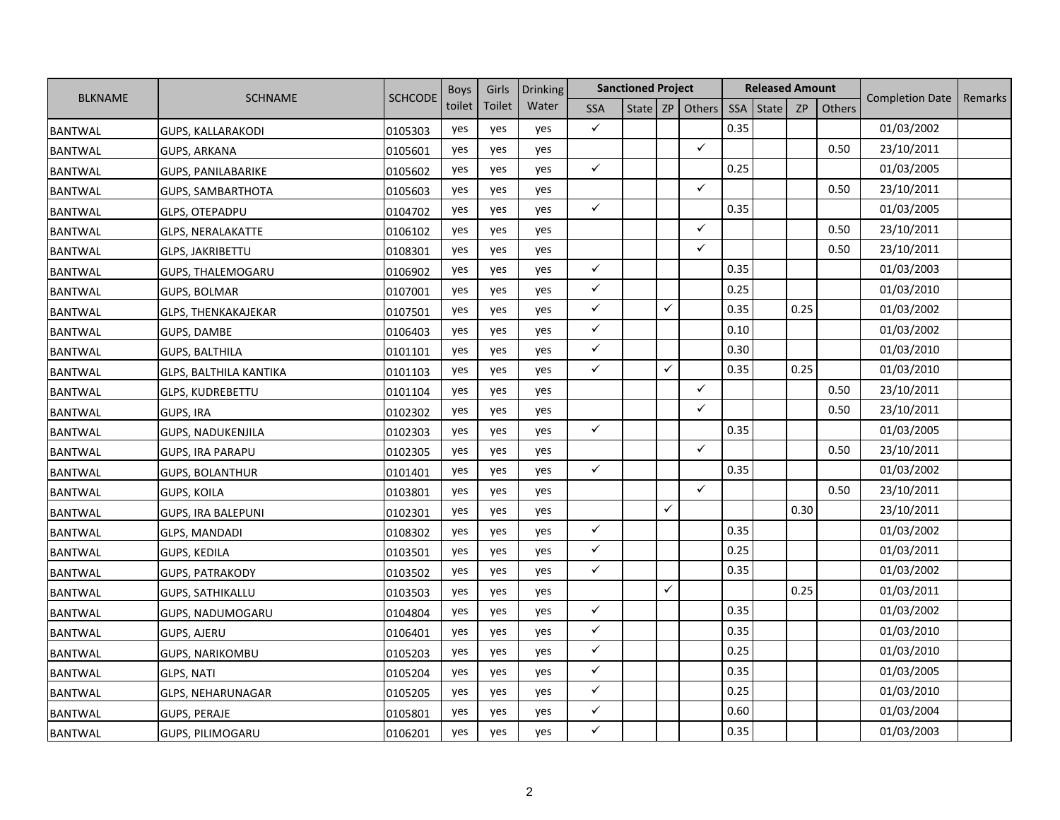|                |                               |                | <b>Boys</b> | Girls  | <b>Drinking</b> |              | <b>Sanctioned Project</b> |   |              |            | <b>Released Amount</b> |           |        |                        |         |
|----------------|-------------------------------|----------------|-------------|--------|-----------------|--------------|---------------------------|---|--------------|------------|------------------------|-----------|--------|------------------------|---------|
| <b>BLKNAME</b> | <b>SCHNAME</b>                | <b>SCHCODE</b> | toilet      | Toilet | Water           | <b>SSA</b>   | State                     |   | ZP Others    | <b>SSA</b> | <b>State</b>           | <b>ZP</b> | Others | <b>Completion Date</b> | Remarks |
| <b>BANTWAL</b> | <b>GUPS, KALLARAKODI</b>      | 0105303        | yes         | yes    | yes             | $\checkmark$ |                           |   |              | 0.35       |                        |           |        | 01/03/2002             |         |
| <b>BANTWAL</b> | <b>GUPS, ARKANA</b>           | 0105601        | yes         | yes    | yes             |              |                           |   | $\checkmark$ |            |                        |           | 0.50   | 23/10/2011             |         |
| <b>BANTWAL</b> | <b>GUPS, PANILABARIKE</b>     | 0105602        | yes         | yes    | yes             | $\checkmark$ |                           |   |              | 0.25       |                        |           |        | 01/03/2005             |         |
| <b>BANTWAL</b> | <b>GUPS, SAMBARTHOTA</b>      | 0105603        | yes         | yes    | yes             |              |                           |   | $\checkmark$ |            |                        |           | 0.50   | 23/10/2011             |         |
| <b>BANTWAL</b> | <b>GLPS, OTEPADPU</b>         | 0104702        | yes         | yes    | yes             | $\checkmark$ |                           |   |              | 0.35       |                        |           |        | 01/03/2005             |         |
| <b>BANTWAL</b> | <b>GLPS, NERALAKATTE</b>      | 0106102        | yes         | yes    | yes             |              |                           |   | $\checkmark$ |            |                        |           | 0.50   | 23/10/2011             |         |
| <b>BANTWAL</b> | <b>GLPS, JAKRIBETTU</b>       | 0108301        | yes         | yes    | yes             |              |                           |   | $\checkmark$ |            |                        |           | 0.50   | 23/10/2011             |         |
| <b>BANTWAL</b> | <b>GUPS, THALEMOGARU</b>      | 0106902        | yes         | yes    | yes             | $\checkmark$ |                           |   |              | 0.35       |                        |           |        | 01/03/2003             |         |
| <b>BANTWAL</b> | GUPS, BOLMAR                  | 0107001        | yes         | yes    | yes             | $\checkmark$ |                           |   |              | 0.25       |                        |           |        | 01/03/2010             |         |
| <b>BANTWAL</b> | GLPS, THENKAKAJEKAR           | 0107501        | yes         | yes    | yes             | $\checkmark$ |                           | ✓ |              | 0.35       |                        | 0.25      |        | 01/03/2002             |         |
| <b>BANTWAL</b> | GUPS, DAMBE                   | 0106403        | yes         | yes    | yes             | $\checkmark$ |                           |   |              | 0.10       |                        |           |        | 01/03/2002             |         |
| <b>BANTWAL</b> | GUPS, BALTHILA                | 0101101        | yes         | yes    | yes             | $\checkmark$ |                           |   |              | 0.30       |                        |           |        | 01/03/2010             |         |
| <b>BANTWAL</b> | <b>GLPS, BALTHILA KANTIKA</b> | 0101103        | yes         | yes    | yes             | $\checkmark$ |                           | ✓ |              | 0.35       |                        | 0.25      |        | 01/03/2010             |         |
| <b>BANTWAL</b> | <b>GLPS, KUDREBETTU</b>       | 0101104        | yes         | yes    | yes             |              |                           |   | $\checkmark$ |            |                        |           | 0.50   | 23/10/2011             |         |
| <b>BANTWAL</b> | <b>GUPS, IRA</b>              | 0102302        | yes         | yes    | yes             |              |                           |   | $\checkmark$ |            |                        |           | 0.50   | 23/10/2011             |         |
| <b>BANTWAL</b> | <b>GUPS, NADUKENJILA</b>      | 0102303        | yes         | yes    | yes             | $\checkmark$ |                           |   |              | 0.35       |                        |           |        | 01/03/2005             |         |
| <b>BANTWAL</b> | <b>GUPS, IRA PARAPU</b>       | 0102305        | yes         | yes    | yes             |              |                           |   | $\checkmark$ |            |                        |           | 0.50   | 23/10/2011             |         |
| <b>BANTWAL</b> | <b>GUPS, BOLANTHUR</b>        | 0101401        | yes         | yes    | yes             | $\checkmark$ |                           |   |              | 0.35       |                        |           |        | 01/03/2002             |         |
| <b>BANTWAL</b> | <b>GUPS, KOILA</b>            | 0103801        | yes         | yes    | yes             |              |                           |   | $\checkmark$ |            |                        |           | 0.50   | 23/10/2011             |         |
| <b>BANTWAL</b> | <b>GUPS, IRA BALEPUNI</b>     | 0102301        | yes         | yes    | yes             |              |                           | ✓ |              |            |                        | 0.30      |        | 23/10/2011             |         |
| <b>BANTWAL</b> | <b>GLPS, MANDADI</b>          | 0108302        | yes         | yes    | yes             | $\checkmark$ |                           |   |              | 0.35       |                        |           |        | 01/03/2002             |         |
| <b>BANTWAL</b> | GUPS, KEDILA                  | 0103501        | yes         | yes    | yes             | $\checkmark$ |                           |   |              | 0.25       |                        |           |        | 01/03/2011             |         |
| <b>BANTWAL</b> | <b>GUPS, PATRAKODY</b>        | 0103502        | yes         | yes    | yes             | $\checkmark$ |                           |   |              | 0.35       |                        |           |        | 01/03/2002             |         |
| <b>BANTWAL</b> | <b>GUPS, SATHIKALLU</b>       | 0103503        | yes         | yes    | yes             |              |                           | ✓ |              |            |                        | 0.25      |        | 01/03/2011             |         |
| <b>BANTWAL</b> | GUPS, NADUMOGARU              | 0104804        | yes         | yes    | yes             | $\checkmark$ |                           |   |              | 0.35       |                        |           |        | 01/03/2002             |         |
| <b>BANTWAL</b> | <b>GUPS, AJERU</b>            | 0106401        | yes         | yes    | yes             | $\checkmark$ |                           |   |              | 0.35       |                        |           |        | 01/03/2010             |         |
| <b>BANTWAL</b> | <b>GUPS, NARIKOMBU</b>        | 0105203        | yes         | yes    | yes             | $\checkmark$ |                           |   |              | 0.25       |                        |           |        | 01/03/2010             |         |
| <b>BANTWAL</b> | <b>GLPS, NATI</b>             | 0105204        | yes         | yes    | yes             | $\checkmark$ |                           |   |              | 0.35       |                        |           |        | 01/03/2005             |         |
| <b>BANTWAL</b> | <b>GLPS, NEHARUNAGAR</b>      | 0105205        | yes         | yes    | yes             | $\checkmark$ |                           |   |              | 0.25       |                        |           |        | 01/03/2010             |         |
| <b>BANTWAL</b> | <b>GUPS, PERAJE</b>           | 0105801        | yes         | yes    | yes             | $\checkmark$ |                           |   |              | 0.60       |                        |           |        | 01/03/2004             |         |
| <b>BANTWAL</b> | <b>GUPS, PILIMOGARU</b>       | 0106201        | yes         | yes    | yes             | ✓            |                           |   |              | 0.35       |                        |           |        | 01/03/2003             |         |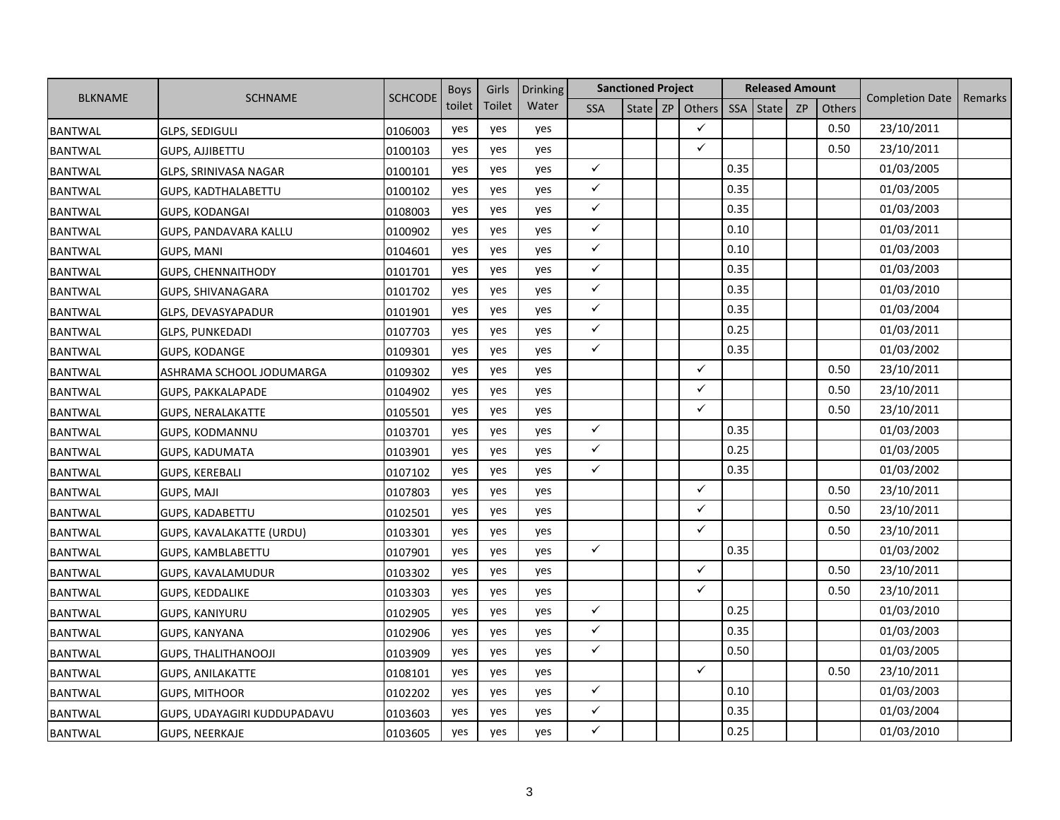|                |                             |                | <b>Boys</b> | Girls  | <b>Drinking</b> |              | <b>Sanctioned Project</b> |                   |            | <b>Released Amount</b> |           |               |                        |         |
|----------------|-----------------------------|----------------|-------------|--------|-----------------|--------------|---------------------------|-------------------|------------|------------------------|-----------|---------------|------------------------|---------|
| <b>BLKNAME</b> | <b>SCHNAME</b>              | <b>SCHCODE</b> | toilet      | Toilet | Water           | <b>SSA</b>   |                           | State $ZP$ Others | <b>SSA</b> | State                  | <b>ZP</b> | <b>Others</b> | <b>Completion Date</b> | Remarks |
| <b>BANTWAL</b> | <b>GLPS, SEDIGULI</b>       | 0106003        | yes         | yes    | yes             |              |                           | ✓                 |            |                        |           | 0.50          | 23/10/2011             |         |
| <b>BANTWAL</b> | <b>GUPS, AJJIBETTU</b>      | 0100103        | yes         | yes    | yes             |              |                           | ✓                 |            |                        |           | 0.50          | 23/10/2011             |         |
| <b>BANTWAL</b> | GLPS, SRINIVASA NAGAR       | 0100101        | yes         | yes    | yes             | $\checkmark$ |                           |                   | 0.35       |                        |           |               | 01/03/2005             |         |
| <b>BANTWAL</b> | <b>GUPS, KADTHALABETTU</b>  | 0100102        | yes         | yes    | yes             | $\checkmark$ |                           |                   | 0.35       |                        |           |               | 01/03/2005             |         |
| <b>BANTWAL</b> | <b>GUPS, KODANGAI</b>       | 0108003        | yes         | yes    | yes             | $\checkmark$ |                           |                   | 0.35       |                        |           |               | 01/03/2003             |         |
| <b>BANTWAL</b> | GUPS, PANDAVARA KALLU       | 0100902        | yes         | yes    | yes             | $\checkmark$ |                           |                   | 0.10       |                        |           |               | 01/03/2011             |         |
| <b>BANTWAL</b> | <b>GUPS, MANI</b>           | 0104601        | yes         | yes    | yes             | $\checkmark$ |                           |                   | 0.10       |                        |           |               | 01/03/2003             |         |
| <b>BANTWAL</b> | <b>GUPS, CHENNAITHODY</b>   | 0101701        | yes         | yes    | yes             | $\checkmark$ |                           |                   | 0.35       |                        |           |               | 01/03/2003             |         |
| <b>BANTWAL</b> | GUPS, SHIVANAGARA           | 0101702        | yes         | yes    | yes             | $\checkmark$ |                           |                   | 0.35       |                        |           |               | 01/03/2010             |         |
| <b>BANTWAL</b> | GLPS, DEVASYAPADUR          | 0101901        | yes         | yes    | yes             | $\checkmark$ |                           |                   | 0.35       |                        |           |               | 01/03/2004             |         |
| <b>BANTWAL</b> | <b>GLPS, PUNKEDADI</b>      | 0107703        | yes         | yes    | yes             | $\checkmark$ |                           |                   | 0.25       |                        |           |               | 01/03/2011             |         |
| <b>BANTWAL</b> | <b>GUPS, KODANGE</b>        | 0109301        | yes         | yes    | yes             | $\checkmark$ |                           |                   | 0.35       |                        |           |               | 01/03/2002             |         |
| <b>BANTWAL</b> | ASHRAMA SCHOOL JODUMARGA    | 0109302        | yes         | yes    | yes             |              |                           | $\checkmark$      |            |                        |           | 0.50          | 23/10/2011             |         |
| <b>BANTWAL</b> | <b>GUPS, PAKKALAPADE</b>    | 0104902        | yes         | yes    | yes             |              |                           | ✓                 |            |                        |           | 0.50          | 23/10/2011             |         |
| <b>BANTWAL</b> | <b>GUPS, NERALAKATTE</b>    | 0105501        | yes         | yes    | yes             |              |                           | ✓                 |            |                        |           | 0.50          | 23/10/2011             |         |
| <b>BANTWAL</b> | GUPS, KODMANNU              | 0103701        | yes         | yes    | yes             | $\checkmark$ |                           |                   | 0.35       |                        |           |               | 01/03/2003             |         |
| <b>BANTWAL</b> | GUPS, KADUMATA              | 0103901        | yes         | yes    | yes             | $\checkmark$ |                           |                   | 0.25       |                        |           |               | 01/03/2005             |         |
| <b>BANTWAL</b> | GUPS, KEREBALI              | 0107102        | yes         | yes    | yes             | $\checkmark$ |                           |                   | 0.35       |                        |           |               | 01/03/2002             |         |
| <b>BANTWAL</b> | <b>GUPS, MAJI</b>           | 0107803        | yes         | yes    | yes             |              |                           | $\checkmark$      |            |                        |           | 0.50          | 23/10/2011             |         |
| <b>BANTWAL</b> | <b>GUPS, KADABETTU</b>      | 0102501        | yes         | yes    | yes             |              |                           | ✓                 |            |                        |           | 0.50          | 23/10/2011             |         |
| <b>BANTWAL</b> | GUPS, KAVALAKATTE (URDU)    | 0103301        | yes         | yes    | yes             |              |                           | ✓                 |            |                        |           | 0.50          | 23/10/2011             |         |
| <b>BANTWAL</b> | GUPS, KAMBLABETTU           | 0107901        | yes         | yes    | yes             | $\checkmark$ |                           |                   | 0.35       |                        |           |               | 01/03/2002             |         |
| <b>BANTWAL</b> | GUPS, KAVALAMUDUR           | 0103302        | yes         | yes    | yes             |              |                           | ✓                 |            |                        |           | 0.50          | 23/10/2011             |         |
| <b>BANTWAL</b> | <b>GUPS, KEDDALIKE</b>      | 0103303        | yes         | yes    | yes             |              |                           | ✓                 |            |                        |           | 0.50          | 23/10/2011             |         |
| <b>BANTWAL</b> | <b>GUPS, KANIYURU</b>       | 0102905        | yes         | yes    | yes             | $\checkmark$ |                           |                   | 0.25       |                        |           |               | 01/03/2010             |         |
| <b>BANTWAL</b> | <b>GUPS, KANYANA</b>        | 0102906        | yes         | yes    | yes             | $\checkmark$ |                           |                   | 0.35       |                        |           |               | 01/03/2003             |         |
| <b>BANTWAL</b> | <b>GUPS, THALITHANOOJI</b>  | 0103909        | yes         | yes    | yes             | $\checkmark$ |                           |                   | 0.50       |                        |           |               | 01/03/2005             |         |
| <b>BANTWAL</b> | <b>GUPS, ANILAKATTE</b>     | 0108101        | yes         | yes    | yes             |              |                           | $\checkmark$      |            |                        |           | 0.50          | 23/10/2011             |         |
| <b>BANTWAL</b> | GUPS, MITHOOR               | 0102202        | yes         | yes    | yes             | $\checkmark$ |                           |                   | 0.10       |                        |           |               | 01/03/2003             |         |
| <b>BANTWAL</b> | GUPS, UDAYAGIRI KUDDUPADAVU | 0103603        | yes         | yes    | yes             | $\checkmark$ |                           |                   | 0.35       |                        |           |               | 01/03/2004             |         |
| <b>BANTWAL</b> | <b>GUPS, NEERKAJE</b>       | 0103605        | yes         | yes    | yes             | ✓            |                           |                   | 0.25       |                        |           |               | 01/03/2010             |         |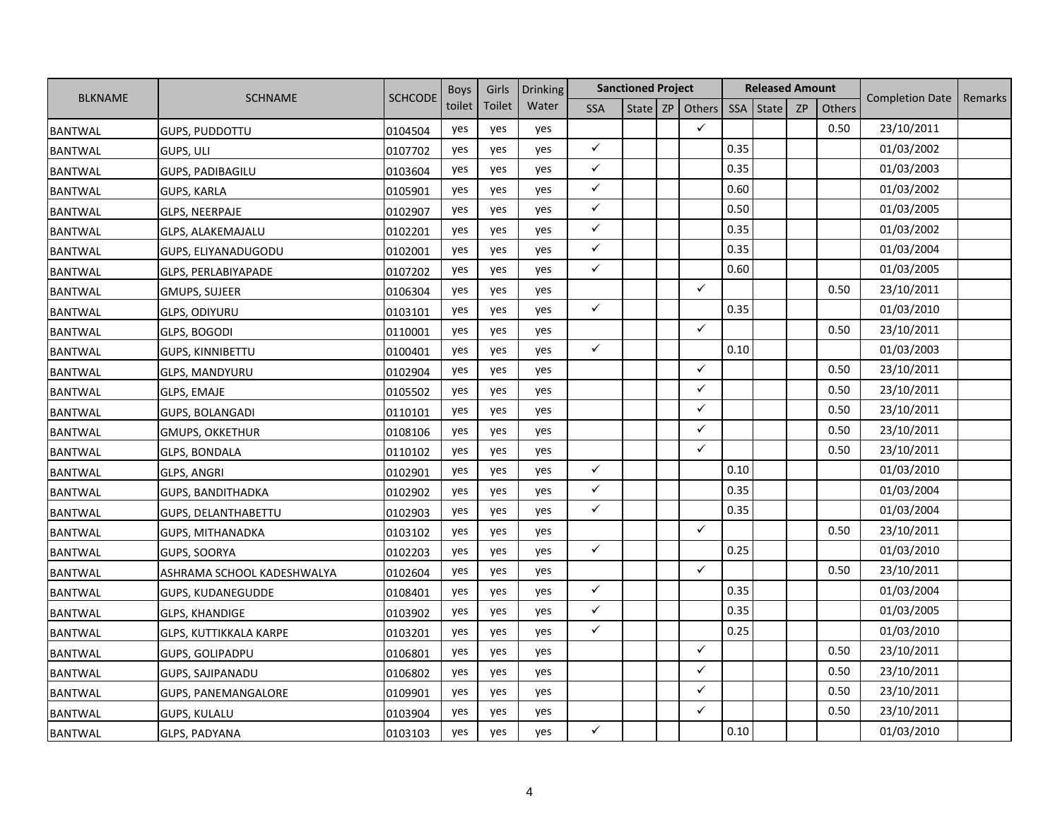|                |                               |                | <b>Boys</b> | Girls  | <b>Drinking</b> |              | <b>Sanctioned Project</b> |                   |            | <b>Released Amount</b> |           |               |                        |         |
|----------------|-------------------------------|----------------|-------------|--------|-----------------|--------------|---------------------------|-------------------|------------|------------------------|-----------|---------------|------------------------|---------|
| <b>BLKNAME</b> | <b>SCHNAME</b>                | <b>SCHCODE</b> | toilet      | Toilet | Water           | <b>SSA</b>   |                           | State $ZP$ Others | <b>SSA</b> | State                  | <b>ZP</b> | <b>Others</b> | <b>Completion Date</b> | Remarks |
| <b>BANTWAL</b> | <b>GUPS, PUDDOTTU</b>         | 0104504        | yes         | yes    | yes             |              |                           | $\checkmark$      |            |                        |           | 0.50          | 23/10/2011             |         |
| <b>BANTWAL</b> | GUPS, ULI                     | 0107702        | yes         | yes    | yes             | $\checkmark$ |                           |                   | 0.35       |                        |           |               | 01/03/2002             |         |
| <b>BANTWAL</b> | <b>GUPS, PADIBAGILU</b>       | 0103604        | yes         | yes    | yes             | $\checkmark$ |                           |                   | 0.35       |                        |           |               | 01/03/2003             |         |
| <b>BANTWAL</b> | <b>GUPS, KARLA</b>            | 0105901        | yes         | yes    | yes             | $\checkmark$ |                           |                   | 0.60       |                        |           |               | 01/03/2002             |         |
| <b>BANTWAL</b> | <b>GLPS, NEERPAJE</b>         | 0102907        | yes         | yes    | yes             | $\checkmark$ |                           |                   | 0.50       |                        |           |               | 01/03/2005             |         |
| <b>BANTWAL</b> | GLPS, ALAKEMAJALU             | 0102201        | yes         | yes    | yes             | $\checkmark$ |                           |                   | 0.35       |                        |           |               | 01/03/2002             |         |
| <b>BANTWAL</b> | GUPS, ELIYANADUGODU           | 0102001        | yes         | yes    | yes             | $\checkmark$ |                           |                   | 0.35       |                        |           |               | 01/03/2004             |         |
| <b>BANTWAL</b> | GLPS, PERLABIYAPADE           | 0107202        | yes         | yes    | yes             | $\checkmark$ |                           |                   | 0.60       |                        |           |               | 01/03/2005             |         |
| <b>BANTWAL</b> | <b>GMUPS, SUJEER</b>          | 0106304        | yes         | yes    | yes             |              |                           | $\checkmark$      |            |                        |           | 0.50          | 23/10/2011             |         |
| <b>BANTWAL</b> | <b>GLPS, ODIYURU</b>          | 0103101        | yes         | yes    | yes             | $\checkmark$ |                           |                   | 0.35       |                        |           |               | 01/03/2010             |         |
| <b>BANTWAL</b> | GLPS, BOGODI                  | 0110001        | yes         | yes    | yes             |              |                           | $\checkmark$      |            |                        |           | 0.50          | 23/10/2011             |         |
| <b>BANTWAL</b> | <b>GUPS, KINNIBETTU</b>       | 0100401        | yes         | yes    | yes             | $\checkmark$ |                           |                   | 0.10       |                        |           |               | 01/03/2003             |         |
| <b>BANTWAL</b> | <b>GLPS, MANDYURU</b>         | 0102904        | yes         | yes    | yes             |              |                           | $\checkmark$      |            |                        |           | 0.50          | 23/10/2011             |         |
| <b>BANTWAL</b> | GLPS, EMAJE                   | 0105502        | yes         | yes    | yes             |              |                           | ✓                 |            |                        |           | 0.50          | 23/10/2011             |         |
| <b>BANTWAL</b> | <b>GUPS, BOLANGADI</b>        | 0110101        | yes         | yes    | yes             |              |                           | ✓                 |            |                        |           | 0.50          | 23/10/2011             |         |
| <b>BANTWAL</b> | <b>GMUPS, OKKETHUR</b>        | 0108106        | yes         | yes    | yes             |              |                           | ✓                 |            |                        |           | 0.50          | 23/10/2011             |         |
| <b>BANTWAL</b> | GLPS, BONDALA                 | 0110102        | yes         | yes    | yes             |              |                           | ✓                 |            |                        |           | 0.50          | 23/10/2011             |         |
| <b>BANTWAL</b> | <b>GLPS, ANGRI</b>            | 0102901        | yes         | yes    | yes             | $\checkmark$ |                           |                   | 0.10       |                        |           |               | 01/03/2010             |         |
| <b>BANTWAL</b> | <b>GUPS, BANDITHADKA</b>      | 0102902        | yes         | yes    | yes             | $\checkmark$ |                           |                   | 0.35       |                        |           |               | 01/03/2004             |         |
| <b>BANTWAL</b> | <b>GUPS, DELANTHABETTU</b>    | 0102903        | yes         | yes    | yes             | $\checkmark$ |                           |                   | 0.35       |                        |           |               | 01/03/2004             |         |
| <b>BANTWAL</b> | GUPS, MITHANADKA              | 0103102        | yes         | yes    | yes             |              |                           | $\checkmark$      |            |                        |           | 0.50          | 23/10/2011             |         |
| <b>BANTWAL</b> | GUPS, SOORYA                  | 0102203        | yes         | yes    | yes             | $\checkmark$ |                           |                   | 0.25       |                        |           |               | 01/03/2010             |         |
| <b>BANTWAL</b> | ASHRAMA SCHOOL KADESHWALYA    | 0102604        | yes         | yes    | yes             |              |                           | ✓                 |            |                        |           | 0.50          | 23/10/2011             |         |
| <b>BANTWAL</b> | GUPS, KUDANEGUDDE             | 0108401        | yes         | yes    | yes             | $\checkmark$ |                           |                   | 0.35       |                        |           |               | 01/03/2004             |         |
| <b>BANTWAL</b> | <b>GLPS, KHANDIGE</b>         | 0103902        | yes         | yes    | yes             | $\checkmark$ |                           |                   | 0.35       |                        |           |               | 01/03/2005             |         |
| <b>BANTWAL</b> | <b>GLPS, KUTTIKKALA KARPE</b> | 0103201        | yes         | yes    | yes             | $\checkmark$ |                           |                   | 0.25       |                        |           |               | 01/03/2010             |         |
| <b>BANTWAL</b> | <b>GUPS, GOLIPADPU</b>        | 0106801        | yes         | yes    | yes             |              |                           | ✓                 |            |                        |           | 0.50          | 23/10/2011             |         |
| <b>BANTWAL</b> | GUPS, SAJIPANADU              | 0106802        | yes         | yes    | yes             |              |                           | ✓                 |            |                        |           | 0.50          | 23/10/2011             |         |
| <b>BANTWAL</b> | GUPS, PANEMANGALORE           | 0109901        | yes         | yes    | yes             |              |                           | ✓                 |            |                        |           | 0.50          | 23/10/2011             |         |
| <b>BANTWAL</b> | <b>GUPS, KULALU</b>           | 0103904        | yes         | yes    | yes             |              |                           | ✓                 |            |                        |           | 0.50          | 23/10/2011             |         |
| <b>BANTWAL</b> | GLPS, PADYANA                 | 0103103        | yes         | yes    | yes             | $\checkmark$ |                           |                   | 0.10       |                        |           |               | 01/03/2010             |         |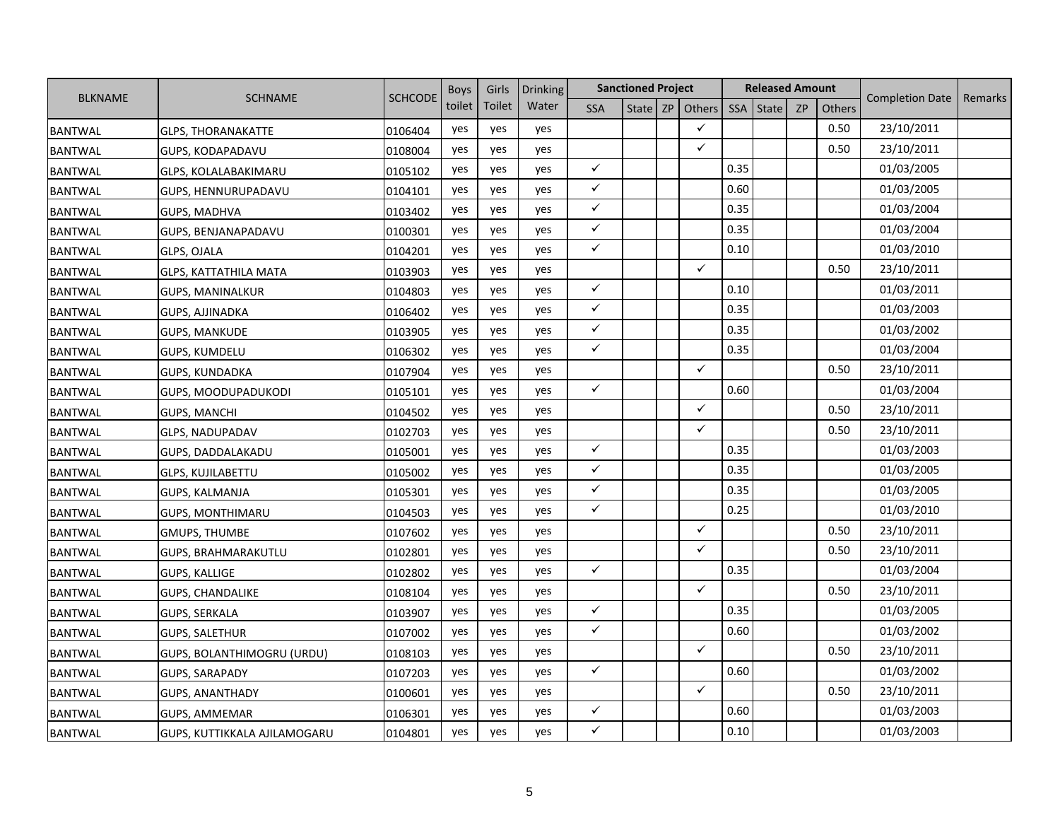|                |                                   |                | <b>Boys</b> | Girls  | <b>Drinking</b> |              | <b>Sanctioned Project</b> |                   |            | <b>Released Amount</b> |    |               |                        |         |
|----------------|-----------------------------------|----------------|-------------|--------|-----------------|--------------|---------------------------|-------------------|------------|------------------------|----|---------------|------------------------|---------|
| <b>BLKNAME</b> | <b>SCHNAME</b>                    | <b>SCHCODE</b> | toilet      | Toilet | Water           | <b>SSA</b>   |                           | State $ZP$ Others | <b>SSA</b> | State                  | ZP | <b>Others</b> | <b>Completion Date</b> | Remarks |
| <b>BANTWAL</b> | <b>GLPS, THORANAKATTE</b>         | 0106404        | yes         | yes    | yes             |              |                           | ✓                 |            |                        |    | 0.50          | 23/10/2011             |         |
| <b>BANTWAL</b> | GUPS, KODAPADAVU                  | 0108004        | yes         | yes    | yes             |              |                           | ✓                 |            |                        |    | 0.50          | 23/10/2011             |         |
| <b>BANTWAL</b> | <b>GLPS, KOLALABAKIMARU</b>       | 0105102        | yes         | yes    | yes             | $\checkmark$ |                           |                   | 0.35       |                        |    |               | 01/03/2005             |         |
| <b>BANTWAL</b> | GUPS, HENNURUPADAVU               | 0104101        | yes         | yes    | yes             | $\checkmark$ |                           |                   | 0.60       |                        |    |               | 01/03/2005             |         |
| <b>BANTWAL</b> | <b>GUPS, MADHVA</b>               | 0103402        | yes         | yes    | yes             | $\checkmark$ |                           |                   | 0.35       |                        |    |               | 01/03/2004             |         |
| <b>BANTWAL</b> | GUPS, BENJANAPADAVU               | 0100301        | yes         | yes    | yes             | $\checkmark$ |                           |                   | 0.35       |                        |    |               | 01/03/2004             |         |
| <b>BANTWAL</b> | GLPS, OJALA                       | 0104201        | yes         | yes    | yes             | $\checkmark$ |                           |                   | 0.10       |                        |    |               | 01/03/2010             |         |
| <b>BANTWAL</b> | <b>GLPS, KATTATHILA MATA</b>      | 0103903        | yes         | yes    | yes             |              |                           | ✓                 |            |                        |    | 0.50          | 23/10/2011             |         |
| <b>BANTWAL</b> | GUPS, MANINALKUR                  | 0104803        | yes         | yes    | yes             | $\checkmark$ |                           |                   | 0.10       |                        |    |               | 01/03/2011             |         |
| <b>BANTWAL</b> | GUPS, AJJINADKA                   | 0106402        | yes         | yes    | yes             | $\checkmark$ |                           |                   | 0.35       |                        |    |               | 01/03/2003             |         |
| <b>BANTWAL</b> | <b>GUPS, MANKUDE</b>              | 0103905        | yes         | yes    | yes             | $\checkmark$ |                           |                   | 0.35       |                        |    |               | 01/03/2002             |         |
| <b>BANTWAL</b> | <b>GUPS, KUMDELU</b>              | 0106302        | yes         | yes    | yes             | $\checkmark$ |                           |                   | 0.35       |                        |    |               | 01/03/2004             |         |
| <b>BANTWAL</b> | <b>GUPS, KUNDADKA</b>             | 0107904        | yes         | yes    | yes             |              |                           | $\checkmark$      |            |                        |    | 0.50          | 23/10/2011             |         |
| <b>BANTWAL</b> | GUPS, MOODUPADUKODI               | 0105101        | yes         | yes    | yes             | $\checkmark$ |                           |                   | 0.60       |                        |    |               | 01/03/2004             |         |
| <b>BANTWAL</b> | <b>GUPS, MANCHI</b>               | 0104502        | yes         | yes    | yes             |              |                           | ✓                 |            |                        |    | 0.50          | 23/10/2011             |         |
| <b>BANTWAL</b> | GLPS, NADUPADAV                   | 0102703        | yes         | yes    | yes             |              |                           | $\checkmark$      |            |                        |    | 0.50          | 23/10/2011             |         |
| <b>BANTWAL</b> | GUPS, DADDALAKADU                 | 0105001        | yes         | yes    | yes             | $\checkmark$ |                           |                   | 0.35       |                        |    |               | 01/03/2003             |         |
| <b>BANTWAL</b> | <b>GLPS, KUJILABETTU</b>          | 0105002        | yes         | yes    | yes             | $\checkmark$ |                           |                   | 0.35       |                        |    |               | 01/03/2005             |         |
| <b>BANTWAL</b> | <b>GUPS, KALMANJA</b>             | 0105301        | yes         | yes    | yes             | $\checkmark$ |                           |                   | 0.35       |                        |    |               | 01/03/2005             |         |
| <b>BANTWAL</b> | <b>GUPS, MONTHIMARU</b>           | 0104503        | yes         | yes    | yes             | $\checkmark$ |                           |                   | 0.25       |                        |    |               | 01/03/2010             |         |
| <b>BANTWAL</b> | <b>GMUPS, THUMBE</b>              | 0107602        | yes         | yes    | yes             |              |                           | ✓                 |            |                        |    | 0.50          | 23/10/2011             |         |
| <b>BANTWAL</b> | GUPS, BRAHMARAKUTLU               | 0102801        | yes         | yes    | yes             |              |                           | ✓                 |            |                        |    | 0.50          | 23/10/2011             |         |
| <b>BANTWAL</b> | <b>GUPS, KALLIGE</b>              | 0102802        | yes         | yes    | yes             | $\checkmark$ |                           |                   | 0.35       |                        |    |               | 01/03/2004             |         |
| <b>BANTWAL</b> | <b>GUPS, CHANDALIKE</b>           | 0108104        | yes         | yes    | yes             |              |                           | $\checkmark$      |            |                        |    | 0.50          | 23/10/2011             |         |
| <b>BANTWAL</b> | GUPS, SERKALA                     | 0103907        | yes         | yes    | yes             | $\checkmark$ |                           |                   | 0.35       |                        |    |               | 01/03/2005             |         |
| <b>BANTWAL</b> | <b>GUPS, SALETHUR</b>             | 0107002        | yes         | yes    | yes             | $\checkmark$ |                           |                   | 0.60       |                        |    |               | 01/03/2002             |         |
| <b>BANTWAL</b> | <b>GUPS, BOLANTHIMOGRU (URDU)</b> | 0108103        | yes         | yes    | yes             |              |                           | $\checkmark$      |            |                        |    | 0.50          | 23/10/2011             |         |
| <b>BANTWAL</b> | GUPS, SARAPADY                    | 0107203        | yes         | yes    | yes             | $\checkmark$ |                           |                   | 0.60       |                        |    |               | 01/03/2002             |         |
| <b>BANTWAL</b> | <b>GUPS, ANANTHADY</b>            | 0100601        | yes         | yes    | yes             |              |                           | ✓                 |            |                        |    | 0.50          | 23/10/2011             |         |
| <b>BANTWAL</b> | GUPS, AMMEMAR                     | 0106301        | yes         | yes    | yes             | ✓            |                           |                   | 0.60       |                        |    |               | 01/03/2003             |         |
| <b>BANTWAL</b> | GUPS, KUTTIKKALA AJILAMOGARU      | 0104801        | yes         | yes    | yes             | $\checkmark$ |                           |                   | 0.10       |                        |    |               | 01/03/2003             |         |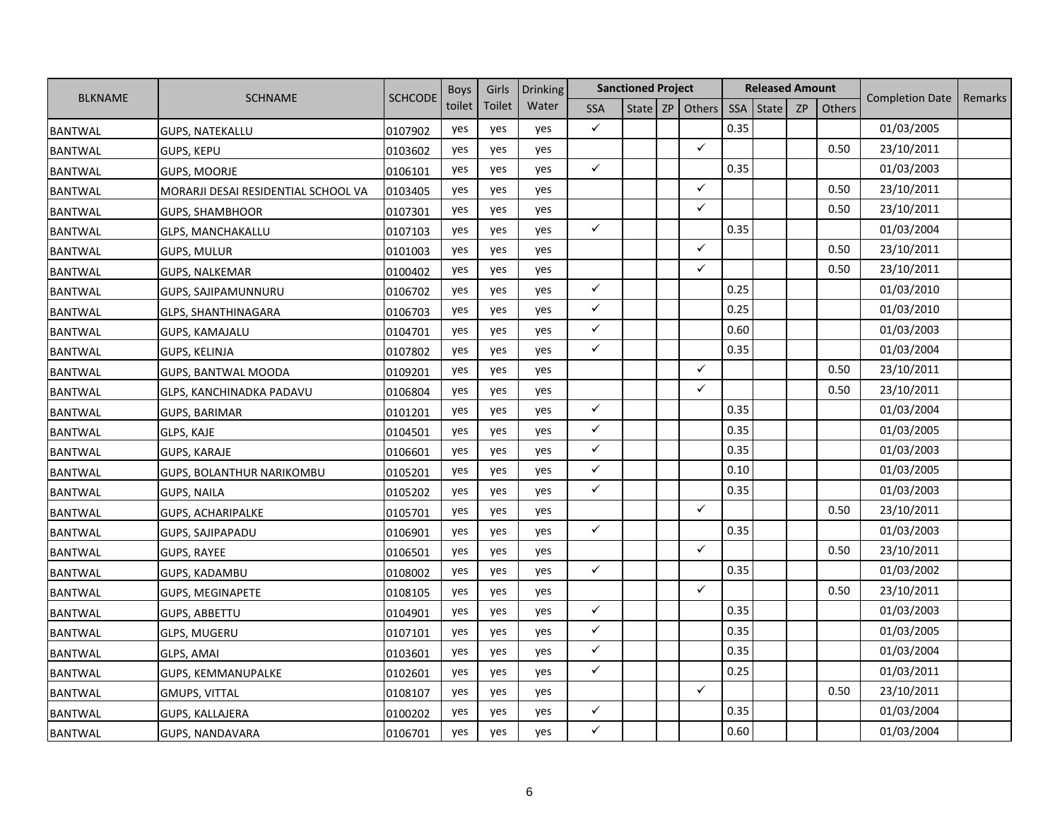|                |                                     |                | <b>Boys</b> | Girls  | Drinking |              | <b>Sanctioned Project</b> |              |            | <b>Released Amount</b> |           |        |                        |         |
|----------------|-------------------------------------|----------------|-------------|--------|----------|--------------|---------------------------|--------------|------------|------------------------|-----------|--------|------------------------|---------|
| <b>BLKNAME</b> | <b>SCHNAME</b>                      | <b>SCHCODE</b> | toilet      | Toilet | Water    | <b>SSA</b>   | State                     | ZP Others    | <b>SSA</b> | State                  | <b>ZP</b> | Others | <b>Completion Date</b> | Remarks |
| <b>BANTWAL</b> | <b>GUPS, NATEKALLU</b>              | 0107902        | yes         | yes    | yes      | $\checkmark$ |                           |              | 0.35       |                        |           |        | 01/03/2005             |         |
| <b>BANTWAL</b> | <b>GUPS, KEPU</b>                   | 0103602        | yes         | yes    | yes      |              |                           | $\checkmark$ |            |                        |           | 0.50   | 23/10/2011             |         |
| <b>BANTWAL</b> | <b>GUPS, MOORJE</b>                 | 0106101        | yes         | yes    | yes      | $\checkmark$ |                           |              | 0.35       |                        |           |        | 01/03/2003             |         |
| <b>BANTWAL</b> | MORARJI DESAI RESIDENTIAL SCHOOL VA | 0103405        | yes         | yes    | yes      |              |                           | $\checkmark$ |            |                        |           | 0.50   | 23/10/2011             |         |
| <b>BANTWAL</b> | <b>GUPS, SHAMBHOOR</b>              | 0107301        | yes         | yes    | yes      |              |                           | $\checkmark$ |            |                        |           | 0.50   | 23/10/2011             |         |
| <b>BANTWAL</b> | <b>GLPS, MANCHAKALLU</b>            | 0107103        | yes         | yes    | yes      | $\checkmark$ |                           |              | 0.35       |                        |           |        | 01/03/2004             |         |
| <b>BANTWAL</b> | <b>GUPS, MULUR</b>                  | 0101003        | yes         | yes    | yes      |              |                           | $\checkmark$ |            |                        |           | 0.50   | 23/10/2011             |         |
| <b>BANTWAL</b> | <b>GUPS, NALKEMAR</b>               | 0100402        | yes         | yes    | yes      |              |                           | $\checkmark$ |            |                        |           | 0.50   | 23/10/2011             |         |
| <b>BANTWAL</b> | <b>GUPS, SAJIPAMUNNURU</b>          | 0106702        | yes         | yes    | yes      | $\checkmark$ |                           |              | 0.25       |                        |           |        | 01/03/2010             |         |
| <b>BANTWAL</b> | <b>GLPS, SHANTHINAGARA</b>          | 0106703        | yes         | yes    | yes      | $\checkmark$ |                           |              | 0.25       |                        |           |        | 01/03/2010             |         |
| <b>BANTWAL</b> | <b>GUPS, KAMAJALU</b>               | 0104701        | yes         | yes    | yes      | $\checkmark$ |                           |              | 0.60       |                        |           |        | 01/03/2003             |         |
| <b>BANTWAL</b> | GUPS, KELINJA                       | 0107802        | yes         | yes    | yes      | $\checkmark$ |                           |              | 0.35       |                        |           |        | 01/03/2004             |         |
| <b>BANTWAL</b> | <b>GUPS, BANTWAL MOODA</b>          | 0109201        | yes         | yes    | yes      |              |                           | $\checkmark$ |            |                        |           | 0.50   | 23/10/2011             |         |
| <b>BANTWAL</b> | GLPS, KANCHINADKA PADAVU            | 0106804        | yes         | yes    | yes      |              |                           | $\checkmark$ |            |                        |           | 0.50   | 23/10/2011             |         |
| <b>BANTWAL</b> | <b>GUPS, BARIMAR</b>                | 0101201        | yes         | yes    | yes      | $\checkmark$ |                           |              | 0.35       |                        |           |        | 01/03/2004             |         |
| <b>BANTWAL</b> | GLPS, KAJE                          | 0104501        | yes         | yes    | yes      | $\checkmark$ |                           |              | 0.35       |                        |           |        | 01/03/2005             |         |
| <b>BANTWAL</b> | <b>GUPS, KARAJE</b>                 | 0106601        | yes         | yes    | yes      | $\checkmark$ |                           |              | 0.35       |                        |           |        | 01/03/2003             |         |
| <b>BANTWAL</b> | <b>GUPS, BOLANTHUR NARIKOMBU</b>    | 0105201        | yes         | yes    | yes      | $\checkmark$ |                           |              | 0.10       |                        |           |        | 01/03/2005             |         |
| <b>BANTWAL</b> | <b>GUPS, NAILA</b>                  | 0105202        | yes         | yes    | yes      | $\checkmark$ |                           |              | 0.35       |                        |           |        | 01/03/2003             |         |
| <b>BANTWAL</b> | <b>GUPS, ACHARIPALKE</b>            | 0105701        | yes         | yes    | yes      |              |                           | $\checkmark$ |            |                        |           | 0.50   | 23/10/2011             |         |
| <b>BANTWAL</b> | GUPS, SAJIPAPADU                    | 0106901        | yes         | yes    | yes      | $\checkmark$ |                           |              | 0.35       |                        |           |        | 01/03/2003             |         |
| <b>BANTWAL</b> | <b>GUPS, RAYEE</b>                  | 0106501        | yes         | yes    | yes      |              |                           | $\checkmark$ |            |                        |           | 0.50   | 23/10/2011             |         |
| <b>BANTWAL</b> | <b>GUPS, KADAMBU</b>                | 0108002        | yes         | yes    | yes      | $\checkmark$ |                           |              | 0.35       |                        |           |        | 01/03/2002             |         |
| <b>BANTWAL</b> | <b>GUPS, MEGINAPETE</b>             | 0108105        | yes         | yes    | yes      |              |                           | $\checkmark$ |            |                        |           | 0.50   | 23/10/2011             |         |
| <b>BANTWAL</b> | <b>GUPS, ABBETTU</b>                | 0104901        | yes         | yes    | yes      | $\checkmark$ |                           |              | 0.35       |                        |           |        | 01/03/2003             |         |
| <b>BANTWAL</b> | <b>GLPS, MUGERU</b>                 | 0107101        | yes         | yes    | yes      | $\checkmark$ |                           |              | 0.35       |                        |           |        | 01/03/2005             |         |
| <b>BANTWAL</b> | <b>GLPS, AMAI</b>                   | 0103601        | yes         | yes    | yes      | $\checkmark$ |                           |              | 0.35       |                        |           |        | 01/03/2004             |         |
| <b>BANTWAL</b> | GUPS, KEMMANUPALKE                  | 0102601        | yes         | yes    | yes      | $\checkmark$ |                           |              | 0.25       |                        |           |        | 01/03/2011             |         |
| <b>BANTWAL</b> | <b>GMUPS, VITTAL</b>                | 0108107        | yes         | yes    | yes      |              |                           | $\checkmark$ |            |                        |           | 0.50   | 23/10/2011             |         |
| <b>BANTWAL</b> | GUPS, KALLAJERA                     | 0100202        | yes         | yes    | yes      | $\checkmark$ |                           |              | 0.35       |                        |           |        | 01/03/2004             |         |
| <b>BANTWAL</b> | GUPS, NANDAVARA                     | 0106701        | yes         | yes    | yes      | ✓            |                           |              | 0.60       |                        |           |        | 01/03/2004             |         |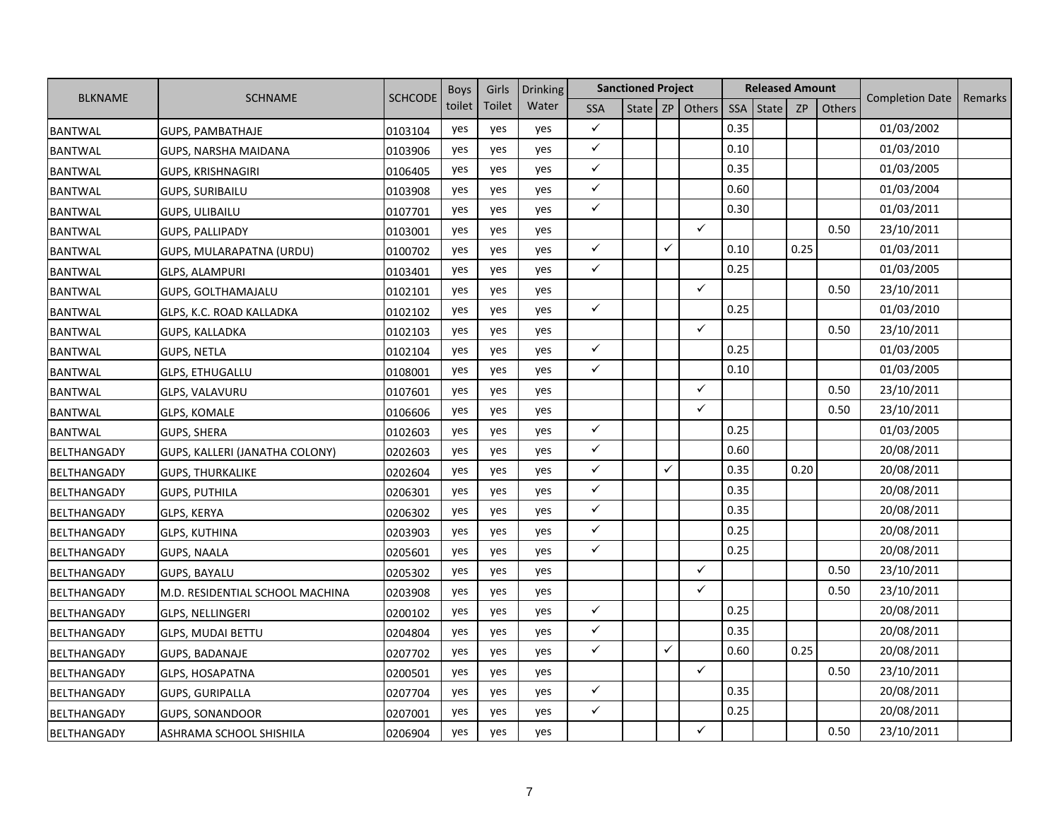|                    |                                 |                | <b>Boys</b> | Girls  | <b>Drinking</b> |              | <b>Sanctioned Project</b> |   |                   |      | <b>Released Amount</b> |           |        |                        |         |
|--------------------|---------------------------------|----------------|-------------|--------|-----------------|--------------|---------------------------|---|-------------------|------|------------------------|-----------|--------|------------------------|---------|
| <b>BLKNAME</b>     | <b>SCHNAME</b>                  | <b>SCHCODE</b> | toilet      | Toilet | Water           | <b>SSA</b>   |                           |   | State $ZP$ Others | SSA  | <b>State</b>           | <b>ZP</b> | Others | <b>Completion Date</b> | Remarks |
| <b>BANTWAL</b>     | <b>GUPS, PAMBATHAJE</b>         | 0103104        | yes         | yes    | yes             | $\checkmark$ |                           |   |                   | 0.35 |                        |           |        | 01/03/2002             |         |
| <b>BANTWAL</b>     | GUPS, NARSHA MAIDANA            | 0103906        | yes         | yes    | yes             | $\checkmark$ |                           |   |                   | 0.10 |                        |           |        | 01/03/2010             |         |
| <b>BANTWAL</b>     | <b>GUPS, KRISHNAGIRI</b>        | 0106405        | yes         | yes    | yes             | $\checkmark$ |                           |   |                   | 0.35 |                        |           |        | 01/03/2005             |         |
| <b>BANTWAL</b>     | <b>GUPS, SURIBAILU</b>          | 0103908        | yes         | yes    | yes             | $\checkmark$ |                           |   |                   | 0.60 |                        |           |        | 01/03/2004             |         |
| <b>BANTWAL</b>     | <b>GUPS, ULIBAILU</b>           | 0107701        | yes         | yes    | yes             | $\checkmark$ |                           |   |                   | 0.30 |                        |           |        | 01/03/2011             |         |
| <b>BANTWAL</b>     | <b>GUPS, PALLIPADY</b>          | 0103001        | yes         | yes    | yes             |              |                           |   | ✓                 |      |                        |           | 0.50   | 23/10/2011             |         |
| <b>BANTWAL</b>     | GUPS, MULARAPATNA (URDU)        | 0100702        | yes         | yes    | yes             | $\checkmark$ |                           | ✓ |                   | 0.10 |                        | 0.25      |        | 01/03/2011             |         |
| <b>BANTWAL</b>     | <b>GLPS, ALAMPURI</b>           | 0103401        | yes         | yes    | yes             | $\checkmark$ |                           |   |                   | 0.25 |                        |           |        | 01/03/2005             |         |
| <b>BANTWAL</b>     | <b>GUPS, GOLTHAMAJALU</b>       | 0102101        | yes         | yes    | yes             |              |                           |   | $\checkmark$      |      |                        |           | 0.50   | 23/10/2011             |         |
| <b>BANTWAL</b>     | GLPS, K.C. ROAD KALLADKA        | 0102102        | yes         | yes    | yes             | $\checkmark$ |                           |   |                   | 0.25 |                        |           |        | 01/03/2010             |         |
| <b>BANTWAL</b>     | GUPS, KALLADKA                  | 0102103        | yes         | yes    | yes             |              |                           |   | $\checkmark$      |      |                        |           | 0.50   | 23/10/2011             |         |
| <b>BANTWAL</b>     | <b>GUPS, NETLA</b>              | 0102104        | yes         | yes    | yes             | $\checkmark$ |                           |   |                   | 0.25 |                        |           |        | 01/03/2005             |         |
| <b>BANTWAL</b>     | <b>GLPS, ETHUGALLU</b>          | 0108001        | yes         | yes    | yes             | $\checkmark$ |                           |   |                   | 0.10 |                        |           |        | 01/03/2005             |         |
| <b>BANTWAL</b>     | GLPS, VALAVURU                  | 0107601        | yes         | yes    | yes             |              |                           |   | ✓                 |      |                        |           | 0.50   | 23/10/2011             |         |
| <b>BANTWAL</b>     | GLPS, KOMALE                    | 0106606        | yes         | yes    | yes             |              |                           |   | ✓                 |      |                        |           | 0.50   | 23/10/2011             |         |
| <b>BANTWAL</b>     | GUPS, SHERA                     | 0102603        | yes         | yes    | yes             | $\checkmark$ |                           |   |                   | 0.25 |                        |           |        | 01/03/2005             |         |
| BELTHANGADY        | GUPS, KALLERI (JANATHA COLONY)  | 0202603        | yes         | yes    | yes             | $\checkmark$ |                           |   |                   | 0.60 |                        |           |        | 20/08/2011             |         |
| <b>BELTHANGADY</b> | <b>GUPS, THURKALIKE</b>         | 0202604        | yes         | yes    | yes             | $\checkmark$ |                           | ✓ |                   | 0.35 |                        | 0.20      |        | 20/08/2011             |         |
| BELTHANGADY        | <b>GUPS, PUTHILA</b>            | 0206301        | yes         | yes    | yes             | $\checkmark$ |                           |   |                   | 0.35 |                        |           |        | 20/08/2011             |         |
| <b>BELTHANGADY</b> | <b>GLPS, KERYA</b>              | 0206302        | yes         | yes    | yes             | $\checkmark$ |                           |   |                   | 0.35 |                        |           |        | 20/08/2011             |         |
| <b>BELTHANGADY</b> | GLPS, KUTHINA                   | 0203903        | yes         | yes    | yes             | $\checkmark$ |                           |   |                   | 0.25 |                        |           |        | 20/08/2011             |         |
| <b>BELTHANGADY</b> | <b>GUPS, NAALA</b>              | 0205601        | yes         | yes    | yes             | $\checkmark$ |                           |   |                   | 0.25 |                        |           |        | 20/08/2011             |         |
| BELTHANGADY        | <b>GUPS, BAYALU</b>             | 0205302        | yes         | yes    | yes             |              |                           |   | ✓                 |      |                        |           | 0.50   | 23/10/2011             |         |
| <b>BELTHANGADY</b> | M.D. RESIDENTIAL SCHOOL MACHINA | 0203908        | yes         | yes    | yes             |              |                           |   | ✓                 |      |                        |           | 0.50   | 23/10/2011             |         |
| BELTHANGADY        | <b>GLPS, NELLINGERI</b>         | 0200102        | yes         | yes    | yes             | $\checkmark$ |                           |   |                   | 0.25 |                        |           |        | 20/08/2011             |         |
| <b>BELTHANGADY</b> | <b>GLPS, MUDAI BETTU</b>        | 0204804        | yes         | yes    | yes             | $\checkmark$ |                           |   |                   | 0.35 |                        |           |        | 20/08/2011             |         |
| BELTHANGADY        | <b>GUPS, BADANAJE</b>           | 0207702        | yes         | yes    | yes             | $\checkmark$ |                           | ✓ |                   | 0.60 |                        | 0.25      |        | 20/08/2011             |         |
| BELTHANGADY        | GLPS, HOSAPATNA                 | 0200501        | yes         | yes    | yes             |              |                           |   | $\checkmark$      |      |                        |           | 0.50   | 23/10/2011             |         |
| BELTHANGADY        | <b>GUPS, GURIPALLA</b>          | 0207704        | yes         | yes    | yes             | $\checkmark$ |                           |   |                   | 0.35 |                        |           |        | 20/08/2011             |         |
| BELTHANGADY        | <b>GUPS, SONANDOOR</b>          | 0207001        | yes         | yes    | yes             | $\checkmark$ |                           |   |                   | 0.25 |                        |           |        | 20/08/2011             |         |
| BELTHANGADY        | ASHRAMA SCHOOL SHISHILA         | 0206904        | yes         | yes    | yes             |              |                           |   | ✓                 |      |                        |           | 0.50   | 23/10/2011             |         |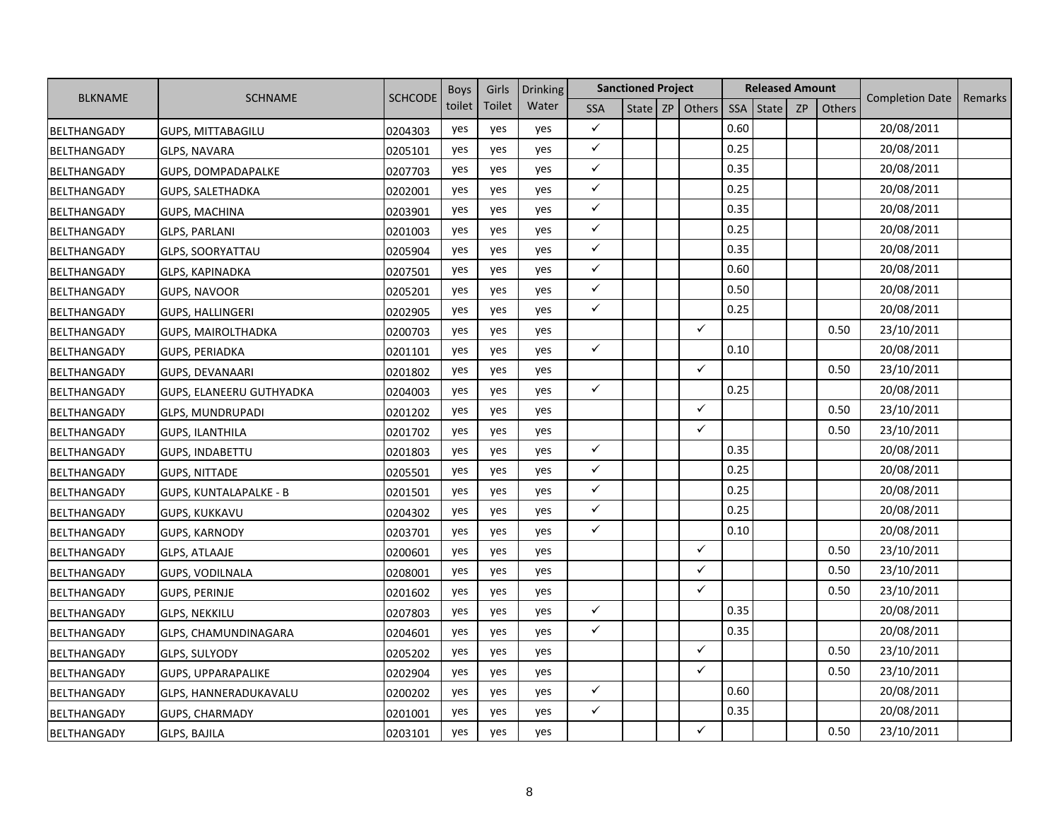|                    | <b>BLKNAME</b><br><b>SCHNAME</b> |                | <b>Boys</b> | Girls  | <b>Drinking</b> |              | <b>Sanctioned Project</b> |                   |      | <b>Released Amount</b> |           |               |                        |         |
|--------------------|----------------------------------|----------------|-------------|--------|-----------------|--------------|---------------------------|-------------------|------|------------------------|-----------|---------------|------------------------|---------|
|                    |                                  | <b>SCHCODE</b> | toilet      | Toilet | Water           | <b>SSA</b>   |                           | State $ZP$ Others | SSA  | <b>State</b>           | <b>ZP</b> | <b>Others</b> | <b>Completion Date</b> | Remarks |
| BELTHANGADY        | <b>GUPS, MITTABAGILU</b>         | 0204303        | yes         | yes    | yes             | $\checkmark$ |                           |                   | 0.60 |                        |           |               | 20/08/2011             |         |
| <b>BELTHANGADY</b> | <b>GLPS, NAVARA</b>              | 0205101        | yes         | yes    | yes             | $\checkmark$ |                           |                   | 0.25 |                        |           |               | 20/08/2011             |         |
| <b>BELTHANGADY</b> | GUPS, DOMPADAPALKE               | 0207703        | yes         | yes    | yes             | $\checkmark$ |                           |                   | 0.35 |                        |           |               | 20/08/2011             |         |
| BELTHANGADY        | <b>GUPS, SALETHADKA</b>          | 0202001        | yes         | yes    | yes             | $\checkmark$ |                           |                   | 0.25 |                        |           |               | 20/08/2011             |         |
| BELTHANGADY        | <b>GUPS, MACHINA</b>             | 0203901        | yes         | yes    | yes             | $\checkmark$ |                           |                   | 0.35 |                        |           |               | 20/08/2011             |         |
| <b>BELTHANGADY</b> | GLPS, PARLANI                    | 0201003        | yes         | yes    | yes             | $\checkmark$ |                           |                   | 0.25 |                        |           |               | 20/08/2011             |         |
| <b>BELTHANGADY</b> | <b>GLPS, SOORYATTAU</b>          | 0205904        | yes         | yes    | yes             | $\checkmark$ |                           |                   | 0.35 |                        |           |               | 20/08/2011             |         |
| <b>BELTHANGADY</b> | <b>GLPS, KAPINADKA</b>           | 0207501        | yes         | yes    | yes             | $\checkmark$ |                           |                   | 0.60 |                        |           |               | 20/08/2011             |         |
| BELTHANGADY        | <b>GUPS, NAVOOR</b>              | 0205201        | yes         | yes    | yes             | $\checkmark$ |                           |                   | 0.50 |                        |           |               | 20/08/2011             |         |
| <b>BELTHANGADY</b> | <b>GUPS, HALLINGERI</b>          | 0202905        | yes         | yes    | yes             | $\checkmark$ |                           |                   | 0.25 |                        |           |               | 20/08/2011             |         |
| <b>BELTHANGADY</b> | <b>GUPS, MAIROLTHADKA</b>        | 0200703        | yes         | yes    | yes             |              |                           | $\checkmark$      |      |                        |           | 0.50          | 23/10/2011             |         |
| BELTHANGADY        | <b>GUPS, PERIADKA</b>            | 0201101        | yes         | yes    | yes             | $\checkmark$ |                           |                   | 0.10 |                        |           |               | 20/08/2011             |         |
| BELTHANGADY        | GUPS, DEVANAARI                  | 0201802        | yes         | yes    | yes             |              |                           | $\checkmark$      |      |                        |           | 0.50          | 23/10/2011             |         |
| BELTHANGADY        | GUPS, ELANEERU GUTHYADKA         | 0204003        | yes         | yes    | yes             | $\checkmark$ |                           |                   | 0.25 |                        |           |               | 20/08/2011             |         |
| <b>BELTHANGADY</b> | <b>GLPS, MUNDRUPADI</b>          | 0201202        | yes         | yes    | yes             |              |                           | ✓                 |      |                        |           | 0.50          | 23/10/2011             |         |
| BELTHANGADY        | <b>GUPS, ILANTHILA</b>           | 0201702        | yes         | yes    | yes             |              |                           | $\checkmark$      |      |                        |           | 0.50          | 23/10/2011             |         |
| BELTHANGADY        | GUPS, INDABETTU                  | 0201803        | yes         | yes    | yes             | $\checkmark$ |                           |                   | 0.35 |                        |           |               | 20/08/2011             |         |
| <b>BELTHANGADY</b> | <b>GUPS, NITTADE</b>             | 0205501        | yes         | yes    | yes             | $\checkmark$ |                           |                   | 0.25 |                        |           |               | 20/08/2011             |         |
| BELTHANGADY        | <b>GUPS, KUNTALAPALKE - B</b>    | 0201501        | yes         | yes    | yes             | $\checkmark$ |                           |                   | 0.25 |                        |           |               | 20/08/2011             |         |
| <b>BELTHANGADY</b> | <b>GUPS, KUKKAVU</b>             | 0204302        | yes         | yes    | yes             | $\checkmark$ |                           |                   | 0.25 |                        |           |               | 20/08/2011             |         |
| BELTHANGADY        | GUPS, KARNODY                    | 0203701        | yes         | yes    | yes             | $\checkmark$ |                           |                   | 0.10 |                        |           |               | 20/08/2011             |         |
| <b>BELTHANGADY</b> | <b>GLPS, ATLAAJE</b>             | 0200601        | yes         | yes    | yes             |              |                           | ✓                 |      |                        |           | 0.50          | 23/10/2011             |         |
| BELTHANGADY        | <b>GUPS, VODILNALA</b>           | 0208001        | yes         | yes    | yes             |              |                           | ✓                 |      |                        |           | 0.50          | 23/10/2011             |         |
| BELTHANGADY        | <b>GUPS, PERINJE</b>             | 0201602        | yes         | yes    | yes             |              |                           | ✓                 |      |                        |           | 0.50          | 23/10/2011             |         |
| BELTHANGADY        | <b>GLPS, NEKKILU</b>             | 0207803        | yes         | yes    | yes             | $\checkmark$ |                           |                   | 0.35 |                        |           |               | 20/08/2011             |         |
| <b>BELTHANGADY</b> | GLPS, CHAMUNDINAGARA             | 0204601        | yes         | yes    | yes             | $\checkmark$ |                           |                   | 0.35 |                        |           |               | 20/08/2011             |         |
| BELTHANGADY        | <b>GLPS, SULYODY</b>             | 0205202        | yes         | yes    | yes             |              |                           | ✓                 |      |                        |           | 0.50          | 23/10/2011             |         |
| BELTHANGADY        | <b>GUPS, UPPARAPALIKE</b>        | 0202904        | yes         | yes    | yes             |              |                           | ✓                 |      |                        |           | 0.50          | 23/10/2011             |         |
| BELTHANGADY        | GLPS, HANNERADUKAVALU            | 0200202        | yes         | yes    | yes             | $\checkmark$ |                           |                   | 0.60 |                        |           |               | 20/08/2011             |         |
| BELTHANGADY        | GUPS, CHARMADY                   | 0201001        | yes         | yes    | yes             | $\checkmark$ |                           |                   | 0.35 |                        |           |               | 20/08/2011             |         |
| BELTHANGADY        | <b>GLPS, BAJILA</b>              | 0203101        | yes         | yes    | yes             |              |                           | ✓                 |      |                        |           | 0.50          | 23/10/2011             |         |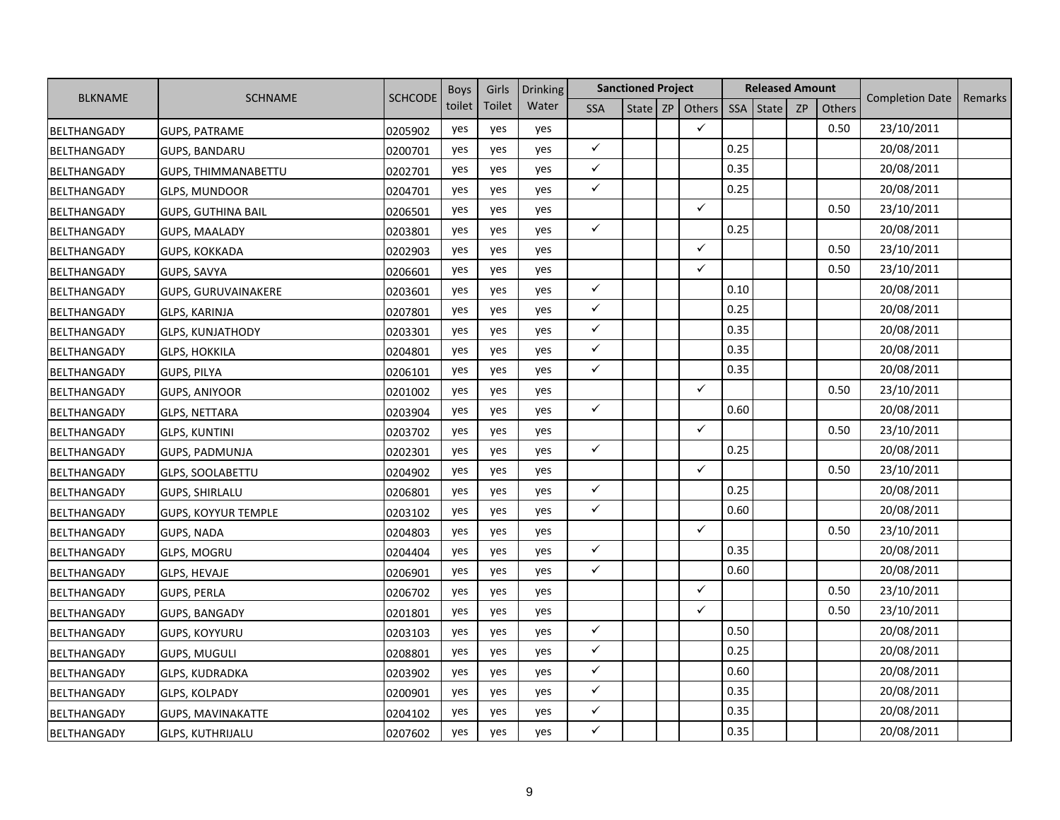|                    |                            | <b>SCHCODE</b> | <b>Boys</b> | Girls  | <b>Drinking</b> |              | <b>Sanctioned Project</b> |                   |      | <b>Released Amount</b> |           |               |                        |         |
|--------------------|----------------------------|----------------|-------------|--------|-----------------|--------------|---------------------------|-------------------|------|------------------------|-----------|---------------|------------------------|---------|
| <b>BLKNAME</b>     | <b>SCHNAME</b>             |                | toilet      | Toilet | Water           | <b>SSA</b>   |                           | State $ZP$ Others | SSA  | State                  | <b>ZP</b> | <b>Others</b> | <b>Completion Date</b> | Remarks |
| BELTHANGADY        | <b>GUPS, PATRAME</b>       | 0205902        | yes         | yes    | yes             |              |                           | $\checkmark$      |      |                        |           | 0.50          | 23/10/2011             |         |
| <b>BELTHANGADY</b> | <b>GUPS, BANDARU</b>       | 0200701        | yes         | yes    | yes             | $\checkmark$ |                           |                   | 0.25 |                        |           |               | 20/08/2011             |         |
| <b>BELTHANGADY</b> | <b>GUPS, THIMMANABETTU</b> | 0202701        | yes         | yes    | yes             | $\checkmark$ |                           |                   | 0.35 |                        |           |               | 20/08/2011             |         |
| <b>BELTHANGADY</b> | <b>GLPS, MUNDOOR</b>       | 0204701        | yes         | yes    | yes             | $\checkmark$ |                           |                   | 0.25 |                        |           |               | 20/08/2011             |         |
| <b>BELTHANGADY</b> | <b>GUPS, GUTHINA BAIL</b>  | 0206501        | yes         | yes    | yes             |              |                           | $\checkmark$      |      |                        |           | 0.50          | 23/10/2011             |         |
| <b>BELTHANGADY</b> | <b>GUPS, MAALADY</b>       | 0203801        | yes         | yes    | yes             | $\checkmark$ |                           |                   | 0.25 |                        |           |               | 20/08/2011             |         |
| <b>BELTHANGADY</b> | <b>GUPS, KOKKADA</b>       | 0202903        | yes         | yes    | yes             |              |                           | $\checkmark$      |      |                        |           | 0.50          | 23/10/2011             |         |
| <b>BELTHANGADY</b> | GUPS, SAVYA                | 0206601        | yes         | yes    | yes             |              |                           | ✓                 |      |                        |           | 0.50          | 23/10/2011             |         |
| BELTHANGADY        | <b>GUPS, GURUVAINAKERE</b> | 0203601        | yes         | yes    | yes             | $\checkmark$ |                           |                   | 0.10 |                        |           |               | 20/08/2011             |         |
| <b>BELTHANGADY</b> | GLPS, KARINJA              | 0207801        | yes         | yes    | yes             | $\checkmark$ |                           |                   | 0.25 |                        |           |               | 20/08/2011             |         |
| <b>BELTHANGADY</b> | <b>GLPS, KUNJATHODY</b>    | 0203301        | yes         | yes    | yes             | $\checkmark$ |                           |                   | 0.35 |                        |           |               | 20/08/2011             |         |
| BELTHANGADY        | <b>GLPS, HOKKILA</b>       | 0204801        | yes         | yes    | yes             | $\checkmark$ |                           |                   | 0.35 |                        |           |               | 20/08/2011             |         |
| <b>BELTHANGADY</b> | <b>GUPS, PILYA</b>         | 0206101        | yes         | yes    | yes             | $\checkmark$ |                           |                   | 0.35 |                        |           |               | 20/08/2011             |         |
| BELTHANGADY        | GUPS, ANIYOOR              | 0201002        | yes         | yes    | yes             |              |                           | ✓                 |      |                        |           | 0.50          | 23/10/2011             |         |
| <b>BELTHANGADY</b> | <b>GLPS, NETTARA</b>       | 0203904        | yes         | yes    | yes             | $\checkmark$ |                           |                   | 0.60 |                        |           |               | 20/08/2011             |         |
| BELTHANGADY        | <b>GLPS, KUNTINI</b>       | 0203702        | yes         | yes    | yes             |              |                           | ✓                 |      |                        |           | 0.50          | 23/10/2011             |         |
| BELTHANGADY        | <b>GUPS, PADMUNJA</b>      | 0202301        | yes         | yes    | yes             | $\checkmark$ |                           |                   | 0.25 |                        |           |               | 20/08/2011             |         |
| <b>BELTHANGADY</b> | <b>GLPS, SOOLABETTU</b>    | 0204902        | yes         | yes    | yes             |              |                           | $\checkmark$      |      |                        |           | 0.50          | 23/10/2011             |         |
| <b>BELTHANGADY</b> | <b>GUPS, SHIRLALU</b>      | 0206801        | yes         | yes    | yes             | $\checkmark$ |                           |                   | 0.25 |                        |           |               | 20/08/2011             |         |
| <b>BELTHANGADY</b> | <b>GUPS, KOYYUR TEMPLE</b> | 0203102        | yes         | yes    | yes             | $\checkmark$ |                           |                   | 0.60 |                        |           |               | 20/08/2011             |         |
| BELTHANGADY        | <b>GUPS, NADA</b>          | 0204803        | yes         | yes    | yes             |              |                           | $\checkmark$      |      |                        |           | 0.50          | 23/10/2011             |         |
| <b>BELTHANGADY</b> | <b>GLPS, MOGRU</b>         | 0204404        | yes         | yes    | yes             | $\checkmark$ |                           |                   | 0.35 |                        |           |               | 20/08/2011             |         |
| BELTHANGADY        | <b>GLPS, HEVAJE</b>        | 0206901        | yes         | yes    | yes             | $\checkmark$ |                           |                   | 0.60 |                        |           |               | 20/08/2011             |         |
| BELTHANGADY        | <b>GUPS, PERLA</b>         | 0206702        | yes         | yes    | yes             |              |                           | $\checkmark$      |      |                        |           | 0.50          | 23/10/2011             |         |
| BELTHANGADY        | GUPS, BANGADY              | 0201801        | yes         | yes    | yes             |              |                           | $\checkmark$      |      |                        |           | 0.50          | 23/10/2011             |         |
| BELTHANGADY        | GUPS, KOYYURU              | 0203103        | yes         | yes    | yes             | $\checkmark$ |                           |                   | 0.50 |                        |           |               | 20/08/2011             |         |
| BELTHANGADY        | <b>GUPS, MUGULI</b>        | 0208801        | yes         | yes    | yes             | ✓            |                           |                   | 0.25 |                        |           |               | 20/08/2011             |         |
| BELTHANGADY        | <b>GLPS, KUDRADKA</b>      | 0203902        | yes         | yes    | yes             | $\checkmark$ |                           |                   | 0.60 |                        |           |               | 20/08/2011             |         |
| BELTHANGADY        | GLPS, KOLPADY              | 0200901        | yes         | yes    | yes             | ✓            |                           |                   | 0.35 |                        |           |               | 20/08/2011             |         |
| BELTHANGADY        | <b>GUPS, MAVINAKATTE</b>   | 0204102        | yes         | yes    | yes             | $\checkmark$ |                           |                   | 0.35 |                        |           |               | 20/08/2011             |         |
| <b>BELTHANGADY</b> | <b>GLPS, KUTHRIJALU</b>    | 0207602        | yes         | yes    | yes             | ✓            |                           |                   | 0.35 |                        |           |               | 20/08/2011             |         |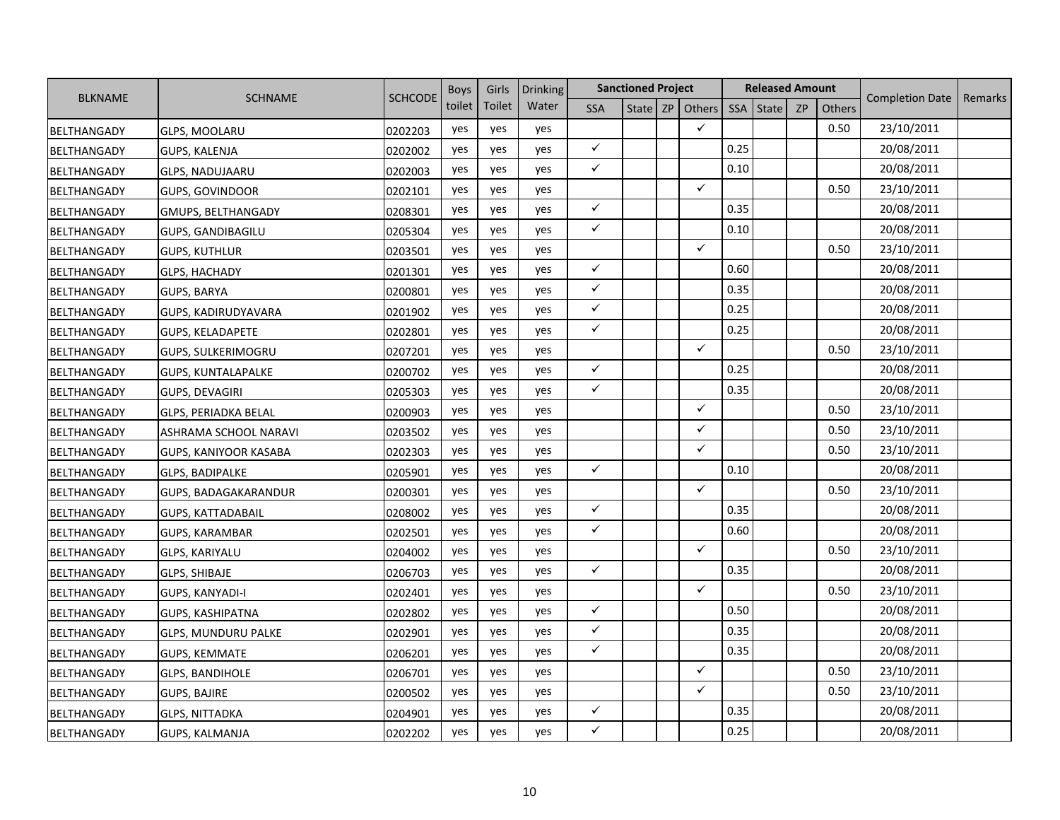|                    |                              | <b>SCHCODE</b> | <b>Boys</b> | Girls  | <b>Drinking</b> |              | <b>Sanctioned Project</b> |                   |      | <b>Released Amount</b> |    |               |                        |         |
|--------------------|------------------------------|----------------|-------------|--------|-----------------|--------------|---------------------------|-------------------|------|------------------------|----|---------------|------------------------|---------|
| <b>BLKNAME</b>     | <b>SCHNAME</b>               |                | toilet      | Toilet | Water           | <b>SSA</b>   |                           | State $ZP$ Others | SSA  | State                  | ZP | <b>Others</b> | <b>Completion Date</b> | Remarks |
| BELTHANGADY        | <b>GLPS, MOOLARU</b>         | 0202203        | yes         | yes    | yes             |              |                           | $\checkmark$      |      |                        |    | 0.50          | 23/10/2011             |         |
| <b>BELTHANGADY</b> | GUPS, KALENJA                | 0202002        | yes         | yes    | yes             | $\checkmark$ |                           |                   | 0.25 |                        |    |               | 20/08/2011             |         |
| <b>BELTHANGADY</b> | <b>GLPS, NADUJAARU</b>       | 0202003        | yes         | yes    | yes             | $\checkmark$ |                           |                   | 0.10 |                        |    |               | 20/08/2011             |         |
| <b>BELTHANGADY</b> | <b>GUPS, GOVINDOOR</b>       | 0202101        | yes         | yes    | yes             |              |                           | $\checkmark$      |      |                        |    | 0.50          | 23/10/2011             |         |
| <b>BELTHANGADY</b> | GMUPS, BELTHANGADY           | 0208301        | yes         | yes    | yes             | $\checkmark$ |                           |                   | 0.35 |                        |    |               | 20/08/2011             |         |
| BELTHANGADY        | <b>GUPS, GANDIBAGILU</b>     | 0205304        | yes         | yes    | yes             | $\checkmark$ |                           |                   | 0.10 |                        |    |               | 20/08/2011             |         |
| BELTHANGADY        | <b>GUPS, KUTHLUR</b>         | 0203501        | yes         | yes    | yes             |              |                           | $\checkmark$      |      |                        |    | 0.50          | 23/10/2011             |         |
| <b>BELTHANGADY</b> | <b>GLPS, HACHADY</b>         | 0201301        | yes         | yes    | yes             | $\checkmark$ |                           |                   | 0.60 |                        |    |               | 20/08/2011             |         |
| BELTHANGADY        | GUPS, BARYA                  | 0200801        | yes         | yes    | yes             | $\checkmark$ |                           |                   | 0.35 |                        |    |               | 20/08/2011             |         |
| BELTHANGADY        | GUPS, KADIRUDYAVARA          | 0201902        | yes         | yes    | yes             | $\checkmark$ |                           |                   | 0.25 |                        |    |               | 20/08/2011             |         |
| BELTHANGADY        | <b>GUPS, KELADAPETE</b>      | 0202801        | yes         | yes    | yes             | $\checkmark$ |                           |                   | 0.25 |                        |    |               | 20/08/2011             |         |
| <b>BELTHANGADY</b> | <b>GUPS, SULKERIMOGRU</b>    | 0207201        | yes         | yes    | yes             |              |                           | $\checkmark$      |      |                        |    | 0.50          | 23/10/2011             |         |
| BELTHANGADY        | <b>GUPS, KUNTALAPALKE</b>    | 0200702        | yes         | yes    | yes             | $\checkmark$ |                           |                   | 0.25 |                        |    |               | 20/08/2011             |         |
| <b>BELTHANGADY</b> | GUPS, DEVAGIRI               | 0205303        | yes         | yes    | yes             | $\checkmark$ |                           |                   | 0.35 |                        |    |               | 20/08/2011             |         |
| BELTHANGADY        | <b>GLPS, PERIADKA BELAL</b>  | 0200903        | yes         | yes    | yes             |              |                           | ✓                 |      |                        |    | 0.50          | 23/10/2011             |         |
| BELTHANGADY        | ASHRAMA SCHOOL NARAVI        | 0203502        | yes         | yes    | yes             |              |                           | ✓                 |      |                        |    | 0.50          | 23/10/2011             |         |
| BELTHANGADY        | <b>GUPS, KANIYOOR KASABA</b> | 0202303        | yes         | yes    | yes             |              |                           | $\checkmark$      |      |                        |    | 0.50          | 23/10/2011             |         |
| BELTHANGADY        | <b>GLPS, BADIPALKE</b>       | 0205901        | yes         | yes    | yes             | $\checkmark$ |                           |                   | 0.10 |                        |    |               | 20/08/2011             |         |
| BELTHANGADY        | GUPS, BADAGAKARANDUR         | 0200301        | yes         | yes    | yes             |              |                           | $\checkmark$      |      |                        |    | 0.50          | 23/10/2011             |         |
| <b>BELTHANGADY</b> | <b>GUPS, KATTADABAIL</b>     | 0208002        | yes         | yes    | yes             | $\checkmark$ |                           |                   | 0.35 |                        |    |               | 20/08/2011             |         |
| <b>BELTHANGADY</b> | GUPS, KARAMBAR               | 0202501        | yes         | yes    | yes             | $\checkmark$ |                           |                   | 0.60 |                        |    |               | 20/08/2011             |         |
| BELTHANGADY        | GLPS, KARIYALU               | 0204002        | yes         | yes    | yes             |              |                           | $\checkmark$      |      |                        |    | 0.50          | 23/10/2011             |         |
| BELTHANGADY        | GLPS, SHIBAJE                | 0206703        | yes         | yes    | yes             | $\checkmark$ |                           |                   | 0.35 |                        |    |               | 20/08/2011             |         |
| BELTHANGADY        | GUPS, KANYADI-I              | 0202401        | yes         | yes    | yes             |              |                           | $\checkmark$      |      |                        |    | 0.50          | 23/10/2011             |         |
| <b>BELTHANGADY</b> | <b>GUPS, KASHIPATNA</b>      | 0202802        | yes         | yes    | yes             | $\checkmark$ |                           |                   | 0.50 |                        |    |               | 20/08/2011             |         |
| <b>BELTHANGADY</b> | <b>GLPS, MUNDURU PALKE</b>   | 0202901        | yes         | yes    | yes             | $\checkmark$ |                           |                   | 0.35 |                        |    |               | 20/08/2011             |         |
| BELTHANGADY        | <b>GUPS, KEMMATE</b>         | 0206201        | yes         | yes    | yes             | $\checkmark$ |                           |                   | 0.35 |                        |    |               | 20/08/2011             |         |
| <b>BELTHANGADY</b> | <b>GLPS, BANDIHOLE</b>       | 0206701        | yes         | yes    | yes             |              |                           | $\checkmark$      |      |                        |    | 0.50          | 23/10/2011             |         |
| BELTHANGADY        | GUPS, BAJIRE                 | 0200502        | yes         | yes    | yes             |              |                           | ✓                 |      |                        |    | 0.50          | 23/10/2011             |         |
| BELTHANGADY        | <b>GLPS, NITTADKA</b>        | 0204901        | yes         | yes    | yes             | $\checkmark$ |                           |                   | 0.35 |                        |    |               | 20/08/2011             |         |
| <b>BELTHANGADY</b> | GUPS, KALMANJA               | 0202202        | yes         | yes    | yes             | $\checkmark$ |                           |                   | 0.25 |                        |    |               | 20/08/2011             |         |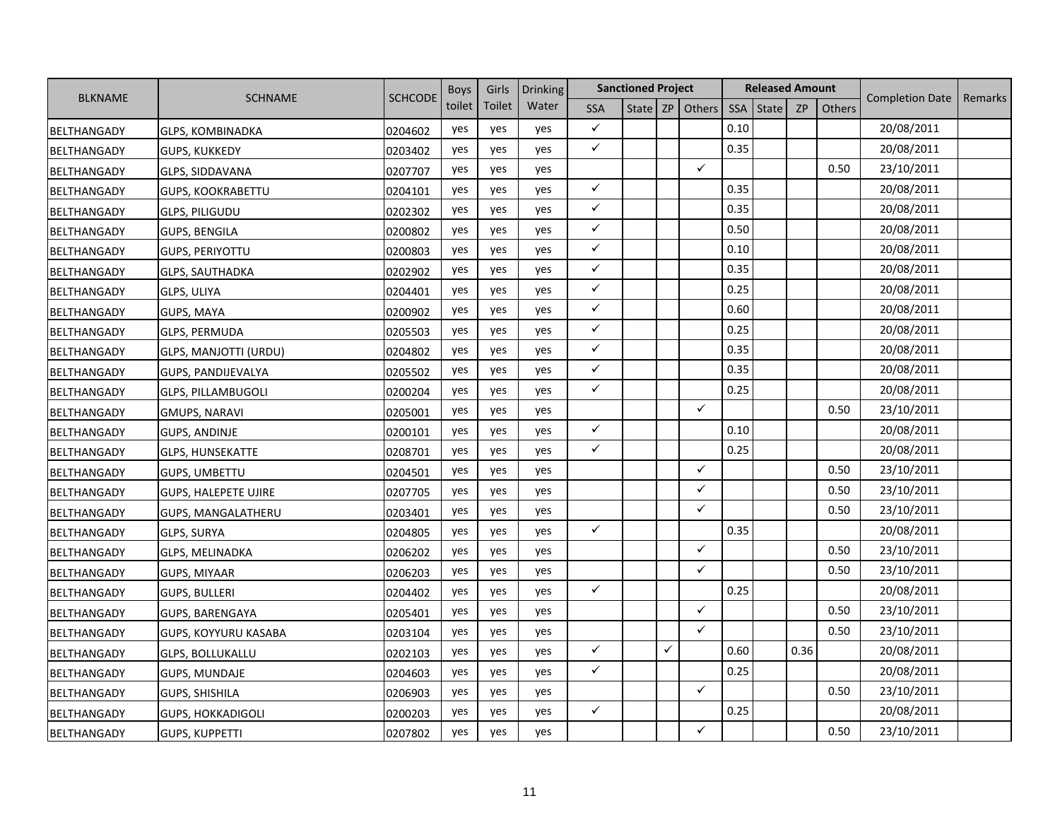|                    |                             |                | <b>Boys</b> | Girls  | Drinking |              | <b>Sanctioned Project</b> |   |                     |      | <b>Released Amount</b> |           |        |                        |         |
|--------------------|-----------------------------|----------------|-------------|--------|----------|--------------|---------------------------|---|---------------------|------|------------------------|-----------|--------|------------------------|---------|
| <b>BLKNAME</b>     | <b>SCHNAME</b>              | <b>SCHCODE</b> | toilet      | Toilet | Water    | <b>SSA</b>   |                           |   | State   ZP   Others | SSA  | <b>State</b>           | <b>ZP</b> | Others | <b>Completion Date</b> | Remarks |
| BELTHANGADY        | <b>GLPS, KOMBINADKA</b>     | 0204602        | yes         | yes    | yes      | $\checkmark$ |                           |   |                     | 0.10 |                        |           |        | 20/08/2011             |         |
| BELTHANGADY        | GUPS, KUKKEDY               | 0203402        | yes         | yes    | yes      | $\checkmark$ |                           |   |                     | 0.35 |                        |           |        | 20/08/2011             |         |
| <b>BELTHANGADY</b> | GLPS, SIDDAVANA             | 0207707        | yes         | yes    | yes      |              |                           |   | ✓                   |      |                        |           | 0.50   | 23/10/2011             |         |
| <b>BELTHANGADY</b> | <b>GUPS, KOOKRABETTU</b>    | 0204101        | yes         | yes    | yes      | $\checkmark$ |                           |   |                     | 0.35 |                        |           |        | 20/08/2011             |         |
| <b>BELTHANGADY</b> | <b>GLPS, PILIGUDU</b>       | 0202302        | yes         | yes    | yes      | $\checkmark$ |                           |   |                     | 0.35 |                        |           |        | 20/08/2011             |         |
| BELTHANGADY        | <b>GUPS, BENGILA</b>        | 0200802        | yes         | yes    | yes      | ✓            |                           |   |                     | 0.50 |                        |           |        | 20/08/2011             |         |
| <b>BELTHANGADY</b> | <b>GUPS, PERIYOTTU</b>      | 0200803        | yes         | yes    | yes      | $\checkmark$ |                           |   |                     | 0.10 |                        |           |        | 20/08/2011             |         |
| BELTHANGADY        | <b>GLPS, SAUTHADKA</b>      | 0202902        | yes         | yes    | yes      | $\checkmark$ |                           |   |                     | 0.35 |                        |           |        | 20/08/2011             |         |
| BELTHANGADY        | GLPS, ULIYA                 | 0204401        | yes         | yes    | yes      | $\checkmark$ |                           |   |                     | 0.25 |                        |           |        | 20/08/2011             |         |
| <b>BELTHANGADY</b> | GUPS, MAYA                  | 0200902        | yes         | yes    | yes      | $\checkmark$ |                           |   |                     | 0.60 |                        |           |        | 20/08/2011             |         |
| <b>BELTHANGADY</b> | <b>GLPS, PERMUDA</b>        | 0205503        | yes         | yes    | yes      | $\checkmark$ |                           |   |                     | 0.25 |                        |           |        | 20/08/2011             |         |
| <b>BELTHANGADY</b> | GLPS, MANJOTTI (URDU)       | 0204802        | yes         | yes    | yes      | $\checkmark$ |                           |   |                     | 0.35 |                        |           |        | 20/08/2011             |         |
| <b>BELTHANGADY</b> | GUPS, PANDIJEVALYA          | 0205502        | yes         | yes    | yes      | $\checkmark$ |                           |   |                     | 0.35 |                        |           |        | 20/08/2011             |         |
| BELTHANGADY        | <b>GLPS, PILLAMBUGOLI</b>   | 0200204        | yes         | yes    | yes      | $\checkmark$ |                           |   |                     | 0.25 |                        |           |        | 20/08/2011             |         |
| <b>BELTHANGADY</b> | <b>GMUPS, NARAVI</b>        | 0205001        | yes         | yes    | yes      |              |                           |   | $\checkmark$        |      |                        |           | 0.50   | 23/10/2011             |         |
| BELTHANGADY        | <b>GUPS, ANDINJE</b>        | 0200101        | yes         | yes    | yes      | $\checkmark$ |                           |   |                     | 0.10 |                        |           |        | 20/08/2011             |         |
| BELTHANGADY        | <b>GLPS, HUNSEKATTE</b>     | 0208701        | yes         | yes    | yes      | $\checkmark$ |                           |   |                     | 0.25 |                        |           |        | 20/08/2011             |         |
| <b>BELTHANGADY</b> | GUPS, UMBETTU               | 0204501        | yes         | yes    | yes      |              |                           |   | ✓                   |      |                        |           | 0.50   | 23/10/2011             |         |
| <b>BELTHANGADY</b> | <b>GUPS, HALEPETE UJIRE</b> | 0207705        | yes         | yes    | yes      |              |                           |   | ✓                   |      |                        |           | 0.50   | 23/10/2011             |         |
| <b>BELTHANGADY</b> | <b>GUPS, MANGALATHERU</b>   | 0203401        | yes         | yes    | yes      |              |                           |   | ✓                   |      |                        |           | 0.50   | 23/10/2011             |         |
| BELTHANGADY        | <b>GLPS, SURYA</b>          | 0204805        | yes         | yes    | yes      | $\checkmark$ |                           |   |                     | 0.35 |                        |           |        | 20/08/2011             |         |
| BELTHANGADY        | <b>GLPS, MELINADKA</b>      | 0206202        | yes         | yes    | yes      |              |                           |   | ✓                   |      |                        |           | 0.50   | 23/10/2011             |         |
| BELTHANGADY        | <b>GUPS, MIYAAR</b>         | 0206203        | yes         | yes    | yes      |              |                           |   | ✓                   |      |                        |           | 0.50   | 23/10/2011             |         |
| BELTHANGADY        | GUPS, BULLERI               | 0204402        | yes         | yes    | yes      | $\checkmark$ |                           |   |                     | 0.25 |                        |           |        | 20/08/2011             |         |
| BELTHANGADY        | GUPS, BARENGAYA             | 0205401        | yes         | yes    | yes      |              |                           |   | ✓                   |      |                        |           | 0.50   | 23/10/2011             |         |
| <b>BELTHANGADY</b> | <b>GUPS, KOYYURU KASABA</b> | 0203104        | yes         | yes    | yes      |              |                           |   | ✓                   |      |                        |           | 0.50   | 23/10/2011             |         |
| <b>BELTHANGADY</b> | <b>GLPS, BOLLUKALLU</b>     | 0202103        | yes         | yes    | yes      | ✓            |                           | ✓ |                     | 0.60 |                        | 0.36      |        | 20/08/2011             |         |
| BELTHANGADY        | <b>GUPS, MUNDAJE</b>        | 0204603        | yes         | yes    | yes      | $\checkmark$ |                           |   |                     | 0.25 |                        |           |        | 20/08/2011             |         |
| BELTHANGADY        | GUPS, SHISHILA              | 0206903        | yes         | yes    | yes      |              |                           |   | ✓                   |      |                        |           | 0.50   | 23/10/2011             |         |
| BELTHANGADY        | <b>GUPS, HOKKADIGOLI</b>    | 0200203        | yes         | yes    | yes      | $\checkmark$ |                           |   |                     | 0.25 |                        |           |        | 20/08/2011             |         |
| BELTHANGADY        | <b>GUPS, KUPPETTI</b>       | 0207802        | yes         | yes    | yes      |              |                           |   | ✓                   |      |                        |           | 0.50   | 23/10/2011             |         |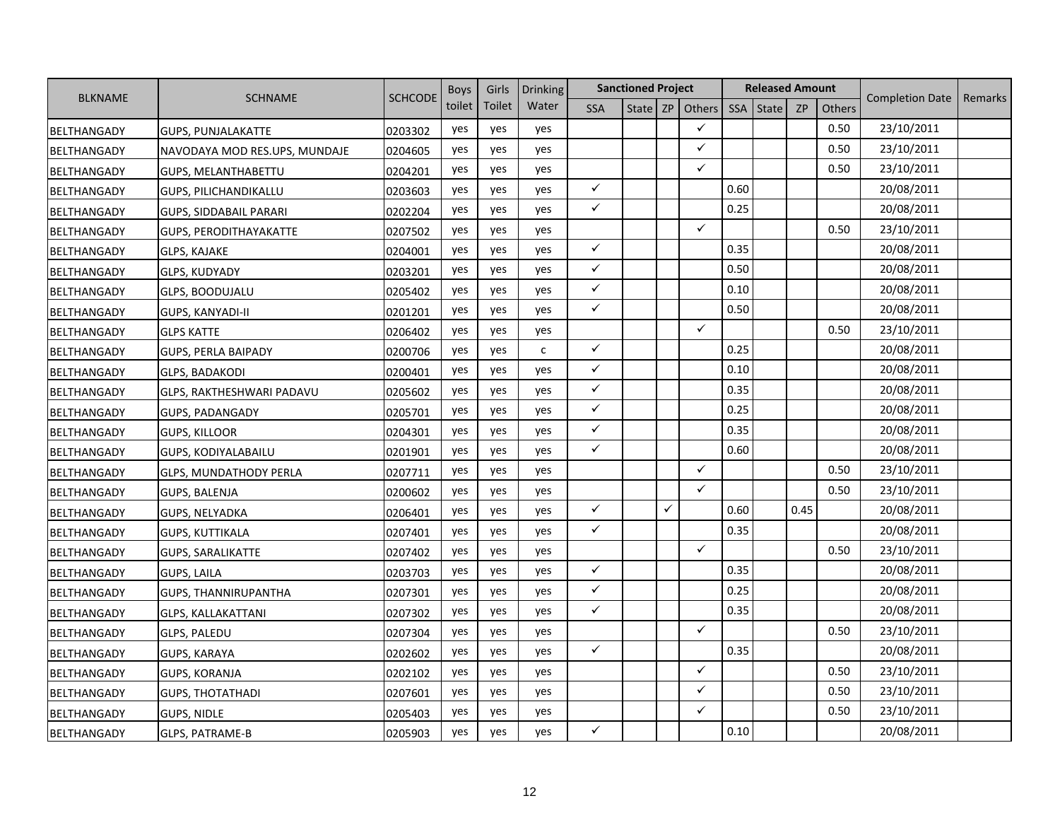|                    |                               |                | <b>Boys</b> | Girls  | <b>Drinking</b> |              | <b>Sanctioned Project</b> |              |              |            | <b>Released Amount</b> |           |        |                        |         |
|--------------------|-------------------------------|----------------|-------------|--------|-----------------|--------------|---------------------------|--------------|--------------|------------|------------------------|-----------|--------|------------------------|---------|
| <b>BLKNAME</b>     | <b>SCHNAME</b>                | <b>SCHCODE</b> | toilet      | Toilet | Water           | <b>SSA</b>   | State $ZP$                |              | Others       | <b>SSA</b> | <b>State</b>           | <b>ZP</b> | Others | <b>Completion Date</b> | Remarks |
| BELTHANGADY        | <b>GUPS, PUNJALAKATTE</b>     | 0203302        | yes         | yes    | yes             |              |                           |              | $\checkmark$ |            |                        |           | 0.50   | 23/10/2011             |         |
| BELTHANGADY        | NAVODAYA MOD RES.UPS, MUNDAJE | 0204605        | yes         | yes    | yes             |              |                           |              | $\checkmark$ |            |                        |           | 0.50   | 23/10/2011             |         |
| BELTHANGADY        | GUPS, MELANTHABETTU           | 0204201        | yes         | yes    | yes             |              |                           |              | $\checkmark$ |            |                        |           | 0.50   | 23/10/2011             |         |
| BELTHANGADY        | <b>GUPS, PILICHANDIKALLU</b>  | 0203603        | yes         | yes    | yes             | $\checkmark$ |                           |              |              | 0.60       |                        |           |        | 20/08/2011             |         |
| BELTHANGADY        | <b>GUPS, SIDDABAIL PARARI</b> | 0202204        | yes         | yes    | yes             | $\checkmark$ |                           |              |              | 0.25       |                        |           |        | 20/08/2011             |         |
| BELTHANGADY        | <b>GUPS, PERODITHAYAKATTE</b> | 0207502        | yes         | yes    | yes             |              |                           |              | ✓            |            |                        |           | 0.50   | 23/10/2011             |         |
| <b>BELTHANGADY</b> | GLPS, KAJAKE                  | 0204001        | yes         | yes    | yes             | $\checkmark$ |                           |              |              | 0.35       |                        |           |        | 20/08/2011             |         |
| <b>BELTHANGADY</b> | GLPS, KUDYADY                 | 0203201        | yes         | yes    | yes             | $\checkmark$ |                           |              |              | 0.50       |                        |           |        | 20/08/2011             |         |
| <b>BELTHANGADY</b> | <b>GLPS, BOODUJALU</b>        | 0205402        | yes         | yes    | yes             | $\checkmark$ |                           |              |              | 0.10       |                        |           |        | 20/08/2011             |         |
| BELTHANGADY        | GUPS, KANYADI-II              | 0201201        | yes         | yes    | yes             | $\checkmark$ |                           |              |              | 0.50       |                        |           |        | 20/08/2011             |         |
| <b>BELTHANGADY</b> | <b>GLPS KATTE</b>             | 0206402        | yes         | yes    | yes             |              |                           |              | $\checkmark$ |            |                        |           | 0.50   | 23/10/2011             |         |
| BELTHANGADY        | <b>GUPS, PERLA BAIPADY</b>    | 0200706        | yes         | yes    | $\mathsf{C}$    | $\checkmark$ |                           |              |              | 0.25       |                        |           |        | 20/08/2011             |         |
| BELTHANGADY        | <b>GLPS, BADAKODI</b>         | 0200401        | yes         | yes    | yes             | $\checkmark$ |                           |              |              | 0.10       |                        |           |        | 20/08/2011             |         |
| BELTHANGADY        | GLPS, RAKTHESHWARI PADAVU     | 0205602        | yes         | yes    | yes             | $\checkmark$ |                           |              |              | 0.35       |                        |           |        | 20/08/2011             |         |
| BELTHANGADY        | <b>GUPS, PADANGADY</b>        | 0205701        | yes         | yes    | yes             | $\checkmark$ |                           |              |              | 0.25       |                        |           |        | 20/08/2011             |         |
| <b>BELTHANGADY</b> | <b>GUPS, KILLOOR</b>          | 0204301        | yes         | yes    | yes             | $\checkmark$ |                           |              |              | 0.35       |                        |           |        | 20/08/2011             |         |
| BELTHANGADY        | GUPS, KODIYALABAILU           | 0201901        | yes         | yes    | yes             | $\checkmark$ |                           |              |              | 0.60       |                        |           |        | 20/08/2011             |         |
| BELTHANGADY        | <b>GLPS, MUNDATHODY PERLA</b> | 0207711        | yes         | yes    | yes             |              |                           |              | $\checkmark$ |            |                        |           | 0.50   | 23/10/2011             |         |
| <b>BELTHANGADY</b> | <b>GUPS, BALENJA</b>          | 0200602        | yes         | yes    | yes             |              |                           |              | $\checkmark$ |            |                        |           | 0.50   | 23/10/2011             |         |
| BELTHANGADY        | <b>GUPS, NELYADKA</b>         | 0206401        | yes         | yes    | yes             | $\checkmark$ |                           | $\checkmark$ |              | 0.60       |                        | 0.45      |        | 20/08/2011             |         |
| BELTHANGADY        | <b>GUPS, KUTTIKALA</b>        | 0207401        | yes         | yes    | yes             | $\checkmark$ |                           |              |              | 0.35       |                        |           |        | 20/08/2011             |         |
| BELTHANGADY        | <b>GUPS, SARALIKATTE</b>      | 0207402        | yes         | yes    | yes             |              |                           |              | $\checkmark$ |            |                        |           | 0.50   | 23/10/2011             |         |
| <b>BELTHANGADY</b> | <b>GUPS, LAILA</b>            | 0203703        | yes         | yes    | yes             | $\checkmark$ |                           |              |              | 0.35       |                        |           |        | 20/08/2011             |         |
| BELTHANGADY        | GUPS, THANNIRUPANTHA          | 0207301        | yes         | yes    | yes             | $\checkmark$ |                           |              |              | 0.25       |                        |           |        | 20/08/2011             |         |
| BELTHANGADY        | GLPS, KALLAKATTANI            | 0207302        | yes         | yes    | yes             | $\checkmark$ |                           |              |              | 0.35       |                        |           |        | 20/08/2011             |         |
| <b>BELTHANGADY</b> | GLPS, PALEDU                  | 0207304        | yes         | yes    | yes             |              |                           |              | $\checkmark$ |            |                        |           | 0.50   | 23/10/2011             |         |
| BELTHANGADY        | <b>GUPS, KARAYA</b>           | 0202602        | yes         | yes    | yes             | $\checkmark$ |                           |              |              | 0.35       |                        |           |        | 20/08/2011             |         |
| BELTHANGADY        | <b>GUPS, KORANJA</b>          | 0202102        | yes         | yes    | yes             |              |                           |              | $\checkmark$ |            |                        |           | 0.50   | 23/10/2011             |         |
| BELTHANGADY        | <b>GUPS, THOTATHADI</b>       | 0207601        | yes         | yes    | yes             |              |                           |              | $\checkmark$ |            |                        |           | 0.50   | 23/10/2011             |         |
| BELTHANGADY        | <b>GUPS, NIDLE</b>            | 0205403        | yes         | yes    | yes             |              |                           |              | $\checkmark$ |            |                        |           | 0.50   | 23/10/2011             |         |
| <b>BELTHANGADY</b> | GLPS, PATRAME-B               | 0205903        | yes         | yes    | yes             | $\checkmark$ |                           |              |              | 0.10       |                        |           |        | 20/08/2011             |         |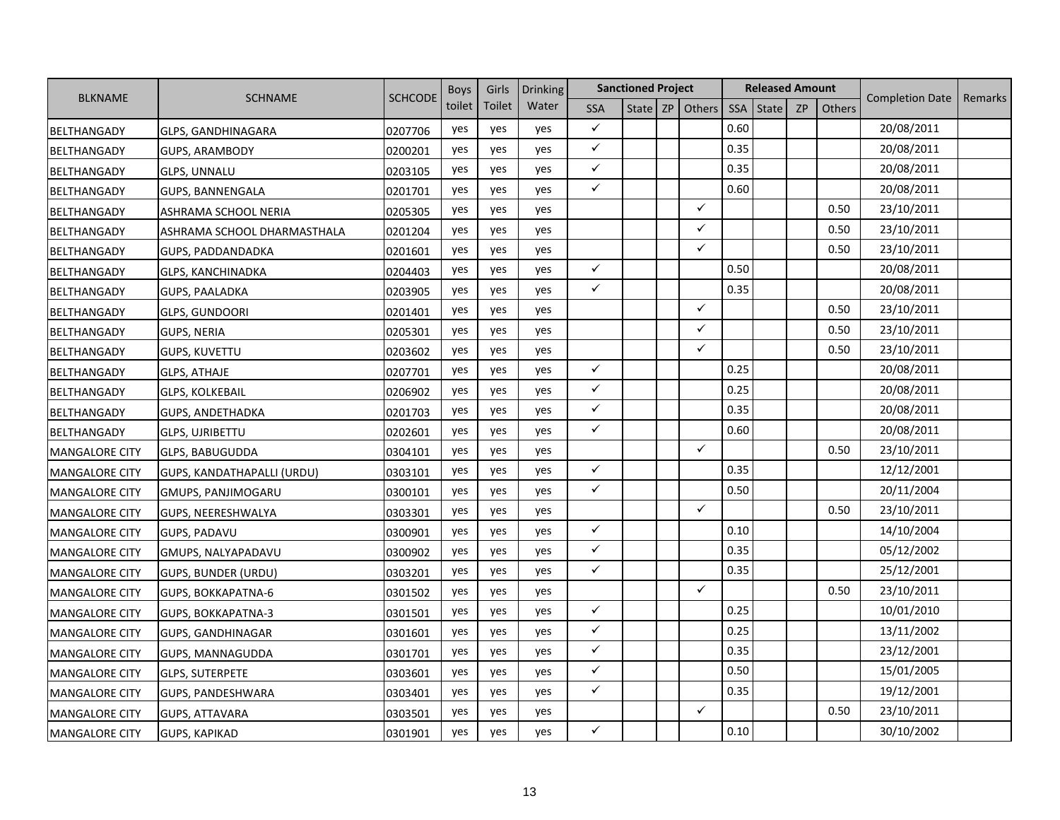|                       | <b>BLKNAME</b><br><b>SCHNAME</b> |                | <b>Boys</b> | Girls  | <b>Drinking</b> |              | <b>Sanctioned Project</b> |                   |            | <b>Released Amount</b> |           |        |                        |         |
|-----------------------|----------------------------------|----------------|-------------|--------|-----------------|--------------|---------------------------|-------------------|------------|------------------------|-----------|--------|------------------------|---------|
|                       |                                  | <b>SCHCODE</b> | toilet      | Toilet | Water           | <b>SSA</b>   |                           | State $ZP$ Others | <b>SSA</b> | State                  | <b>ZP</b> | Others | <b>Completion Date</b> | Remarks |
| BELTHANGADY           | GLPS, GANDHINAGARA               | 0207706        | yes         | yes    | yes             | $\checkmark$ |                           |                   | 0.60       |                        |           |        | 20/08/2011             |         |
| BELTHANGADY           | GUPS, ARAMBODY                   | 0200201        | yes         | yes    | yes             | $\checkmark$ |                           |                   | 0.35       |                        |           |        | 20/08/2011             |         |
| <b>BELTHANGADY</b>    | <b>GLPS, UNNALU</b>              | 0203105        | yes         | yes    | yes             | $\checkmark$ |                           |                   | 0.35       |                        |           |        | 20/08/2011             |         |
| BELTHANGADY           | <b>GUPS, BANNENGALA</b>          | 0201701        | yes         | yes    | yes             | $\checkmark$ |                           |                   | 0.60       |                        |           |        | 20/08/2011             |         |
| BELTHANGADY           | ASHRAMA SCHOOL NERIA             | 0205305        | yes         | yes    | yes             |              |                           | $\checkmark$      |            |                        |           | 0.50   | 23/10/2011             |         |
| BELTHANGADY           | ASHRAMA SCHOOL DHARMASTHALA      | 0201204        | yes         | yes    | yes             |              |                           | $\checkmark$      |            |                        |           | 0.50   | 23/10/2011             |         |
| BELTHANGADY           | GUPS, PADDANDADKA                | 0201601        | yes         | yes    | yes             |              |                           | $\checkmark$      |            |                        |           | 0.50   | 23/10/2011             |         |
| BELTHANGADY           | GLPS, KANCHINADKA                | 0204403        | yes         | yes    | yes             | $\checkmark$ |                           |                   | 0.50       |                        |           |        | 20/08/2011             |         |
| BELTHANGADY           | <b>GUPS, PAALADKA</b>            | 0203905        | yes         | yes    | yes             | $\checkmark$ |                           |                   | 0.35       |                        |           |        | 20/08/2011             |         |
| BELTHANGADY           | <b>GLPS, GUNDOORI</b>            | 0201401        | yes         | yes    | yes             |              |                           | $\checkmark$      |            |                        |           | 0.50   | 23/10/2011             |         |
| BELTHANGADY           | <b>GUPS, NERIA</b>               | 0205301        | yes         | yes    | yes             |              |                           | $\checkmark$      |            |                        |           | 0.50   | 23/10/2011             |         |
| BELTHANGADY           | <b>GUPS, KUVETTU</b>             | 0203602        | yes         | yes    | yes             |              |                           | $\checkmark$      |            |                        |           | 0.50   | 23/10/2011             |         |
| BELTHANGADY           | <b>GLPS, ATHAJE</b>              | 0207701        | yes         | yes    | yes             | $\checkmark$ |                           |                   | 0.25       |                        |           |        | 20/08/2011             |         |
| BELTHANGADY           | GLPS, KOLKEBAIL                  | 0206902        | yes         | yes    | yes             | $\checkmark$ |                           |                   | 0.25       |                        |           |        | 20/08/2011             |         |
| BELTHANGADY           | GUPS, ANDETHADKA                 | 0201703        | yes         | yes    | yes             | $\checkmark$ |                           |                   | 0.35       |                        |           |        | 20/08/2011             |         |
| BELTHANGADY           | <b>GLPS, UJRIBETTU</b>           | 0202601        | yes         | yes    | yes             | $\checkmark$ |                           |                   | 0.60       |                        |           |        | 20/08/2011             |         |
| <b>MANGALORE CITY</b> | <b>GLPS, BABUGUDDA</b>           | 0304101        | yes         | yes    | yes             |              |                           | $\checkmark$      |            |                        |           | 0.50   | 23/10/2011             |         |
| <b>MANGALORE CITY</b> | GUPS, KANDATHAPALLI (URDU)       | 0303101        | yes         | yes    | yes             | $\checkmark$ |                           |                   | 0.35       |                        |           |        | 12/12/2001             |         |
| <b>MANGALORE CITY</b> | GMUPS, PANJIMOGARU               | 0300101        | yes         | yes    | yes             | $\checkmark$ |                           |                   | 0.50       |                        |           |        | 20/11/2004             |         |
| <b>MANGALORE CITY</b> | GUPS, NEERESHWALYA               | 0303301        | yes         | yes    | yes             |              |                           | $\checkmark$      |            |                        |           | 0.50   | 23/10/2011             |         |
| <b>MANGALORE CITY</b> | GUPS, PADAVU                     | 0300901        | yes         | yes    | yes             | $\checkmark$ |                           |                   | 0.10       |                        |           |        | 14/10/2004             |         |
| <b>MANGALORE CITY</b> | GMUPS, NALYAPADAVU               | 0300902        | yes         | yes    | yes             | $\checkmark$ |                           |                   | 0.35       |                        |           |        | 05/12/2002             |         |
| <b>MANGALORE CITY</b> | GUPS, BUNDER (URDU)              | 0303201        | yes         | yes    | yes             | $\checkmark$ |                           |                   | 0.35       |                        |           |        | 25/12/2001             |         |
| <b>MANGALORE CITY</b> | GUPS, BOKKAPATNA-6               | 0301502        | yes         | yes    | yes             |              |                           | $\checkmark$      |            |                        |           | 0.50   | 23/10/2011             |         |
| <b>MANGALORE CITY</b> | GUPS, BOKKAPATNA-3               | 0301501        | yes         | yes    | yes             | $\checkmark$ |                           |                   | 0.25       |                        |           |        | 10/01/2010             |         |
| <b>MANGALORE CITY</b> | GUPS, GANDHINAGAR                | 0301601        | yes         | yes    | yes             | $\checkmark$ |                           |                   | 0.25       |                        |           |        | 13/11/2002             |         |
| <b>MANGALORE CITY</b> | GUPS, MANNAGUDDA                 | 0301701        | yes         | yes    | yes             | $\checkmark$ |                           |                   | 0.35       |                        |           |        | 23/12/2001             |         |
| <b>MANGALORE CITY</b> | <b>GLPS, SUTERPETE</b>           | 0303601        | yes         | yes    | yes             | $\checkmark$ |                           |                   | 0.50       |                        |           |        | 15/01/2005             |         |
| <b>MANGALORE CITY</b> | GUPS, PANDESHWARA                | 0303401        | yes         | yes    | yes             | $\checkmark$ |                           |                   | 0.35       |                        |           |        | 19/12/2001             |         |
| <b>MANGALORE CITY</b> | <b>GUPS, ATTAVARA</b>            | 0303501        | yes         | yes    | yes             |              |                           | $\checkmark$      |            |                        |           | 0.50   | 23/10/2011             |         |
| <b>MANGALORE CITY</b> | <b>GUPS, KAPIKAD</b>             | 0301901        | yes         | yes    | yes             | $\checkmark$ |                           |                   | 0.10       |                        |           |        | 30/10/2002             |         |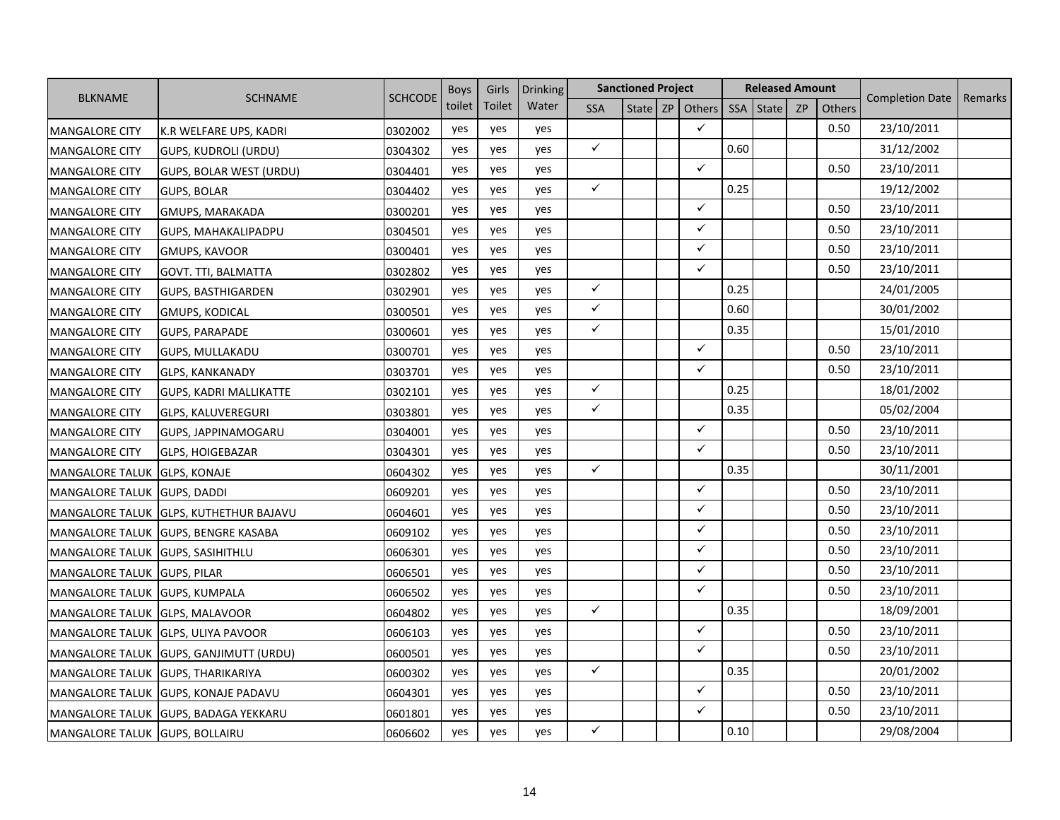|                                |                                | <b>SCHCODE</b> | <b>Boys</b> | Girls  | <b>Drinking</b> |              | <b>Sanctioned Project</b> |                     |      | <b>Released Amount</b> |    |               |                        |         |
|--------------------------------|--------------------------------|----------------|-------------|--------|-----------------|--------------|---------------------------|---------------------|------|------------------------|----|---------------|------------------------|---------|
| <b>BLKNAME</b>                 | <b>SCHNAME</b>                 |                | toilet      | Toilet | Water           | <b>SSA</b>   |                           | State   ZP   Others | SSA  | <b>State</b>           | ZP | <b>Others</b> | <b>Completion Date</b> | Remarks |
| <b>MANGALORE CITY</b>          | K.R WELFARE UPS, KADRI         | 0302002        | yes         | yes    | yes             |              |                           | ✓                   |      |                        |    | 0.50          | 23/10/2011             |         |
| <b>MANGALORE CITY</b>          | GUPS, KUDROLI (URDU)           | 0304302        | yes         | yes    | yes             | $\checkmark$ |                           |                     | 0.60 |                        |    |               | 31/12/2002             |         |
| <b>MANGALORE CITY</b>          | <b>GUPS, BOLAR WEST (URDU)</b> | 0304401        | yes         | yes    | yes             |              |                           | ✓                   |      |                        |    | 0.50          | 23/10/2011             |         |
| <b>MANGALORE CITY</b>          | <b>GUPS, BOLAR</b>             | 0304402        | yes         | yes    | yes             | $\checkmark$ |                           |                     | 0.25 |                        |    |               | 19/12/2002             |         |
| <b>MANGALORE CITY</b>          | GMUPS, MARAKADA                | 0300201        | yes         | yes    | yes             |              |                           | ✓                   |      |                        |    | 0.50          | 23/10/2011             |         |
| <b>MANGALORE CITY</b>          | GUPS, MAHAKALIPADPU            | 0304501        | yes         | yes    | yes             |              |                           | ✓                   |      |                        |    | 0.50          | 23/10/2011             |         |
| <b>MANGALORE CITY</b>          | <b>GMUPS, KAVOOR</b>           | 0300401        | yes         | yes    | yes             |              |                           | ✓                   |      |                        |    | 0.50          | 23/10/2011             |         |
| <b>MANGALORE CITY</b>          | GOVT. TTI, BALMATTA            | 0302802        | yes         | yes    | yes             |              |                           | ✓                   |      |                        |    | 0.50          | 23/10/2011             |         |
| <b>MANGALORE CITY</b>          | <b>GUPS, BASTHIGARDEN</b>      | 0302901        | yes         | yes    | yes             | $\checkmark$ |                           |                     | 0.25 |                        |    |               | 24/01/2005             |         |
| <b>MANGALORE CITY</b>          | <b>GMUPS, KODICAL</b>          | 0300501        | yes         | yes    | yes             | $\checkmark$ |                           |                     | 0.60 |                        |    |               | 30/01/2002             |         |
| <b>MANGALORE CITY</b>          | <b>GUPS, PARAPADE</b>          | 0300601        | yes         | yes    | yes             | $\checkmark$ |                           |                     | 0.35 |                        |    |               | 15/01/2010             |         |
| <b>MANGALORE CITY</b>          | <b>GUPS, MULLAKADU</b>         | 0300701        | yes         | yes    | yes             |              |                           | ✓                   |      |                        |    | 0.50          | 23/10/2011             |         |
| <b>MANGALORE CITY</b>          | <b>GLPS, KANKANADY</b>         | 0303701        | yes         | yes    | yes             |              |                           | $\checkmark$        |      |                        |    | 0.50          | 23/10/2011             |         |
| <b>MANGALORE CITY</b>          | <b>GUPS, KADRI MALLIKATTE</b>  | 0302101        | yes         | yes    | yes             | $\checkmark$ |                           |                     | 0.25 |                        |    |               | 18/01/2002             |         |
| <b>MANGALORE CITY</b>          | GLPS, KALUVEREGURI             | 0303801        | yes         | yes    | yes             | $\checkmark$ |                           |                     | 0.35 |                        |    |               | 05/02/2004             |         |
| <b>MANGALORE CITY</b>          | GUPS, JAPPINAMOGARU            | 0304001        | yes         | yes    | yes             |              |                           | $\checkmark$        |      |                        |    | 0.50          | 23/10/2011             |         |
| <b>MANGALORE CITY</b>          | <b>GLPS, HOIGEBAZAR</b>        | 0304301        | yes         | yes    | yes             |              |                           | ✓                   |      |                        |    | 0.50          | 23/10/2011             |         |
| <b>MANGALORE TALUK</b>         | <b>GLPS, KONAJE</b>            | 0604302        | yes         | yes    | yes             | $\checkmark$ |                           |                     | 0.35 |                        |    |               | 30/11/2001             |         |
| <b>MANGALORE TALUK</b>         | <b>GUPS, DADDI</b>             | 0609201        | yes         | yes    | yes             |              |                           | ✓                   |      |                        |    | 0.50          | 23/10/2011             |         |
| <b>MANGALORE TALUK</b>         | <b>GLPS, KUTHETHUR BAJAVU</b>  | 0604601        | yes         | yes    | yes             |              |                           | ✓                   |      |                        |    | 0.50          | 23/10/2011             |         |
| <b>MANGALORE TALUK</b>         | <b>GUPS, BENGRE KASABA</b>     | 0609102        | yes         | yes    | yes             |              |                           | ✓                   |      |                        |    | 0.50          | 23/10/2011             |         |
| <b>MANGALORE TALUK</b>         | <b>GUPS, SASIHITHLU</b>        | 0606301        | yes         | yes    | yes             |              |                           | ✓                   |      |                        |    | 0.50          | 23/10/2011             |         |
| <b>MANGALORE TALUK</b>         | <b>GUPS, PILAR</b>             | 0606501        | yes         | yes    | yes             |              |                           | ✓                   |      |                        |    | 0.50          | 23/10/2011             |         |
| <b>MANGALORE TALUK</b>         | <b>GUPS, KUMPALA</b>           | 0606502        | yes         | yes    | yes             |              |                           | ✓                   |      |                        |    | 0.50          | 23/10/2011             |         |
| <b>MANGALORE TALUK</b>         | <b>GLPS, MALAVOOR</b>          | 0604802        | yes         | yes    | yes             | $\checkmark$ |                           |                     | 0.35 |                        |    |               | 18/09/2001             |         |
| <b>MANGALORE TALUK</b>         | <b>GLPS, ULIYA PAVOOR</b>      | 0606103        | yes         | yes    | yes             |              |                           | ✓                   |      |                        |    | 0.50          | 23/10/2011             |         |
| <b>MANGALORE TALUK</b>         | <b>GUPS, GANJIMUTT (URDU)</b>  | 0600501        | yes         | yes    | yes             |              |                           | ✓                   |      |                        |    | 0.50          | 23/10/2011             |         |
| <b>MANGALORE TALUK</b>         | <b>GUPS, THARIKARIYA</b>       | 0600302        | yes         | yes    | yes             | $\checkmark$ |                           |                     | 0.35 |                        |    |               | 20/01/2002             |         |
| <b>MANGALORE TALUK</b>         | <b>GUPS, KONAJE PADAVU</b>     | 0604301        | yes         | yes    | yes             |              |                           | ✓                   |      |                        |    | 0.50          | 23/10/2011             |         |
| <b>MANGALORE TALUK</b>         | <b>GUPS, BADAGA YEKKARU</b>    | 0601801        | yes         | yes    | yes             |              |                           | ✓                   |      |                        |    | 0.50          | 23/10/2011             |         |
| MANGALORE TALUK GUPS, BOLLAIRU |                                | 0606602        | yes         | yes    | yes             | ✓            |                           |                     | 0.10 |                        |    |               | 29/08/2004             |         |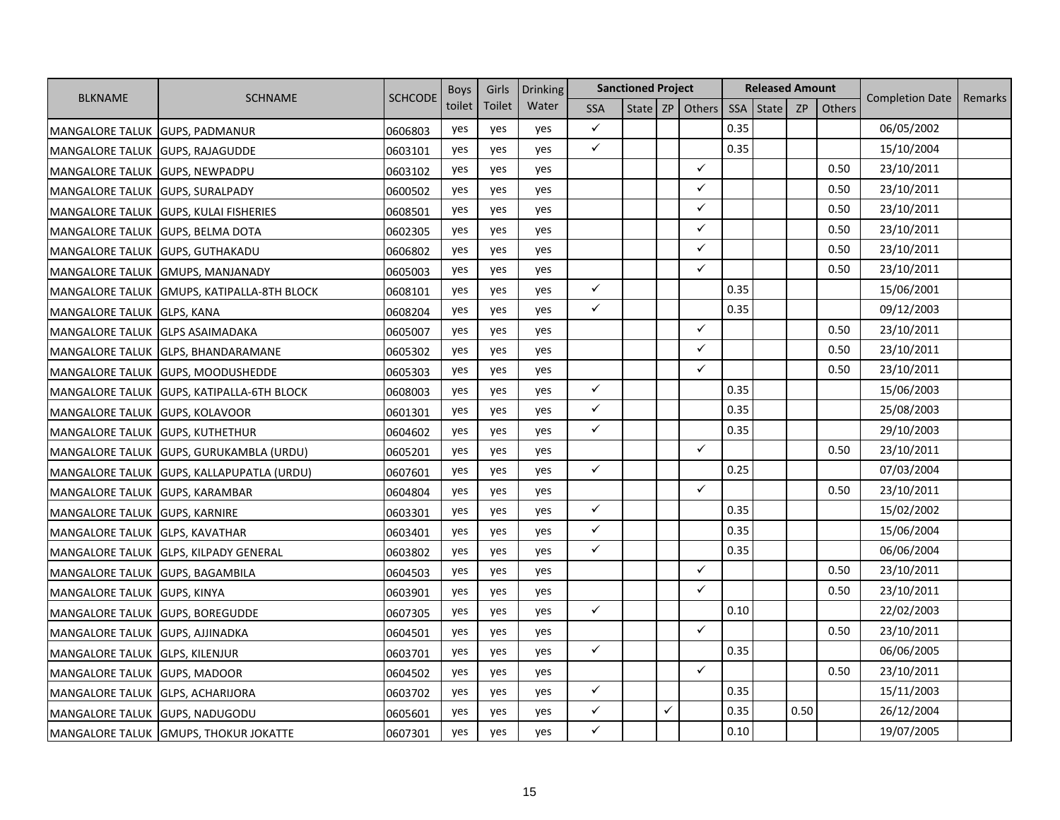|                        |                                   | <b>SCHCODE</b> | <b>Boys</b> | Girls  | <b>Drinking</b> |              | <b>Sanctioned Project</b> |   |              |            | <b>Released Amount</b> |           |        |                        |         |
|------------------------|-----------------------------------|----------------|-------------|--------|-----------------|--------------|---------------------------|---|--------------|------------|------------------------|-----------|--------|------------------------|---------|
| <b>BLKNAME</b>         | <b>SCHNAME</b>                    |                | toilet      | Toilet | Water           | <b>SSA</b>   | State                     |   | ZP Others    | <b>SSA</b> | <b>State</b>           | <b>ZP</b> | Others | <b>Completion Date</b> | Remarks |
| <b>MANGALORE TALUK</b> | <b>GUPS, PADMANUR</b>             | 0606803        | yes         | yes    | yes             | $\checkmark$ |                           |   |              | 0.35       |                        |           |        | 06/05/2002             |         |
| <b>MANGALORE TALUK</b> | <b>GUPS, RAJAGUDDE</b>            | 0603101        | yes         | yes    | yes             | $\checkmark$ |                           |   |              | 0.35       |                        |           |        | 15/10/2004             |         |
| <b>MANGALORE TALUK</b> | <b>GUPS, NEWPADPU</b>             | 0603102        | yes         | yes    | yes             |              |                           |   | $\checkmark$ |            |                        |           | 0.50   | 23/10/2011             |         |
| <b>MANGALORE TALUK</b> | <b>GUPS, SURALPADY</b>            | 0600502        | yes         | yes    | yes             |              |                           |   | ✓            |            |                        |           | 0.50   | 23/10/2011             |         |
| <b>MANGALORE TALUK</b> | <b>GUPS, KULAI FISHERIES</b>      | 0608501        | yes         | yes    | yes             |              |                           |   | $\checkmark$ |            |                        |           | 0.50   | 23/10/2011             |         |
| <b>MANGALORE TALUK</b> | <b>GUPS, BELMA DOTA</b>           | 0602305        | yes         | yes    | yes             |              |                           |   | ✓            |            |                        |           | 0.50   | 23/10/2011             |         |
| <b>MANGALORE TALUK</b> | <b>GUPS, GUTHAKADU</b>            | 0606802        | yes         | yes    | yes             |              |                           |   | $\checkmark$ |            |                        |           | 0.50   | 23/10/2011             |         |
| <b>MANGALORE TALUK</b> | <b>GMUPS, MANJANADY</b>           | 0605003        | yes         | yes    | yes             |              |                           |   | $\checkmark$ |            |                        |           | 0.50   | 23/10/2011             |         |
| <b>MANGALORE TALUK</b> | <b>GMUPS, KATIPALLA-8TH BLOCK</b> | 0608101        | yes         | yes    | yes             | $\checkmark$ |                           |   |              | 0.35       |                        |           |        | 15/06/2001             |         |
| <b>MANGALORE TALUK</b> | <b>GLPS, KANA</b>                 | 0608204        | yes         | yes    | yes             | $\checkmark$ |                           |   |              | 0.35       |                        |           |        | 09/12/2003             |         |
| <b>MANGALORE TALUK</b> | <b>GLPS ASAIMADAKA</b>            | 0605007        | yes         | yes    | yes             |              |                           |   | $\checkmark$ |            |                        |           | 0.50   | 23/10/2011             |         |
| <b>MANGALORE TALUK</b> | <b>GLPS, BHANDARAMANE</b>         | 0605302        | yes         | yes    | yes             |              |                           |   | $\checkmark$ |            |                        |           | 0.50   | 23/10/2011             |         |
| <b>MANGALORE TALUK</b> | <b>GUPS, MOODUSHEDDE</b>          | 0605303        | yes         | yes    | yes             |              |                           |   | $\checkmark$ |            |                        |           | 0.50   | 23/10/2011             |         |
| <b>MANGALORE TALUK</b> | <b>GUPS, KATIPALLA-6TH BLOCK</b>  | 0608003        | yes         | yes    | yes             | $\checkmark$ |                           |   |              | 0.35       |                        |           |        | 15/06/2003             |         |
| <b>MANGALORE TALUK</b> | <b>GUPS, KOLAVOOR</b>             | 0601301        | yes         | yes    | yes             | $\checkmark$ |                           |   |              | 0.35       |                        |           |        | 25/08/2003             |         |
| <b>MANGALORE TALUK</b> | <b>GUPS, KUTHETHUR</b>            | 0604602        | yes         | yes    | yes             | $\checkmark$ |                           |   |              | 0.35       |                        |           |        | 29/10/2003             |         |
| <b>MANGALORE TALUK</b> | GUPS, GURUKAMBLA (URDU)           | 0605201        | yes         | yes    | yes             |              |                           |   | $\checkmark$ |            |                        |           | 0.50   | 23/10/2011             |         |
| <b>MANGALORE TALUK</b> | <b>GUPS, KALLAPUPATLA (URDU)</b>  | 0607601        | yes         | yes    | yes             | $\checkmark$ |                           |   |              | 0.25       |                        |           |        | 07/03/2004             |         |
| <b>MANGALORE TALUK</b> | <b>GUPS, KARAMBAR</b>             | 0604804        | yes         | yes    | yes             |              |                           |   | $\checkmark$ |            |                        |           | 0.50   | 23/10/2011             |         |
| <b>MANGALORE TALUK</b> | <b>GUPS, KARNIRE</b>              | 0603301        | yes         | yes    | yes             | $\checkmark$ |                           |   |              | 0.35       |                        |           |        | 15/02/2002             |         |
| <b>MANGALORE TALUK</b> | <b>GLPS, KAVATHAR</b>             | 0603401        | yes         | yes    | yes             | $\checkmark$ |                           |   |              | 0.35       |                        |           |        | 15/06/2004             |         |
| <b>MANGALORE TALUK</b> | <b>GLPS, KILPADY GENERAL</b>      | 0603802        | yes         | yes    | yes             | $\checkmark$ |                           |   |              | 0.35       |                        |           |        | 06/06/2004             |         |
| <b>MANGALORE TALUK</b> | <b>GUPS, BAGAMBILA</b>            | 0604503        | yes         | yes    | yes             |              |                           |   | $\checkmark$ |            |                        |           | 0.50   | 23/10/2011             |         |
| <b>MANGALORE TALUK</b> | <b>GUPS, KINYA</b>                | 0603901        | yes         | yes    | yes             |              |                           |   | $\checkmark$ |            |                        |           | 0.50   | 23/10/2011             |         |
| <b>MANGALORE TALUK</b> | <b>GUPS, BOREGUDDE</b>            | 0607305        | yes         | yes    | yes             | $\checkmark$ |                           |   |              | 0.10       |                        |           |        | 22/02/2003             |         |
| <b>MANGALORE TALUK</b> | <b>GUPS, AJJINADKA</b>            | 0604501        | yes         | yes    | yes             |              |                           |   | $\checkmark$ |            |                        |           | 0.50   | 23/10/2011             |         |
| <b>MANGALORE TALUK</b> | <b>GLPS, KILENJUR</b>             | 0603701        | yes         | yes    | yes             | $\checkmark$ |                           |   |              | 0.35       |                        |           |        | 06/06/2005             |         |
| <b>MANGALORE TALUK</b> | <b>GUPS, MADOOR</b>               | 0604502        | yes         | yes    | yes             |              |                           |   | $\checkmark$ |            |                        |           | 0.50   | 23/10/2011             |         |
| <b>MANGALORE TALUK</b> | <b>GLPS, ACHARIJORA</b>           | 0603702        | yes         | yes    | yes             | $\checkmark$ |                           |   |              | 0.35       |                        |           |        | 15/11/2003             |         |
| <b>MANGALORE TALUK</b> | GUPS, NADUGODU                    | 0605601        | yes         | yes    | yes             | $\checkmark$ |                           | ✓ |              | 0.35       |                        | 0.50      |        | 26/12/2004             |         |
| <b>MANGALORE TALUK</b> | <b>GMUPS, THOKUR JOKATTE</b>      | 0607301        | yes         | yes    | yes             | ✓            |                           |   |              | 0.10       |                        |           |        | 19/07/2005             |         |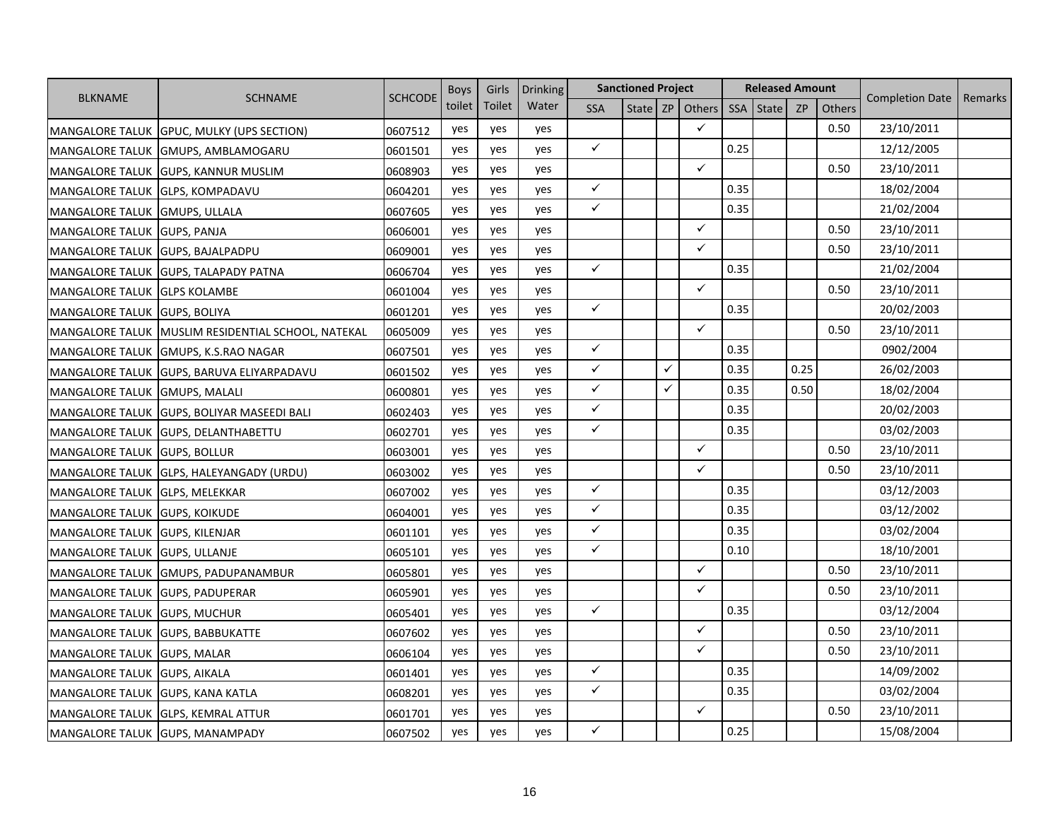|                        |                                    | <b>SCHCODE</b> | <b>Boys</b> | Girls  | <b>Drinking</b> |              | <b>Sanctioned Project</b> |              |              |            | <b>Released Amount</b> |           |        |                        |         |
|------------------------|------------------------------------|----------------|-------------|--------|-----------------|--------------|---------------------------|--------------|--------------|------------|------------------------|-----------|--------|------------------------|---------|
| <b>BLKNAME</b>         | <b>SCHNAME</b>                     |                | toilet      | Toilet | Water           | <b>SSA</b>   | State ZP                  |              | Others       | <b>SSA</b> | State                  | <b>ZP</b> | Others | <b>Completion Date</b> | Remarks |
| <b>MANGALORE TALUK</b> | <b>GPUC, MULKY (UPS SECTION)</b>   | 0607512        | yes         | yes    | yes             |              |                           |              | $\checkmark$ |            |                        |           | 0.50   | 23/10/2011             |         |
| <b>MANGALORE TALUK</b> | GMUPS, AMBLAMOGARU                 | 0601501        | yes         | yes    | yes             | $\checkmark$ |                           |              |              | 0.25       |                        |           |        | 12/12/2005             |         |
| <b>MANGALORE TALUK</b> | <b>GUPS, KANNUR MUSLIM</b>         | 0608903        | yes         | yes    | yes             |              |                           |              | $\checkmark$ |            |                        |           | 0.50   | 23/10/2011             |         |
| <b>MANGALORE TALUK</b> | <b>GLPS, KOMPADAVU</b>             | 0604201        | yes         | yes    | yes             | $\checkmark$ |                           |              |              | 0.35       |                        |           |        | 18/02/2004             |         |
| <b>MANGALORE TALUK</b> | <b>GMUPS, ULLALA</b>               | 0607605        | yes         | yes    | yes             | $\checkmark$ |                           |              |              | 0.35       |                        |           |        | 21/02/2004             |         |
| <b>MANGALORE TALUK</b> | <b>GUPS, PANJA</b>                 | 0606001        | yes         | yes    | yes             |              |                           |              | $\checkmark$ |            |                        |           | 0.50   | 23/10/2011             |         |
| <b>MANGALORE TALUK</b> | <b>GUPS, BAJALPADPU</b>            | 0609001        | yes         | yes    | yes             |              |                           |              | $\checkmark$ |            |                        |           | 0.50   | 23/10/2011             |         |
| <b>MANGALORE TALUK</b> | <b>GUPS, TALAPADY PATNA</b>        | 0606704        | yes         | yes    | yes             | $\checkmark$ |                           |              |              | 0.35       |                        |           |        | 21/02/2004             |         |
| <b>MANGALORE TALUK</b> | <b>GLPS KOLAMBE</b>                | 0601004        | yes         | yes    | yes             |              |                           |              | $\checkmark$ |            |                        |           | 0.50   | 23/10/2011             |         |
| <b>MANGALORE TALUK</b> | <b>GUPS, BOLIYA</b>                | 0601201        | yes         | yes    | yes             | $\checkmark$ |                           |              |              | 0.35       |                        |           |        | 20/02/2003             |         |
| <b>MANGALORE TALUK</b> | MUSLIM RESIDENTIAL SCHOOL, NATEKAL | 0605009        | yes         | yes    | yes             |              |                           |              | $\checkmark$ |            |                        |           | 0.50   | 23/10/2011             |         |
| <b>MANGALORE TALUK</b> | <b>GMUPS, K.S.RAO NAGAR</b>        | 0607501        | yes         | yes    | yes             | $\checkmark$ |                           |              |              | 0.35       |                        |           |        | 0902/2004              |         |
| <b>MANGALORE TALUK</b> | GUPS, BARUVA ELIYARPADAVU          | 0601502        | yes         | yes    | yes             | $\checkmark$ |                           | $\checkmark$ |              | 0.35       |                        | 0.25      |        | 26/02/2003             |         |
| <b>MANGALORE TALUK</b> | <b>GMUPS, MALALI</b>               | 0600801        | yes         | yes    | yes             | $\checkmark$ |                           | $\checkmark$ |              | 0.35       |                        | 0.50      |        | 18/02/2004             |         |
| <b>MANGALORE TALUK</b> | <b>GUPS, BOLIYAR MASEEDI BALI</b>  | 0602403        | yes         | yes    | yes             | $\checkmark$ |                           |              |              | 0.35       |                        |           |        | 20/02/2003             |         |
| <b>MANGALORE TALUK</b> | <b>GUPS, DELANTHABETTU</b>         | 0602701        | yes         | yes    | yes             | $\checkmark$ |                           |              |              | 0.35       |                        |           |        | 03/02/2003             |         |
| <b>MANGALORE TALUK</b> | <b>GUPS, BOLLUR</b>                | 0603001        | yes         | yes    | yes             |              |                           |              | $\checkmark$ |            |                        |           | 0.50   | 23/10/2011             |         |
| <b>MANGALORE TALUK</b> | GLPS, HALEYANGADY (URDU)           | 0603002        | yes         | yes    | yes             |              |                           |              | $\checkmark$ |            |                        |           | 0.50   | 23/10/2011             |         |
| <b>MANGALORE TALUK</b> | <b>GLPS, MELEKKAR</b>              | 0607002        | yes         | yes    | yes             | $\checkmark$ |                           |              |              | 0.35       |                        |           |        | 03/12/2003             |         |
| <b>MANGALORE TALUK</b> | <b>GUPS, KOIKUDE</b>               | 0604001        | yes         | yes    | yes             | $\checkmark$ |                           |              |              | 0.35       |                        |           |        | 03/12/2002             |         |
| <b>MANGALORE TALUK</b> | <b>GUPS, KILENJAR</b>              | 0601101        | yes         | yes    | yes             | $\checkmark$ |                           |              |              | 0.35       |                        |           |        | 03/02/2004             |         |
| <b>MANGALORE TALUK</b> | <b>GUPS, ULLANJE</b>               | 0605101        | yes         | yes    | yes             | $\checkmark$ |                           |              |              | 0.10       |                        |           |        | 18/10/2001             |         |
| <b>MANGALORE TALUK</b> | GMUPS, PADUPANAMBUR                | 0605801        | yes         | yes    | yes             |              |                           |              | $\checkmark$ |            |                        |           | 0.50   | 23/10/2011             |         |
| <b>MANGALORE TALUK</b> | <b>GUPS, PADUPERAR</b>             | 0605901        | yes         | yes    | yes             |              |                           |              | $\checkmark$ |            |                        |           | 0.50   | 23/10/2011             |         |
| <b>MANGALORE TALUK</b> | <b>GUPS, MUCHUR</b>                | 0605401        | yes         | yes    | yes             | $\checkmark$ |                           |              |              | 0.35       |                        |           |        | 03/12/2004             |         |
| <b>MANGALORE TALUK</b> | <b>GUPS, BABBUKATTE</b>            | 0607602        | yes         | yes    | yes             |              |                           |              | $\checkmark$ |            |                        |           | 0.50   | 23/10/2011             |         |
| <b>MANGALORE TALUK</b> | <b>GUPS, MALAR</b>                 | 0606104        | yes         | yes    | yes             |              |                           |              | ✓            |            |                        |           | 0.50   | 23/10/2011             |         |
| <b>MANGALORE TALUK</b> | <b>GUPS, AIKALA</b>                | 0601401        | yes         | yes    | yes             | $\checkmark$ |                           |              |              | 0.35       |                        |           |        | 14/09/2002             |         |
| <b>MANGALORE TALUK</b> | <b>GUPS, KANA KATLA</b>            | 0608201        | yes         | yes    | yes             | $\checkmark$ |                           |              |              | 0.35       |                        |           |        | 03/02/2004             |         |
| <b>MANGALORE TALUK</b> | <b>GLPS, KEMRAL ATTUR</b>          | 0601701        | yes         | yes    | yes             |              |                           |              | $\checkmark$ |            |                        |           | 0.50   | 23/10/2011             |         |
| <b>MANGALORE TALUK</b> | <b>GUPS, MANAMPADY</b>             | 0607502        | yes         | yes    | yes             | $\checkmark$ |                           |              |              | 0.25       |                        |           |        | 15/08/2004             |         |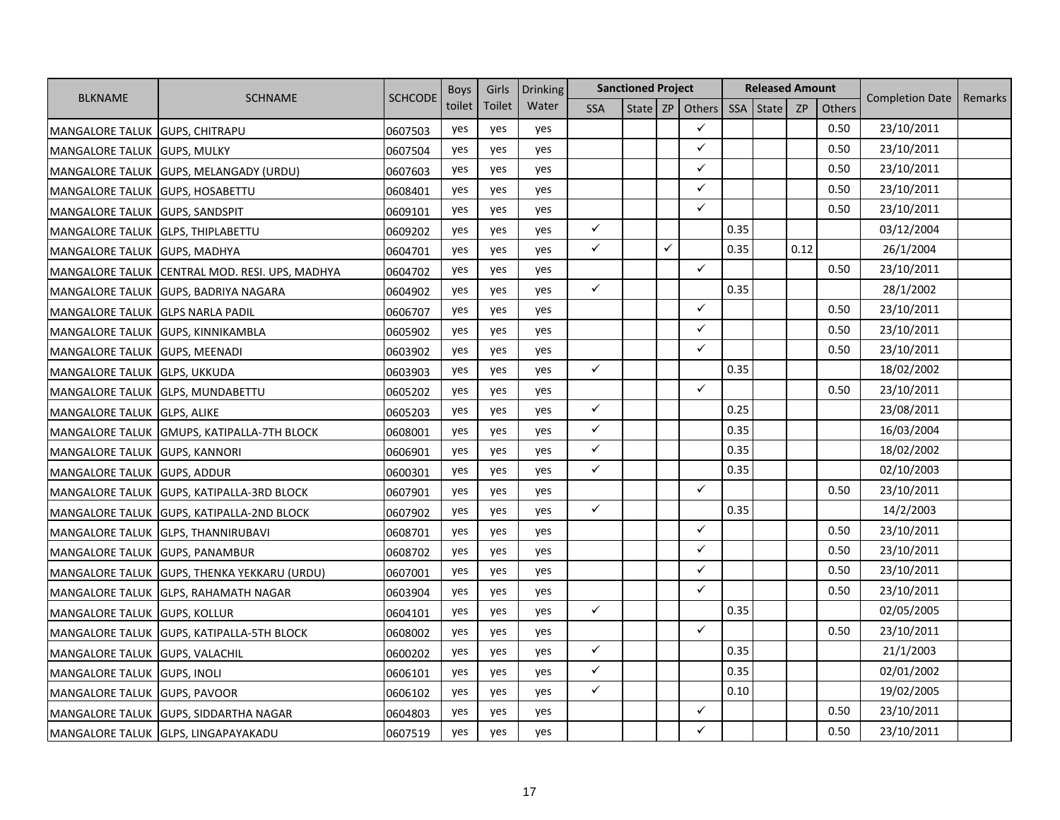| <b>BLKNAME</b>                    |                                                | <b>SCHCODE</b> | <b>Boys</b> | Girls  | <b>Drinking</b> |              | <b>Sanctioned Project</b> |    |              |            | <b>Released Amount</b> |           |        |                        |         |
|-----------------------------------|------------------------------------------------|----------------|-------------|--------|-----------------|--------------|---------------------------|----|--------------|------------|------------------------|-----------|--------|------------------------|---------|
|                                   | <b>SCHNAME</b>                                 |                | toilet      | Toilet | Water           | <b>SSA</b>   | State                     | ZP | Others       | <b>SSA</b> | <b>State</b>           | <b>ZP</b> | Others | <b>Completion Date</b> | Remarks |
| MANGALORE TALUK GUPS, CHITRAPU    |                                                | 0607503        | yes         | yes    | yes             |              |                           |    | $\checkmark$ |            |                        |           | 0.50   | 23/10/2011             |         |
| MANGALORE TALUK GUPS, MULKY       |                                                | 0607504        | yes         | yes    | yes             |              |                           |    | ✓            |            |                        |           | 0.50   | 23/10/2011             |         |
|                                   | MANGALORE TALUK GUPS, MELANGADY (URDU)         | 0607603        | yes         | yes    | yes             |              |                           |    | $\checkmark$ |            |                        |           | 0.50   | 23/10/2011             |         |
| MANGALORE TALUK GUPS, HOSABETTU   |                                                | 0608401        | yes         | yes    | yes             |              |                           |    | $\checkmark$ |            |                        |           | 0.50   | 23/10/2011             |         |
| MANGALORE TALUK GUPS, SANDSPIT    |                                                | 0609101        | yes         | yes    | yes             |              |                           |    | $\checkmark$ |            |                        |           | 0.50   | 23/10/2011             |         |
| MANGALORE TALUK GLPS, THIPLABETTU |                                                | 0609202        | yes         | yes    | yes             | $\checkmark$ |                           |    |              | 0.35       |                        |           |        | 03/12/2004             |         |
| MANGALORE TALUK GUPS, MADHYA      |                                                | 0604701        | yes         | yes    | yes             | $\checkmark$ |                           | ✓  |              | 0.35       |                        | 0.12      |        | 26/1/2004              |         |
|                                   | MANGALORE TALUK CENTRAL MOD. RESI. UPS, MADHYA | 0604702        | yes         | yes    | yes             |              |                           |    | $\checkmark$ |            |                        |           | 0.50   | 23/10/2011             |         |
|                                   | MANGALORE TALUK GUPS, BADRIYA NAGARA           | 0604902        | yes         | yes    | yes             | $\checkmark$ |                           |    |              | 0.35       |                        |           |        | 28/1/2002              |         |
| MANGALORE TALUK GLPS NARLA PADIL  |                                                | 0606707        | yes         | yes    | yes             |              |                           |    | $\checkmark$ |            |                        |           | 0.50   | 23/10/2011             |         |
| MANGALORE TALUK GUPS, KINNIKAMBLA |                                                | 0605902        | yes         | yes    | yes             |              |                           |    | $\checkmark$ |            |                        |           | 0.50   | 23/10/2011             |         |
| MANGALORE TALUK GUPS, MEENADI     |                                                | 0603902        | yes         | yes    | yes             |              |                           |    | $\checkmark$ |            |                        |           | 0.50   | 23/10/2011             |         |
| MANGALORE TALUK GLPS, UKKUDA      |                                                | 0603903        | yes         | yes    | yes             | $\checkmark$ |                           |    |              | 0.35       |                        |           |        | 18/02/2002             |         |
|                                   | MANGALORE TALUK GLPS, MUNDABETTU               | 0605202        | yes         | yes    | yes             |              |                           |    | $\checkmark$ |            |                        |           | 0.50   | 23/10/2011             |         |
| MANGALORE TALUK GLPS, ALIKE       |                                                | 0605203        | yes         | yes    | yes             | $\checkmark$ |                           |    |              | 0.25       |                        |           |        | 23/08/2011             |         |
|                                   | MANGALORE TALUK GMUPS, KATIPALLA-7TH BLOCK     | 0608001        | yes         | yes    | yes             | $\checkmark$ |                           |    |              | 0.35       |                        |           |        | 16/03/2004             |         |
| MANGALORE TALUK GUPS, KANNORI     |                                                | 0606901        | yes         | yes    | yes             | $\checkmark$ |                           |    |              | 0.35       |                        |           |        | 18/02/2002             |         |
| MANGALORE TALUK GUPS, ADDUR       |                                                | 0600301        | yes         | yes    | yes             | $\checkmark$ |                           |    |              | 0.35       |                        |           |        | 02/10/2003             |         |
|                                   | MANGALORE TALUK GUPS, KATIPALLA-3RD BLOCK      | 0607901        | yes         | yes    | yes             |              |                           |    | $\checkmark$ |            |                        |           | 0.50   | 23/10/2011             |         |
|                                   | MANGALORE TALUK GUPS, KATIPALLA-2ND BLOCK      | 0607902        | yes         | yes    | yes             | $\checkmark$ |                           |    |              | 0.35       |                        |           |        | 14/2/2003              |         |
|                                   | MANGALORE TALUK GLPS, THANNIRUBAVI             | 0608701        | yes         | yes    | yes             |              |                           |    | $\checkmark$ |            |                        |           | 0.50   | 23/10/2011             |         |
| MANGALORE TALUK GUPS, PANAMBUR    |                                                | 0608702        | yes         | yes    | yes             |              |                           |    | $\checkmark$ |            |                        |           | 0.50   | 23/10/2011             |         |
|                                   | MANGALORE TALUK GUPS, THENKA YEKKARU (URDU)    | 0607001        | yes         | yes    | yes             |              |                           |    | ✓            |            |                        |           | 0.50   | 23/10/2011             |         |
|                                   | MANGALORE TALUK GLPS, RAHAMATH NAGAR           | 0603904        | yes         | yes    | yes             |              |                           |    | $\checkmark$ |            |                        |           | 0.50   | 23/10/2011             |         |
| MANGALORE TALUK GUPS, KOLLUR      |                                                | 0604101        | yes         | yes    | yes             | $\checkmark$ |                           |    |              | 0.35       |                        |           |        | 02/05/2005             |         |
| <b>MANGALORE TALUK</b>            | <b>GUPS, KATIPALLA-5TH BLOCK</b>               | 0608002        | yes         | yes    | yes             |              |                           |    | $\checkmark$ |            |                        |           | 0.50   | 23/10/2011             |         |
| MANGALORE TALUK GUPS, VALACHIL    |                                                | 0600202        | yes         | yes    | yes             | $\checkmark$ |                           |    |              | 0.35       |                        |           |        | 21/1/2003              |         |
| MANGALORE TALUK GUPS, INOLI       |                                                | 0606101        | yes         | yes    | yes             | $\checkmark$ |                           |    |              | 0.35       |                        |           |        | 02/01/2002             |         |
| MANGALORE TALUK GUPS, PAVOOR      |                                                | 0606102        | yes         | yes    | yes             | $\checkmark$ |                           |    |              | 0.10       |                        |           |        | 19/02/2005             |         |
|                                   | MANGALORE TALUK GUPS, SIDDARTHA NAGAR          | 0604803        | yes         | yes    | yes             |              |                           |    | $\checkmark$ |            |                        |           | 0.50   | 23/10/2011             |         |
|                                   | MANGALORE TALUK GLPS, LINGAPAYAKADU            | 0607519        | yes         | yes    | yes             |              |                           |    | $\checkmark$ |            |                        |           | 0.50   | 23/10/2011             |         |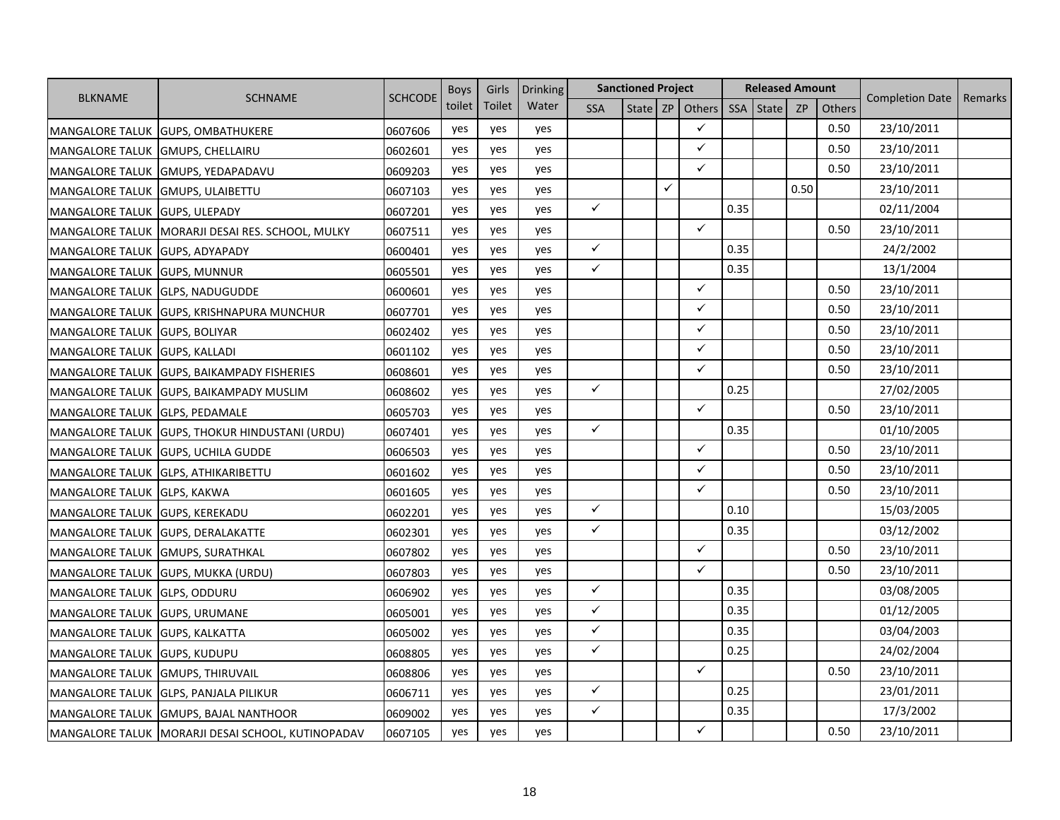| <b>BLKNAME</b>         |                                       | <b>SCHCODE</b> | <b>Boys</b> | Girls  | <b>Drinking</b> |              | <b>Sanctioned Project</b> |    |              |            | <b>Released Amount</b> |           |               |                        |         |
|------------------------|---------------------------------------|----------------|-------------|--------|-----------------|--------------|---------------------------|----|--------------|------------|------------------------|-----------|---------------|------------------------|---------|
|                        | <b>SCHNAME</b>                        |                | toilet      | Toilet | Water           | <b>SSA</b>   | State <sup> </sup>        | ZP | Others       | <b>SSA</b> | <b>State</b>           | <b>ZP</b> | <b>Others</b> | <b>Completion Date</b> | Remarks |
| <b>MANGALORE TALUK</b> | <b>GUPS, OMBATHUKERE</b>              | 0607606        | yes         | yes    | yes             |              |                           |    | $\checkmark$ |            |                        |           | 0.50          | 23/10/2011             |         |
| <b>MANGALORE TALUK</b> | <b>GMUPS, CHELLAIRU</b>               | 0602601        | yes         | yes    | yes             |              |                           |    | $\checkmark$ |            |                        |           | 0.50          | 23/10/2011             |         |
| <b>MANGALORE TALUK</b> | GMUPS, YEDAPADAVU                     | 0609203        | yes         | yes    | yes             |              |                           |    | $\checkmark$ |            |                        |           | 0.50          | 23/10/2011             |         |
| <b>MANGALORE TALUK</b> | <b>GMUPS, ULAIBETTU</b>               | 0607103        | yes         | yes    | yes             |              |                           | ✓  |              |            |                        | 0.50      |               | 23/10/2011             |         |
| <b>MANGALORE TALUK</b> | <b>GUPS, ULEPADY</b>                  | 0607201        | yes         | yes    | yes             | $\checkmark$ |                           |    |              | 0.35       |                        |           |               | 02/11/2004             |         |
| <b>MANGALORE TALUK</b> | MORARJI DESAI RES. SCHOOL, MULKY      | 0607511        | yes         | yes    | yes             |              |                           |    | $\checkmark$ |            |                        |           | 0.50          | 23/10/2011             |         |
| <b>MANGALORE TALUK</b> | GUPS, ADYAPADY                        | 0600401        | yes         | yes    | yes             | $\checkmark$ |                           |    |              | 0.35       |                        |           |               | 24/2/2002              |         |
| <b>MANGALORE TALUK</b> | <b>GUPS, MUNNUR</b>                   | 0605501        | yes         | yes    | yes             | $\checkmark$ |                           |    |              | 0.35       |                        |           |               | 13/1/2004              |         |
| <b>MANGALORE TALUK</b> | <b>GLPS, NADUGUDDE</b>                | 0600601        | yes         | yes    | yes             |              |                           |    | $\checkmark$ |            |                        |           | 0.50          | 23/10/2011             |         |
| <b>MANGALORE TALUK</b> | GUPS, KRISHNAPURA MUNCHUR             | 0607701        | yes         | yes    | yes             |              |                           |    | $\checkmark$ |            |                        |           | 0.50          | 23/10/2011             |         |
| <b>MANGALORE TALUK</b> | <b>GUPS, BOLIYAR</b>                  | 0602402        | yes         | yes    | yes             |              |                           |    | $\checkmark$ |            |                        |           | 0.50          | 23/10/2011             |         |
| <b>MANGALORE TALUK</b> | <b>GUPS, KALLADI</b>                  | 0601102        | yes         | yes    | yes             |              |                           |    | ✓            |            |                        |           | 0.50          | 23/10/2011             |         |
| <b>MANGALORE TALUK</b> | <b>GUPS, BAIKAMPADY FISHERIES</b>     | 0608601        | yes         | yes    | yes             |              |                           |    | $\checkmark$ |            |                        |           | 0.50          | 23/10/2011             |         |
| <b>MANGALORE TALUK</b> | <b>GUPS, BAIKAMPADY MUSLIM</b>        | 0608602        | yes         | yes    | yes             | $\checkmark$ |                           |    |              | 0.25       |                        |           |               | 27/02/2005             |         |
| <b>MANGALORE TALUK</b> | <b>GLPS, PEDAMALE</b>                 | 0605703        | yes         | yes    | yes             |              |                           |    | $\checkmark$ |            |                        |           | 0.50          | 23/10/2011             |         |
| <b>MANGALORE TALUK</b> | <b>GUPS, THOKUR HINDUSTANI (URDU)</b> | 0607401        | yes         | yes    | yes             | $\checkmark$ |                           |    |              | 0.35       |                        |           |               | 01/10/2005             |         |
| <b>MANGALORE TALUK</b> | <b>GUPS, UCHILA GUDDE</b>             | 0606503        | yes         | yes    | yes             |              |                           |    | $\checkmark$ |            |                        |           | 0.50          | 23/10/2011             |         |
| <b>MANGALORE TALUK</b> | <b>GLPS, ATHIKARIBETTU</b>            | 0601602        | yes         | yes    | yes             |              |                           |    | $\checkmark$ |            |                        |           | 0.50          | 23/10/2011             |         |
| <b>MANGALORE TALUK</b> | <b>GLPS, KAKWA</b>                    | 0601605        | yes         | yes    | yes             |              |                           |    | $\checkmark$ |            |                        |           | 0.50          | 23/10/2011             |         |
| <b>MANGALORE TALUK</b> | <b>GUPS, KEREKADU</b>                 | 0602201        | yes         | yes    | yes             | $\checkmark$ |                           |    |              | 0.10       |                        |           |               | 15/03/2005             |         |
| <b>MANGALORE TALUK</b> | <b>GUPS, DERALAKATTE</b>              | 0602301        | yes         | yes    | yes             | $\checkmark$ |                           |    |              | 0.35       |                        |           |               | 03/12/2002             |         |
| <b>MANGALORE TALUK</b> | <b>GMUPS, SURATHKAL</b>               | 0607802        | yes         | yes    | yes             |              |                           |    | $\checkmark$ |            |                        |           | 0.50          | 23/10/2011             |         |
| <b>MANGALORE TALUK</b> | <b>GUPS, MUKKA (URDU)</b>             | 0607803        | yes         | yes    | yes             |              |                           |    | $\checkmark$ |            |                        |           | 0.50          | 23/10/2011             |         |
| <b>MANGALORE TALUK</b> | <b>GLPS, ODDURU</b>                   | 0606902        | yes         | yes    | yes             | $\checkmark$ |                           |    |              | 0.35       |                        |           |               | 03/08/2005             |         |
| <b>MANGALORE TALUK</b> | <b>GUPS, URUMANE</b>                  | 0605001        | yes         | yes    | yes             | $\checkmark$ |                           |    |              | 0.35       |                        |           |               | 01/12/2005             |         |
| <b>MANGALORE TALUK</b> | <b>GUPS, KALKATTA</b>                 | 0605002        | yes         | yes    | yes             | $\checkmark$ |                           |    |              | 0.35       |                        |           |               | 03/04/2003             |         |
| <b>MANGALORE TALUK</b> | <b>GUPS, KUDUPU</b>                   | 0608805        | yes         | yes    | yes             | ✓            |                           |    |              | 0.25       |                        |           |               | 24/02/2004             |         |
| <b>MANGALORE TALUK</b> | <b>GMUPS, THIRUVAIL</b>               | 0608806        | yes         | yes    | yes             |              |                           |    | $\checkmark$ |            |                        |           | 0.50          | 23/10/2011             |         |
| <b>MANGALORE TALUK</b> | <b>GLPS, PANJALA PILIKUR</b>          | 0606711        | yes         | yes    | yes             | $\checkmark$ |                           |    |              | 0.25       |                        |           |               | 23/01/2011             |         |
| <b>MANGALORE TALUK</b> | <b>GMUPS, BAJAL NANTHOOR</b>          | 0609002        | yes         | yes    | yes             | $\checkmark$ |                           |    |              | 0.35       |                        |           |               | 17/3/2002              |         |
| <b>MANGALORE TALUK</b> | MORARJI DESAI SCHOOL, KUTINOPADAV     | 0607105        | yes         | yes    | yes             |              |                           |    | $\checkmark$ |            |                        |           | 0.50          | 23/10/2011             |         |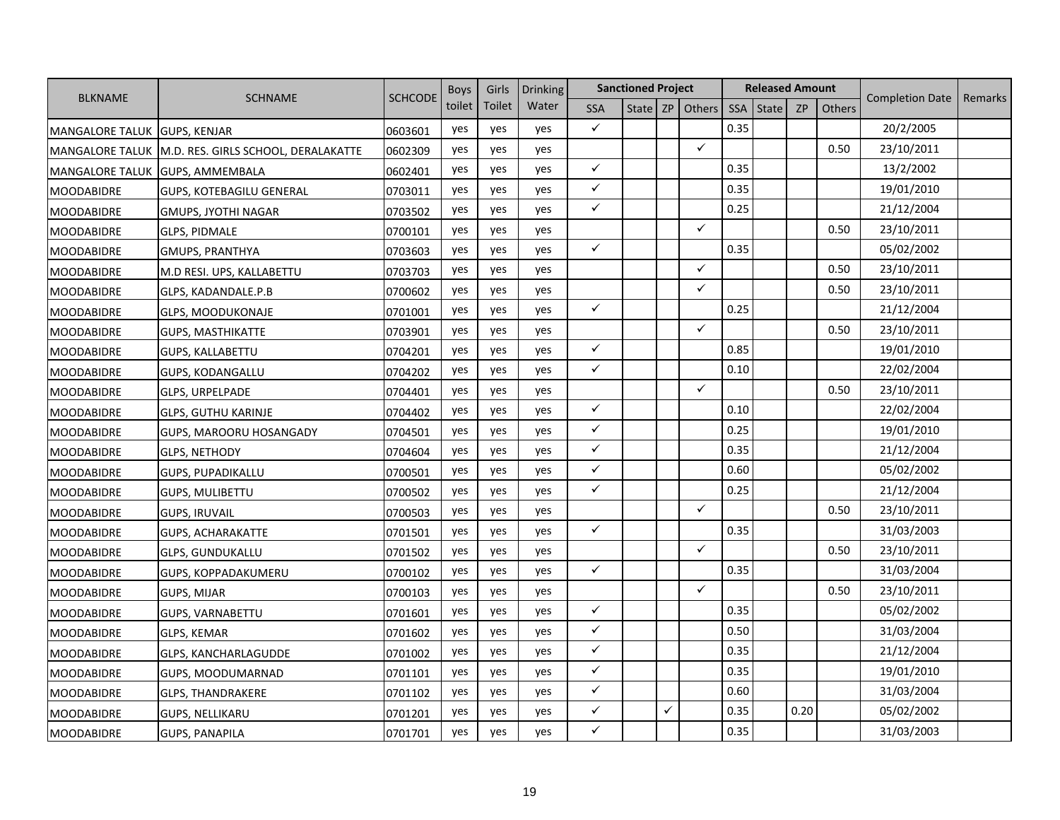|                        |                                     |                | <b>Boys</b> | Girls  | Drinking |              | <b>Sanctioned Project</b> |   |              |            | <b>Released Amount</b> |           |               |                        |         |
|------------------------|-------------------------------------|----------------|-------------|--------|----------|--------------|---------------------------|---|--------------|------------|------------------------|-----------|---------------|------------------------|---------|
| <b>BLKNAME</b>         | SCHNAME                             | <b>SCHCODE</b> | toilet      | Toilet | Water    | <b>SSA</b>   | State                     |   | ZP Others    | <b>SSA</b> | <b>State</b>           | <b>ZP</b> | <b>Others</b> | <b>Completion Date</b> | Remarks |
| <b>MANGALORE TALUK</b> | <b>GUPS, KENJAR</b>                 | 0603601        | yes         | yes    | yes      | $\checkmark$ |                           |   |              | 0.35       |                        |           |               | 20/2/2005              |         |
| <b>MANGALORE TALUK</b> | M.D. RES. GIRLS SCHOOL, DERALAKATTE | 0602309        | yes         | yes    | yes      |              |                           |   | $\checkmark$ |            |                        |           | 0.50          | 23/10/2011             |         |
| <b>MANGALORE TALUK</b> | <b>GUPS, AMMEMBALA</b>              | 0602401        | yes         | yes    | yes      | $\checkmark$ |                           |   |              | 0.35       |                        |           |               | 13/2/2002              |         |
| <b>MOODABIDRE</b>      | <b>GUPS, KOTEBAGILU GENERAL</b>     | 0703011        | yes         | yes    | yes      | $\checkmark$ |                           |   |              | 0.35       |                        |           |               | 19/01/2010             |         |
| <b>MOODABIDRE</b>      | GMUPS, JYOTHI NAGAR                 | 0703502        | yes         | yes    | yes      | $\checkmark$ |                           |   |              | 0.25       |                        |           |               | 21/12/2004             |         |
| <b>MOODABIDRE</b>      | <b>GLPS, PIDMALE</b>                | 0700101        | yes         | yes    | yes      |              |                           |   | ✓            |            |                        |           | 0.50          | 23/10/2011             |         |
| <b>MOODABIDRE</b>      | <b>GMUPS, PRANTHYA</b>              | 0703603        | yes         | yes    | yes      | $\checkmark$ |                           |   |              | 0.35       |                        |           |               | 05/02/2002             |         |
| <b>MOODABIDRE</b>      | M.D RESI. UPS, KALLABETTU           | 0703703        | yes         | yes    | yes      |              |                           |   | $\checkmark$ |            |                        |           | 0.50          | 23/10/2011             |         |
| <b>MOODABIDRE</b>      | GLPS, KADANDALE.P.B                 | 0700602        | yes         | yes    | yes      |              |                           |   | $\checkmark$ |            |                        |           | 0.50          | 23/10/2011             |         |
| <b>MOODABIDRE</b>      | GLPS, MOODUKONAJE                   | 0701001        | yes         | yes    | yes      | $\checkmark$ |                           |   |              | 0.25       |                        |           |               | 21/12/2004             |         |
| <b>MOODABIDRE</b>      | <b>GUPS, MASTHIKATTE</b>            | 0703901        | yes         | yes    | yes      |              |                           |   | $\checkmark$ |            |                        |           | 0.50          | 23/10/2011             |         |
| <b>MOODABIDRE</b>      | <b>GUPS, KALLABETTU</b>             | 0704201        | yes         | yes    | yes      | $\checkmark$ |                           |   |              | 0.85       |                        |           |               | 19/01/2010             |         |
| <b>MOODABIDRE</b>      | GUPS, KODANGALLU                    | 0704202        | yes         | yes    | yes      | $\checkmark$ |                           |   |              | 0.10       |                        |           |               | 22/02/2004             |         |
| <b>MOODABIDRE</b>      | <b>GLPS, URPELPADE</b>              | 0704401        | yes         | yes    | yes      |              |                           |   | $\checkmark$ |            |                        |           | 0.50          | 23/10/2011             |         |
| <b>MOODABIDRE</b>      | <b>GLPS, GUTHU KARINJE</b>          | 0704402        | yes         | yes    | yes      | $\checkmark$ |                           |   |              | 0.10       |                        |           |               | 22/02/2004             |         |
| <b>MOODABIDRE</b>      | GUPS, MAROORU HOSANGADY             | 0704501        | yes         | yes    | yes      | $\checkmark$ |                           |   |              | 0.25       |                        |           |               | 19/01/2010             |         |
| <b>MOODABIDRE</b>      | <b>GLPS, NETHODY</b>                | 0704604        | yes         | yes    | yes      | $\checkmark$ |                           |   |              | 0.35       |                        |           |               | 21/12/2004             |         |
| <b>MOODABIDRE</b>      | <b>GUPS, PUPADIKALLU</b>            | 0700501        | yes         | yes    | yes      | $\checkmark$ |                           |   |              | 0.60       |                        |           |               | 05/02/2002             |         |
| <b>MOODABIDRE</b>      | <b>GUPS, MULIBETTU</b>              | 0700502        | yes         | yes    | yes      | $\checkmark$ |                           |   |              | 0.25       |                        |           |               | 21/12/2004             |         |
| <b>MOODABIDRE</b>      | <b>GUPS, IRUVAIL</b>                | 0700503        | yes         | yes    | yes      |              |                           |   | $\checkmark$ |            |                        |           | 0.50          | 23/10/2011             |         |
| <b>MOODABIDRE</b>      | <b>GUPS, ACHARAKATTE</b>            | 0701501        | yes         | yes    | yes      | $\checkmark$ |                           |   |              | 0.35       |                        |           |               | 31/03/2003             |         |
| <b>MOODABIDRE</b>      | <b>GLPS, GUNDUKALLU</b>             | 0701502        | yes         | yes    | yes      |              |                           |   | $\checkmark$ |            |                        |           | 0.50          | 23/10/2011             |         |
| <b>MOODABIDRE</b>      | GUPS, KOPPADAKUMERU                 | 0700102        | yes         | yes    | yes      | $\checkmark$ |                           |   |              | 0.35       |                        |           |               | 31/03/2004             |         |
| <b>MOODABIDRE</b>      | GUPS, MIJAR                         | 0700103        | yes         | yes    | yes      |              |                           |   | $\checkmark$ |            |                        |           | 0.50          | 23/10/2011             |         |
| <b>MOODABIDRE</b>      | <b>GUPS, VARNABETTU</b>             | 0701601        | yes         | yes    | yes      | $\checkmark$ |                           |   |              | 0.35       |                        |           |               | 05/02/2002             |         |
| <b>MOODABIDRE</b>      | <b>GLPS, KEMAR</b>                  | 0701602        | yes         | yes    | yes      | $\checkmark$ |                           |   |              | 0.50       |                        |           |               | 31/03/2004             |         |
| <b>MOODABIDRE</b>      | <b>GLPS, KANCHARLAGUDDE</b>         | 0701002        | yes         | yes    | yes      | ✓            |                           |   |              | 0.35       |                        |           |               | 21/12/2004             |         |
| <b>MOODABIDRE</b>      | GUPS, MOODUMARNAD                   | 0701101        | yes         | yes    | yes      | $\checkmark$ |                           |   |              | 0.35       |                        |           |               | 19/01/2010             |         |
| <b>MOODABIDRE</b>      | <b>GLPS, THANDRAKERE</b>            | 0701102        | yes         | yes    | yes      | $\checkmark$ |                           |   |              | 0.60       |                        |           |               | 31/03/2004             |         |
| <b>MOODABIDRE</b>      | <b>GUPS, NELLIKARU</b>              | 0701201        | yes         | yes    | yes      | $\checkmark$ |                           | ✓ |              | 0.35       |                        | 0.20      |               | 05/02/2002             |         |
| <b>MOODABIDRE</b>      | <b>GUPS, PANAPILA</b>               | 0701701        | yes         | yes    | yes      | ✓            |                           |   |              | 0.35       |                        |           |               | 31/03/2003             |         |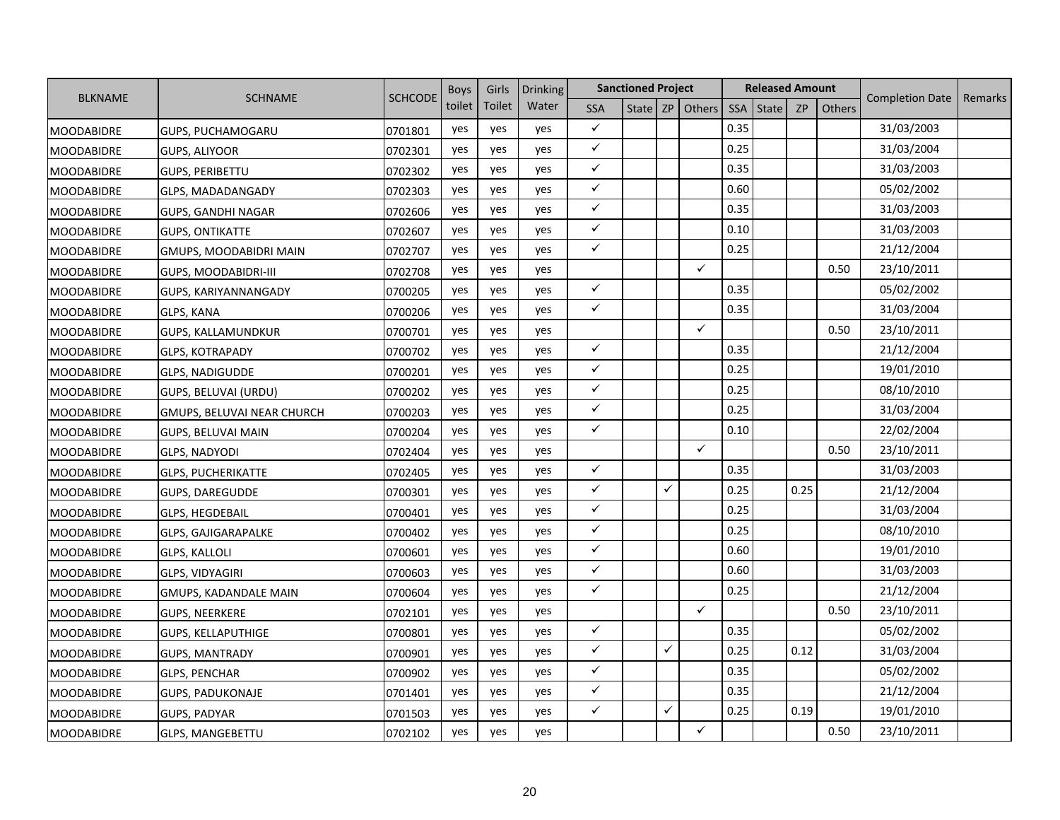|                   |                               |                | <b>Boys</b> | Girls  | Drinking |              | <b>Sanctioned Project</b> |   |                     |            | <b>Released Amount</b> |           |               |                        |         |
|-------------------|-------------------------------|----------------|-------------|--------|----------|--------------|---------------------------|---|---------------------|------------|------------------------|-----------|---------------|------------------------|---------|
| <b>BLKNAME</b>    | SCHNAME                       | <b>SCHCODE</b> | toilet      | Toilet | Water    | <b>SSA</b>   |                           |   | State   ZP   Others | <b>SSA</b> | <b>State</b>           | <b>ZP</b> | <b>Others</b> | <b>Completion Date</b> | Remarks |
| <b>MOODABIDRE</b> | GUPS, PUCHAMOGARU             | 0701801        | yes         | yes    | yes      | $\checkmark$ |                           |   |                     | 0.35       |                        |           |               | 31/03/2003             |         |
| <b>MOODABIDRE</b> | GUPS, ALIYOOR                 | 0702301        | yes         | yes    | yes      | $\checkmark$ |                           |   |                     | 0.25       |                        |           |               | 31/03/2004             |         |
| <b>MOODABIDRE</b> | <b>GUPS, PERIBETTU</b>        | 0702302        | yes         | yes    | yes      | $\checkmark$ |                           |   |                     | 0.35       |                        |           |               | 31/03/2003             |         |
| <b>MOODABIDRE</b> | GLPS, MADADANGADY             | 0702303        | yes         | yes    | yes      | $\checkmark$ |                           |   |                     | 0.60       |                        |           |               | 05/02/2002             |         |
| <b>MOODABIDRE</b> | GUPS, GANDHI NAGAR            | 0702606        | yes         | yes    | yes      | $\checkmark$ |                           |   |                     | 0.35       |                        |           |               | 31/03/2003             |         |
| <b>MOODABIDRE</b> | <b>GUPS, ONTIKATTE</b>        | 0702607        | yes         | yes    | yes      | $\checkmark$ |                           |   |                     | 0.10       |                        |           |               | 31/03/2003             |         |
| <b>MOODABIDRE</b> | <b>GMUPS, MOODABIDRI MAIN</b> | 0702707        | yes         | yes    | yes      | $\checkmark$ |                           |   |                     | 0.25       |                        |           |               | 21/12/2004             |         |
| <b>MOODABIDRE</b> | <b>GUPS, MOODABIDRI-III</b>   | 0702708        | yes         | yes    | yes      |              |                           |   | $\checkmark$        |            |                        |           | 0.50          | 23/10/2011             |         |
| <b>MOODABIDRE</b> | GUPS, KARIYANNANGADY          | 0700205        | yes         | yes    | yes      | $\checkmark$ |                           |   |                     | 0.35       |                        |           |               | 05/02/2002             |         |
| <b>MOODABIDRE</b> | GLPS, KANA                    | 0700206        | yes         | yes    | yes      | $\checkmark$ |                           |   |                     | 0.35       |                        |           |               | 31/03/2004             |         |
| <b>MOODABIDRE</b> | <b>GUPS, KALLAMUNDKUR</b>     | 0700701        | yes         | yes    | yes      |              |                           |   | $\checkmark$        |            |                        |           | 0.50          | 23/10/2011             |         |
| <b>MOODABIDRE</b> | <b>GLPS, KOTRAPADY</b>        | 0700702        | yes         | yes    | yes      | $\checkmark$ |                           |   |                     | 0.35       |                        |           |               | 21/12/2004             |         |
| <b>MOODABIDRE</b> | <b>GLPS, NADIGUDDE</b>        | 0700201        | yes         | yes    | yes      | $\checkmark$ |                           |   |                     | 0.25       |                        |           |               | 19/01/2010             |         |
| <b>MOODABIDRE</b> | GUPS, BELUVAI (URDU)          | 0700202        | yes         | yes    | yes      | $\checkmark$ |                           |   |                     | 0.25       |                        |           |               | 08/10/2010             |         |
| <b>MOODABIDRE</b> | GMUPS, BELUVAI NEAR CHURCH    | 0700203        | yes         | yes    | yes      | $\checkmark$ |                           |   |                     | 0.25       |                        |           |               | 31/03/2004             |         |
| <b>MOODABIDRE</b> | GUPS, BELUVAI MAIN            | 0700204        | yes         | yes    | yes      | $\checkmark$ |                           |   |                     | 0.10       |                        |           |               | 22/02/2004             |         |
| <b>MOODABIDRE</b> | GLPS, NADYODI                 | 0702404        | yes         | yes    | yes      |              |                           |   | $\checkmark$        |            |                        |           | 0.50          | 23/10/2011             |         |
| <b>MOODABIDRE</b> | <b>GLPS, PUCHERIKATTE</b>     | 0702405        | yes         | yes    | yes      | $\checkmark$ |                           |   |                     | 0.35       |                        |           |               | 31/03/2003             |         |
| <b>MOODABIDRE</b> | <b>GUPS, DAREGUDDE</b>        | 0700301        | yes         | yes    | yes      | $\checkmark$ |                           | ✓ |                     | 0.25       |                        | 0.25      |               | 21/12/2004             |         |
| <b>MOODABIDRE</b> | <b>GLPS, HEGDEBAIL</b>        | 0700401        | yes         | yes    | yes      | $\checkmark$ |                           |   |                     | 0.25       |                        |           |               | 31/03/2004             |         |
| <b>MOODABIDRE</b> | <b>GLPS, GAJIGARAPALKE</b>    | 0700402        | yes         | yes    | yes      | $\checkmark$ |                           |   |                     | 0.25       |                        |           |               | 08/10/2010             |         |
| <b>MOODABIDRE</b> | <b>GLPS, KALLOLI</b>          | 0700601        | yes         | yes    | yes      | $\checkmark$ |                           |   |                     | 0.60       |                        |           |               | 19/01/2010             |         |
| <b>MOODABIDRE</b> | GLPS, VIDYAGIRI               | 0700603        | yes         | yes    | yes      | $\checkmark$ |                           |   |                     | 0.60       |                        |           |               | 31/03/2003             |         |
| <b>MOODABIDRE</b> | GMUPS, KADANDALE MAIN         | 0700604        | yes         | yes    | yes      | $\checkmark$ |                           |   |                     | 0.25       |                        |           |               | 21/12/2004             |         |
| <b>MOODABIDRE</b> | GUPS, NEERKERE                | 0702101        | yes         | yes    | yes      |              |                           |   | $\checkmark$        |            |                        |           | 0.50          | 23/10/2011             |         |
| <b>MOODABIDRE</b> | <b>GUPS, KELLAPUTHIGE</b>     | 0700801        | yes         | yes    | yes      | $\checkmark$ |                           |   |                     | 0.35       |                        |           |               | 05/02/2002             |         |
| <b>MOODABIDRE</b> | <b>GUPS, MANTRADY</b>         | 0700901        | yes         | yes    | yes      | ✓            |                           | ✓ |                     | 0.25       |                        | 0.12      |               | 31/03/2004             |         |
| <b>MOODABIDRE</b> | <b>GLPS, PENCHAR</b>          | 0700902        | yes         | yes    | yes      | $\checkmark$ |                           |   |                     | 0.35       |                        |           |               | 05/02/2002             |         |
| <b>MOODABIDRE</b> | <b>GUPS, PADUKONAJE</b>       | 0701401        | yes         | yes    | yes      | $\checkmark$ |                           |   |                     | 0.35       |                        |           |               | 21/12/2004             |         |
| <b>MOODABIDRE</b> | <b>GUPS, PADYAR</b>           | 0701503        | yes         | yes    | yes      | $\checkmark$ |                           | ✓ |                     | 0.25       |                        | 0.19      |               | 19/01/2010             |         |
| <b>MOODABIDRE</b> | <b>GLPS, MANGEBETTU</b>       | 0702102        | yes         | yes    | yes      |              |                           |   | $\checkmark$        |            |                        |           | 0.50          | 23/10/2011             |         |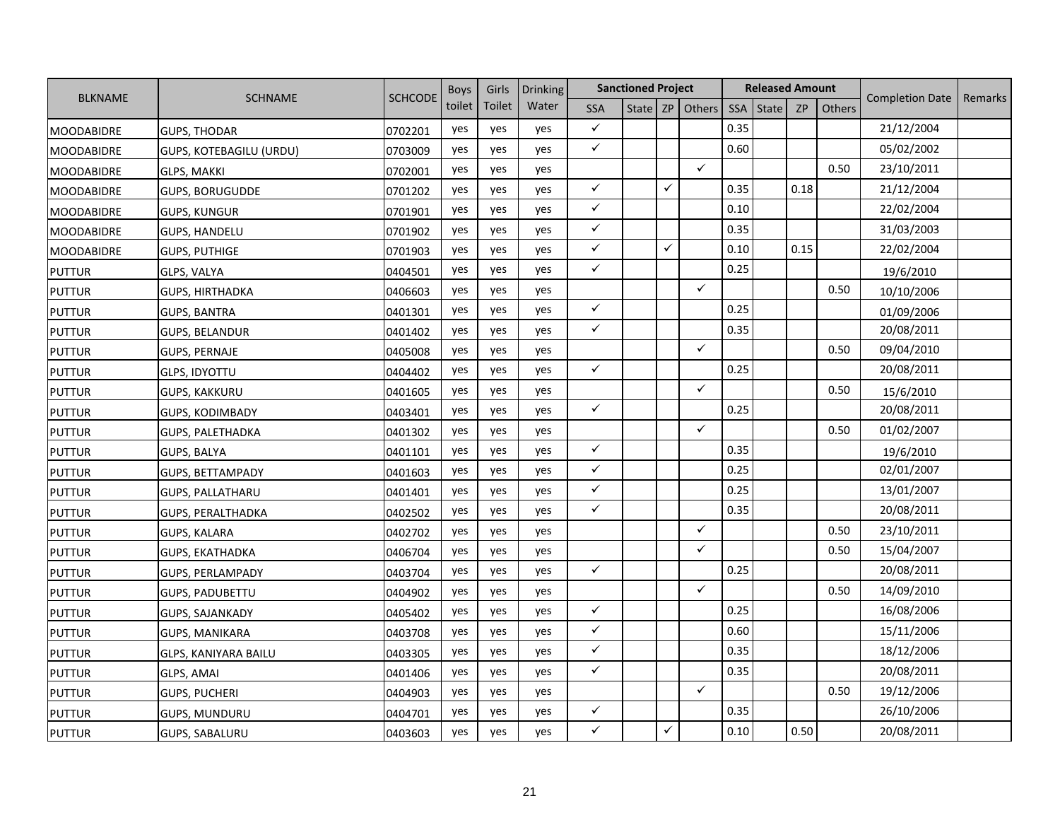|                   |                                | <b>SCHCODE</b> | <b>Boys</b> | Girls  | Drinking |              | <b>Sanctioned Project</b> |   |                     |      | <b>Released Amount</b> |           |        |                        |         |
|-------------------|--------------------------------|----------------|-------------|--------|----------|--------------|---------------------------|---|---------------------|------|------------------------|-----------|--------|------------------------|---------|
| <b>BLKNAME</b>    | <b>SCHNAME</b>                 |                | toilet      | Toilet | Water    | <b>SSA</b>   |                           |   | State   ZP   Others | SSA  | State                  | <b>ZP</b> | Others | <b>Completion Date</b> | Remarks |
| <b>MOODABIDRE</b> | <b>GUPS, THODAR</b>            | 0702201        | yes         | yes    | yes      | $\checkmark$ |                           |   |                     | 0.35 |                        |           |        | 21/12/2004             |         |
| <b>MOODABIDRE</b> | <b>GUPS, KOTEBAGILU (URDU)</b> | 0703009        | yes         | yes    | yes      | $\checkmark$ |                           |   |                     | 0.60 |                        |           |        | 05/02/2002             |         |
| <b>MOODABIDRE</b> | <b>GLPS, MAKKI</b>             | 0702001        | yes         | yes    | yes      |              |                           |   | $\checkmark$        |      |                        |           | 0.50   | 23/10/2011             |         |
| <b>MOODABIDRE</b> | <b>GUPS, BORUGUDDE</b>         | 0701202        | yes         | yes    | yes      | $\checkmark$ |                           | ✓ |                     | 0.35 |                        | 0.18      |        | 21/12/2004             |         |
| <b>MOODABIDRE</b> | <b>GUPS, KUNGUR</b>            | 0701901        | yes         | yes    | yes      | $\checkmark$ |                           |   |                     | 0.10 |                        |           |        | 22/02/2004             |         |
| <b>MOODABIDRE</b> | <b>GUPS, HANDELU</b>           | 0701902        | yes         | yes    | yes      | ✓            |                           |   |                     | 0.35 |                        |           |        | 31/03/2003             |         |
| <b>MOODABIDRE</b> | <b>GUPS, PUTHIGE</b>           | 0701903        | yes         | yes    | yes      | $\checkmark$ |                           | ✓ |                     | 0.10 |                        | 0.15      |        | 22/02/2004             |         |
| <b>PUTTUR</b>     | GLPS, VALYA                    | 0404501        | yes         | yes    | yes      | $\checkmark$ |                           |   |                     | 0.25 |                        |           |        | 19/6/2010              |         |
| <b>PUTTUR</b>     | <b>GUPS, HIRTHADKA</b>         | 0406603        | yes         | yes    | yes      |              |                           |   | $\checkmark$        |      |                        |           | 0.50   | 10/10/2006             |         |
| <b>PUTTUR</b>     | <b>GUPS, BANTRA</b>            | 0401301        | yes         | yes    | yes      | $\checkmark$ |                           |   |                     | 0.25 |                        |           |        | 01/09/2006             |         |
| <b>PUTTUR</b>     | <b>GUPS, BELANDUR</b>          | 0401402        | yes         | yes    | yes      | $\checkmark$ |                           |   |                     | 0.35 |                        |           |        | 20/08/2011             |         |
| <b>PUTTUR</b>     | <b>GUPS, PERNAJE</b>           | 0405008        | yes         | yes    | yes      |              |                           |   | $\checkmark$        |      |                        |           | 0.50   | 09/04/2010             |         |
| <b>PUTTUR</b>     | <b>GLPS, IDYOTTU</b>           | 0404402        | yes         | yes    | yes      | $\checkmark$ |                           |   |                     | 0.25 |                        |           |        | 20/08/2011             |         |
| <b>PUTTUR</b>     | GUPS, KAKKURU                  | 0401605        | yes         | yes    | yes      |              |                           |   | ✓                   |      |                        |           | 0.50   | 15/6/2010              |         |
| <b>PUTTUR</b>     | <b>GUPS, KODIMBADY</b>         | 0403401        | yes         | yes    | yes      | $\checkmark$ |                           |   |                     | 0.25 |                        |           |        | 20/08/2011             |         |
| <b>PUTTUR</b>     | <b>GUPS, PALETHADKA</b>        | 0401302        | yes         | yes    | yes      |              |                           |   | ✓                   |      |                        |           | 0.50   | 01/02/2007             |         |
| <b>PUTTUR</b>     | <b>GUPS, BALYA</b>             | 0401101        | yes         | yes    | yes      | $\checkmark$ |                           |   |                     | 0.35 |                        |           |        | 19/6/2010              |         |
| <b>PUTTUR</b>     | GUPS, BETTAMPADY               | 0401603        | yes         | yes    | yes      | $\checkmark$ |                           |   |                     | 0.25 |                        |           |        | 02/01/2007             |         |
| <b>PUTTUR</b>     | <b>GUPS, PALLATHARU</b>        | 0401401        | yes         | yes    | yes      | $\checkmark$ |                           |   |                     | 0.25 |                        |           |        | 13/01/2007             |         |
| <b>PUTTUR</b>     | <b>GUPS, PERALTHADKA</b>       | 0402502        | yes         | yes    | yes      | $\checkmark$ |                           |   |                     | 0.35 |                        |           |        | 20/08/2011             |         |
| <b>PUTTUR</b>     | <b>GUPS, KALARA</b>            | 0402702        | yes         | yes    | yes      |              |                           |   | $\checkmark$        |      |                        |           | 0.50   | 23/10/2011             |         |
| <b>PUTTUR</b>     | <b>GUPS, EKATHADKA</b>         | 0406704        | yes         | yes    | yes      |              |                           |   | ✓                   |      |                        |           | 0.50   | 15/04/2007             |         |
| <b>PUTTUR</b>     | GUPS, PERLAMPADY               | 0403704        | yes         | yes    | yes      | $\checkmark$ |                           |   |                     | 0.25 |                        |           |        | 20/08/2011             |         |
| <b>PUTTUR</b>     | <b>GUPS, PADUBETTU</b>         | 0404902        | yes         | yes    | yes      |              |                           |   | $\checkmark$        |      |                        |           | 0.50   | 14/09/2010             |         |
| <b>PUTTUR</b>     | <b>GUPS, SAJANKADY</b>         | 0405402        | yes         | yes    | yes      | $\checkmark$ |                           |   |                     | 0.25 |                        |           |        | 16/08/2006             |         |
| <b>PUTTUR</b>     | <b>GUPS, MANIKARA</b>          | 0403708        | yes         | yes    | yes      | $\checkmark$ |                           |   |                     | 0.60 |                        |           |        | 15/11/2006             |         |
| <b>PUTTUR</b>     | GLPS, KANIYARA BAILU           | 0403305        | yes         | yes    | yes      | $\checkmark$ |                           |   |                     | 0.35 |                        |           |        | 18/12/2006             |         |
| <b>PUTTUR</b>     | GLPS, AMAI                     | 0401406        | yes         | yes    | yes      | $\checkmark$ |                           |   |                     | 0.35 |                        |           |        | 20/08/2011             |         |
| <b>PUTTUR</b>     | GUPS, PUCHERI                  | 0404903        | yes         | yes    | yes      |              |                           |   | $\checkmark$        |      |                        |           | 0.50   | 19/12/2006             |         |
| <b>PUTTUR</b>     | <b>GUPS, MUNDURU</b>           | 0404701        | yes         | yes    | yes      | $\checkmark$ |                           |   |                     | 0.35 |                        |           |        | 26/10/2006             |         |
| <b>PUTTUR</b>     | <b>GUPS, SABALURU</b>          | 0403603        | yes         | yes    | yes      | ✓            |                           | ✓ |                     | 0.10 |                        | 0.50      |        | 20/08/2011             |         |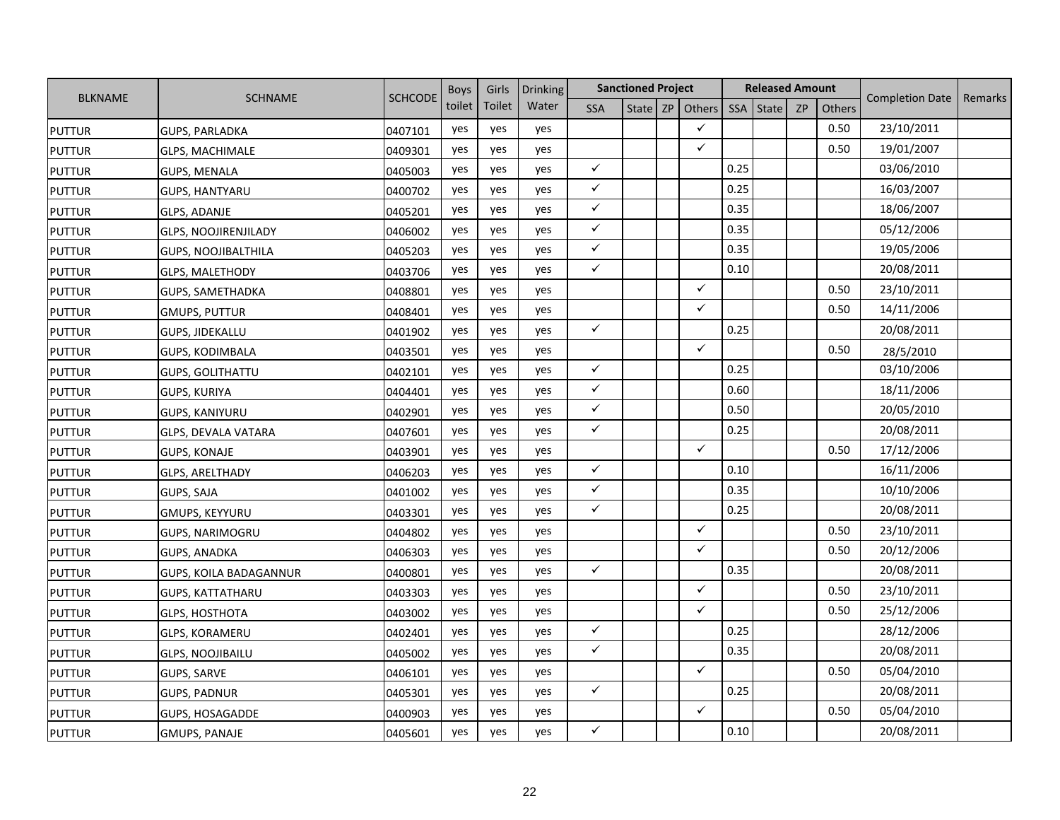|                |                               |                | <b>Boys</b> | Girls  | <b>Drinking</b> |              | <b>Sanctioned Project</b> |    |              |            | <b>Released Amount</b> |           |               |                        |         |
|----------------|-------------------------------|----------------|-------------|--------|-----------------|--------------|---------------------------|----|--------------|------------|------------------------|-----------|---------------|------------------------|---------|
| <b>BLKNAME</b> | <b>SCHNAME</b>                | <b>SCHCODE</b> | toilet      | Toilet | Water           | <b>SSA</b>   | State                     | ZP | Others       | <b>SSA</b> | State                  | <b>ZP</b> | <b>Others</b> | <b>Completion Date</b> | Remarks |
| <b>PUTTUR</b>  | <b>GUPS, PARLADKA</b>         | 0407101        | yes         | yes    | yes             |              |                           |    | $\checkmark$ |            |                        |           | 0.50          | 23/10/2011             |         |
| <b>PUTTUR</b>  | <b>GLPS, MACHIMALE</b>        | 0409301        | yes         | yes    | yes             |              |                           |    | ✓            |            |                        |           | 0.50          | 19/01/2007             |         |
| <b>PUTTUR</b>  | <b>GUPS, MENALA</b>           | 0405003        | yes         | yes    | yes             | $\checkmark$ |                           |    |              | 0.25       |                        |           |               | 03/06/2010             |         |
| <b>PUTTUR</b>  | <b>GUPS, HANTYARU</b>         | 0400702        | yes         | yes    | yes             | $\checkmark$ |                           |    |              | 0.25       |                        |           |               | 16/03/2007             |         |
| <b>PUTTUR</b>  | GLPS, ADANJE                  | 0405201        | yes         | yes    | yes             | $\checkmark$ |                           |    |              | 0.35       |                        |           |               | 18/06/2007             |         |
| <b>PUTTUR</b>  | <b>GLPS, NOOJIRENJILADY</b>   | 0406002        | yes         | yes    | yes             | $\checkmark$ |                           |    |              | 0.35       |                        |           |               | 05/12/2006             |         |
| <b>PUTTUR</b>  | <b>GUPS, NOOJIBALTHILA</b>    | 0405203        | yes         | yes    | yes             | $\checkmark$ |                           |    |              | 0.35       |                        |           |               | 19/05/2006             |         |
| <b>PUTTUR</b>  | <b>GLPS, MALETHODY</b>        | 0403706        | yes         | yes    | yes             | $\checkmark$ |                           |    |              | 0.10       |                        |           |               | 20/08/2011             |         |
| <b>PUTTUR</b>  | GUPS, SAMETHADKA              | 0408801        | yes         | yes    | yes             |              |                           |    | $\checkmark$ |            |                        |           | 0.50          | 23/10/2011             |         |
| <b>PUTTUR</b>  | <b>GMUPS, PUTTUR</b>          | 0408401        | yes         | yes    | yes             |              |                           |    | $\checkmark$ |            |                        |           | 0.50          | 14/11/2006             |         |
| <b>PUTTUR</b>  | <b>GUPS, JIDEKALLU</b>        | 0401902        | yes         | yes    | yes             | $\checkmark$ |                           |    |              | 0.25       |                        |           |               | 20/08/2011             |         |
| <b>PUTTUR</b>  | <b>GUPS, KODIMBALA</b>        | 0403501        | yes         | yes    | yes             |              |                           |    | $\checkmark$ |            |                        |           | 0.50          | 28/5/2010              |         |
| <b>PUTTUR</b>  | <b>GUPS, GOLITHATTU</b>       | 0402101        | yes         | yes    | yes             | $\checkmark$ |                           |    |              | 0.25       |                        |           |               | 03/10/2006             |         |
| <b>PUTTUR</b>  | GUPS, KURIYA                  | 0404401        | yes         | yes    | yes             | $\checkmark$ |                           |    |              | 0.60       |                        |           |               | 18/11/2006             |         |
| <b>PUTTUR</b>  | <b>GUPS, KANIYURU</b>         | 0402901        | yes         | yes    | yes             | $\checkmark$ |                           |    |              | 0.50       |                        |           |               | 20/05/2010             |         |
| <b>PUTTUR</b>  | <b>GLPS, DEVALA VATARA</b>    | 0407601        | yes         | yes    | yes             | $\checkmark$ |                           |    |              | 0.25       |                        |           |               | 20/08/2011             |         |
| <b>PUTTUR</b>  | <b>GUPS, KONAJE</b>           | 0403901        | yes         | yes    | yes             |              |                           |    | $\checkmark$ |            |                        |           | 0.50          | 17/12/2006             |         |
| <b>PUTTUR</b>  | GLPS, ARELTHADY               | 0406203        | yes         | yes    | yes             | $\checkmark$ |                           |    |              | 0.10       |                        |           |               | 16/11/2006             |         |
| <b>PUTTUR</b>  | <b>GUPS, SAJA</b>             | 0401002        | yes         | yes    | yes             | $\checkmark$ |                           |    |              | 0.35       |                        |           |               | 10/10/2006             |         |
| <b>PUTTUR</b>  | GMUPS, KEYYURU                | 0403301        | yes         | yes    | yes             | $\checkmark$ |                           |    |              | 0.25       |                        |           |               | 20/08/2011             |         |
| <b>PUTTUR</b>  | GUPS, NARIMOGRU               | 0404802        | yes         | yes    | yes             |              |                           |    | $\checkmark$ |            |                        |           | 0.50          | 23/10/2011             |         |
| <b>PUTTUR</b>  | <b>GUPS, ANADKA</b>           | 0406303        | yes         | yes    | yes             |              |                           |    | $\checkmark$ |            |                        |           | 0.50          | 20/12/2006             |         |
| <b>PUTTUR</b>  | <b>GUPS, KOILA BADAGANNUR</b> | 0400801        | yes         | yes    | yes             | $\checkmark$ |                           |    |              | 0.35       |                        |           |               | 20/08/2011             |         |
| <b>PUTTUR</b>  | <b>GUPS, KATTATHARU</b>       | 0403303        | yes         | yes    | yes             |              |                           |    | $\checkmark$ |            |                        |           | 0.50          | 23/10/2011             |         |
| <b>PUTTUR</b>  | <b>GLPS, HOSTHOTA</b>         | 0403002        | yes         | yes    | yes             |              |                           |    | $\checkmark$ |            |                        |           | 0.50          | 25/12/2006             |         |
| <b>PUTTUR</b>  | <b>GLPS, KORAMERU</b>         | 0402401        | yes         | yes    | yes             | $\checkmark$ |                           |    |              | 0.25       |                        |           |               | 28/12/2006             |         |
| <b>PUTTUR</b>  | <b>GLPS, NOOJIBAILU</b>       | 0405002        | yes         | yes    | yes             | $\checkmark$ |                           |    |              | 0.35       |                        |           |               | 20/08/2011             |         |
| <b>PUTTUR</b>  | <b>GUPS, SARVE</b>            | 0406101        | yes         | yes    | yes             |              |                           |    | $\checkmark$ |            |                        |           | 0.50          | 05/04/2010             |         |
| <b>PUTTUR</b>  | GUPS, PADNUR                  | 0405301        | yes         | yes    | yes             | $\checkmark$ |                           |    |              | 0.25       |                        |           |               | 20/08/2011             |         |
| <b>PUTTUR</b>  | GUPS, HOSAGADDE               | 0400903        | yes         | yes    | yes             |              |                           |    | $\checkmark$ |            |                        |           | 0.50          | 05/04/2010             |         |
| <b>PUTTUR</b>  | <b>GMUPS, PANAJE</b>          | 0405601        | yes         | yes    | yes             | $\checkmark$ |                           |    |              | 0.10       |                        |           |               | 20/08/2011             |         |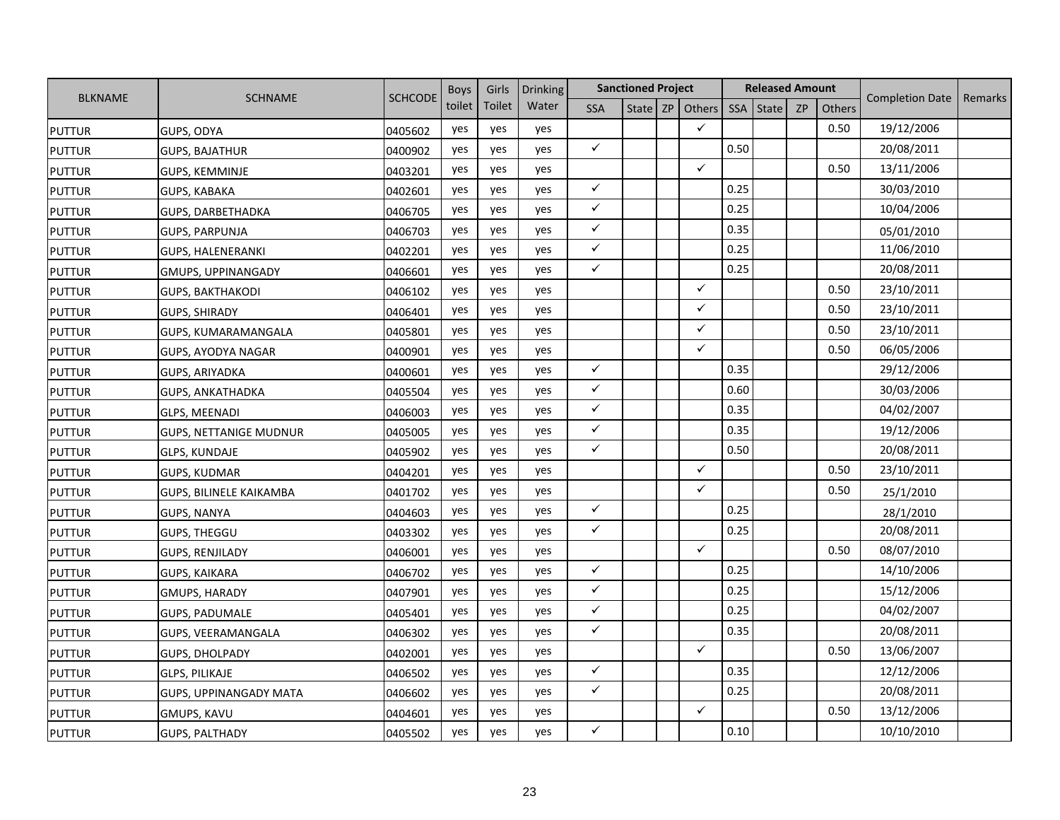|                |                               |                | <b>Boys</b> | Girls  | <b>Drinking</b> |              | <b>Sanctioned Project</b> |              |      | <b>Released Amount</b> |           |               |                        |         |
|----------------|-------------------------------|----------------|-------------|--------|-----------------|--------------|---------------------------|--------------|------|------------------------|-----------|---------------|------------------------|---------|
| <b>BLKNAME</b> | <b>SCHNAME</b>                | <b>SCHCODE</b> | toilet      | Toilet | Water           | <b>SSA</b>   | State   ZP                | Others       | SSA  | State                  | <b>ZP</b> | <b>Others</b> | <b>Completion Date</b> | Remarks |
| <b>PUTTUR</b>  | GUPS, ODYA                    | 0405602        | yes         | yes    | yes             |              |                           | $\checkmark$ |      |                        |           | 0.50          | 19/12/2006             |         |
| <b>PUTTUR</b>  | <b>GUPS, BAJATHUR</b>         | 0400902        | yes         | yes    | yes             | $\checkmark$ |                           |              | 0.50 |                        |           |               | 20/08/2011             |         |
| <b>PUTTUR</b>  | <b>GUPS, KEMMINJE</b>         | 0403201        | yes         | yes    | yes             |              |                           | $\checkmark$ |      |                        |           | 0.50          | 13/11/2006             |         |
| <b>PUTTUR</b>  | <b>GUPS, KABAKA</b>           | 0402601        | yes         | yes    | yes             | $\checkmark$ |                           |              | 0.25 |                        |           |               | 30/03/2010             |         |
| <b>PUTTUR</b>  | GUPS, DARBETHADKA             | 0406705        | yes         | yes    | yes             | $\checkmark$ |                           |              | 0.25 |                        |           |               | 10/04/2006             |         |
| <b>PUTTUR</b>  | <b>GUPS, PARPUNJA</b>         | 0406703        | yes         | yes    | yes             | $\checkmark$ |                           |              | 0.35 |                        |           |               | 05/01/2010             |         |
| <b>PUTTUR</b>  | GUPS, HALENERANKI             | 0402201        | yes         | yes    | yes             | $\checkmark$ |                           |              | 0.25 |                        |           |               | 11/06/2010             |         |
| <b>PUTTUR</b>  | <b>GMUPS, UPPINANGADY</b>     | 0406601        | yes         | yes    | yes             | $\checkmark$ |                           |              | 0.25 |                        |           |               | 20/08/2011             |         |
| <b>PUTTUR</b>  | <b>GUPS, BAKTHAKODI</b>       | 0406102        | yes         | yes    | yes             |              |                           | $\checkmark$ |      |                        |           | 0.50          | 23/10/2011             |         |
| <b>PUTTUR</b>  | <b>GUPS, SHIRADY</b>          | 0406401        | yes         | yes    | yes             |              |                           | $\checkmark$ |      |                        |           | 0.50          | 23/10/2011             |         |
| <b>PUTTUR</b>  | GUPS, KUMARAMANGALA           | 0405801        | yes         | yes    | yes             |              |                           | $\checkmark$ |      |                        |           | 0.50          | 23/10/2011             |         |
| <b>PUTTUR</b>  | GUPS, AYODYA NAGAR            | 0400901        | yes         | yes    | yes             |              |                           | $\checkmark$ |      |                        |           | 0.50          | 06/05/2006             |         |
| <b>PUTTUR</b>  | <b>GUPS, ARIYADKA</b>         | 0400601        | yes         | yes    | yes             | $\checkmark$ |                           |              | 0.35 |                        |           |               | 29/12/2006             |         |
| <b>PUTTUR</b>  | GUPS, ANKATHADKA              | 0405504        | yes         | yes    | yes             | $\checkmark$ |                           |              | 0.60 |                        |           |               | 30/03/2006             |         |
| <b>PUTTUR</b>  | GLPS, MEENADI                 | 0406003        | yes         | yes    | yes             | $\checkmark$ |                           |              | 0.35 |                        |           |               | 04/02/2007             |         |
| <b>PUTTUR</b>  | <b>GUPS, NETTANIGE MUDNUR</b> | 0405005        | yes         | yes    | yes             | $\checkmark$ |                           |              | 0.35 |                        |           |               | 19/12/2006             |         |
| <b>PUTTUR</b>  | <b>GLPS, KUNDAJE</b>          | 0405902        | yes         | yes    | yes             | $\checkmark$ |                           |              | 0.50 |                        |           |               | 20/08/2011             |         |
| <b>PUTTUR</b>  | <b>GUPS, KUDMAR</b>           | 0404201        | yes         | yes    | yes             |              |                           | $\checkmark$ |      |                        |           | 0.50          | 23/10/2011             |         |
| <b>PUTTUR</b>  | GUPS, BILINELE KAIKAMBA       | 0401702        | yes         | yes    | yes             |              |                           | $\checkmark$ |      |                        |           | 0.50          | 25/1/2010              |         |
| <b>PUTTUR</b>  | <b>GUPS, NANYA</b>            | 0404603        | yes         | yes    | yes             | $\checkmark$ |                           |              | 0.25 |                        |           |               | 28/1/2010              |         |
| <b>PUTTUR</b>  | <b>GUPS, THEGGU</b>           | 0403302        | yes         | yes    | yes             | $\checkmark$ |                           |              | 0.25 |                        |           |               | 20/08/2011             |         |
| <b>PUTTUR</b>  | <b>GUPS, RENJILADY</b>        | 0406001        | yes         | yes    | yes             |              |                           | $\checkmark$ |      |                        |           | 0.50          | 08/07/2010             |         |
| <b>PUTTUR</b>  | <b>GUPS, KAIKARA</b>          | 0406702        | yes         | yes    | yes             | $\checkmark$ |                           |              | 0.25 |                        |           |               | 14/10/2006             |         |
| <b>PUTTUR</b>  | GMUPS, HARADY                 | 0407901        | yes         | yes    | yes             | $\checkmark$ |                           |              | 0.25 |                        |           |               | 15/12/2006             |         |
| <b>PUTTUR</b>  | <b>GUPS, PADUMALE</b>         | 0405401        | yes         | yes    | yes             | $\checkmark$ |                           |              | 0.25 |                        |           |               | 04/02/2007             |         |
| <b>PUTTUR</b>  | GUPS, VEERAMANGALA            | 0406302        | yes         | yes    | yes             | $\checkmark$ |                           |              | 0.35 |                        |           |               | 20/08/2011             |         |
| <b>PUTTUR</b>  | <b>GUPS, DHOLPADY</b>         | 0402001        | yes         | yes    | yes             |              |                           | $\checkmark$ |      |                        |           | 0.50          | 13/06/2007             |         |
| <b>PUTTUR</b>  | <b>GLPS, PILIKAJE</b>         | 0406502        | yes         | yes    | yes             | $\checkmark$ |                           |              | 0.35 |                        |           |               | 12/12/2006             |         |
| <b>PUTTUR</b>  | <b>GUPS, UPPINANGADY MATA</b> | 0406602        | yes         | yes    | yes             | $\checkmark$ |                           |              | 0.25 |                        |           |               | 20/08/2011             |         |
| <b>PUTTUR</b>  | GMUPS, KAVU                   | 0404601        | yes         | yes    | yes             |              |                           | $\checkmark$ |      |                        |           | 0.50          | 13/12/2006             |         |
| <b>PUTTUR</b>  | <b>GUPS, PALTHADY</b>         | 0405502        | yes         | yes    | yes             | $\checkmark$ |                           |              | 0.10 |                        |           |               | 10/10/2010             |         |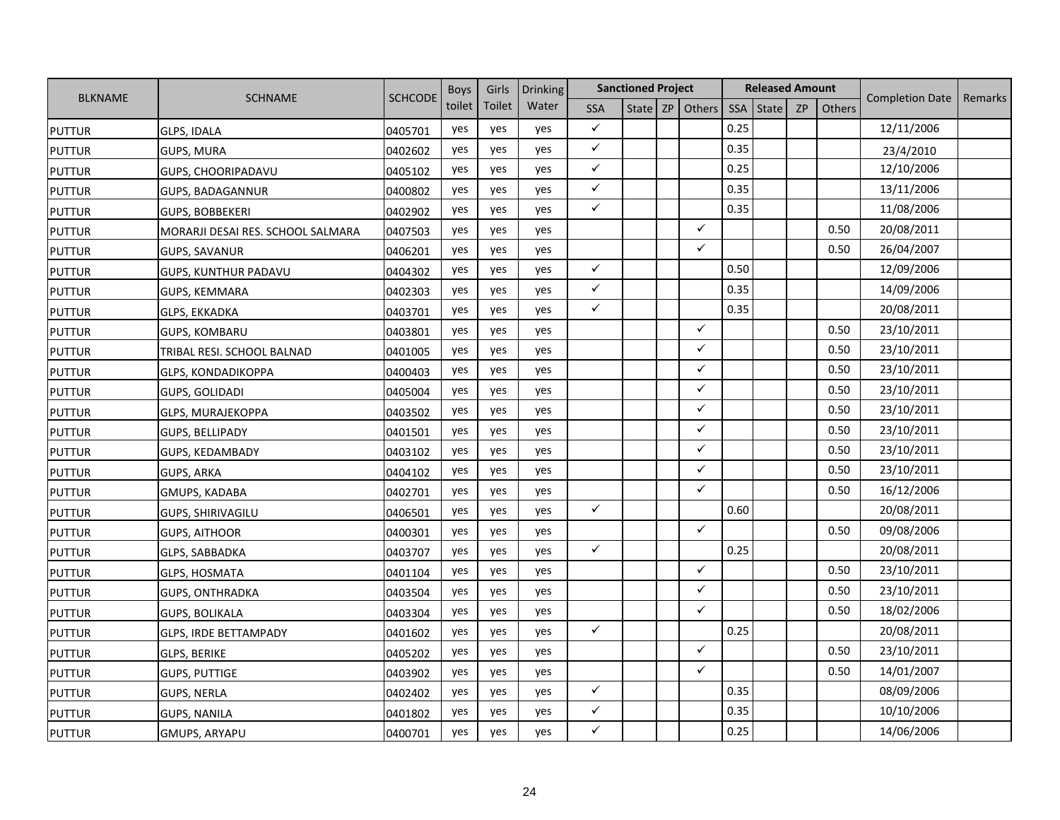|                |                                   |                | <b>Boys</b> | Girls  | <b>Drinking</b> |              | <b>Sanctioned Project</b> |                   |            | <b>Released Amount</b> |           |        |                        |         |
|----------------|-----------------------------------|----------------|-------------|--------|-----------------|--------------|---------------------------|-------------------|------------|------------------------|-----------|--------|------------------------|---------|
| <b>BLKNAME</b> | <b>SCHNAME</b>                    | <b>SCHCODE</b> | toilet      | Toilet | Water           | <b>SSA</b>   |                           | State $ZP$ Others | <b>SSA</b> | <b>State</b>           | <b>ZP</b> | Others | <b>Completion Date</b> | Remarks |
| <b>PUTTUR</b>  | <b>GLPS, IDALA</b>                | 0405701        | yes         | yes    | yes             | $\checkmark$ |                           |                   | 0.25       |                        |           |        | 12/11/2006             |         |
| <b>PUTTUR</b>  | <b>GUPS, MURA</b>                 | 0402602        | yes         | yes    | yes             | $\checkmark$ |                           |                   | 0.35       |                        |           |        | 23/4/2010              |         |
| <b>PUTTUR</b>  | GUPS, CHOORIPADAVU                | 0405102        | yes         | yes    | yes             | $\checkmark$ |                           |                   | 0.25       |                        |           |        | 12/10/2006             |         |
| <b>PUTTUR</b>  | <b>GUPS, BADAGANNUR</b>           | 0400802        | yes         | yes    | yes             | $\checkmark$ |                           |                   | 0.35       |                        |           |        | 13/11/2006             |         |
| <b>PUTTUR</b>  | <b>GUPS, BOBBEKERI</b>            | 0402902        | yes         | yes    | yes             | $\checkmark$ |                           |                   | 0.35       |                        |           |        | 11/08/2006             |         |
| <b>PUTTUR</b>  | MORARJI DESAI RES. SCHOOL SALMARA | 0407503        | yes         | yes    | yes             |              |                           | $\checkmark$      |            |                        |           | 0.50   | 20/08/2011             |         |
| <b>PUTTUR</b>  | <b>GUPS, SAVANUR</b>              | 0406201        | yes         | yes    | yes             |              |                           | $\checkmark$      |            |                        |           | 0.50   | 26/04/2007             |         |
| <b>PUTTUR</b>  | <b>GUPS, KUNTHUR PADAVU</b>       | 0404302        | yes         | yes    | yes             | $\checkmark$ |                           |                   | 0.50       |                        |           |        | 12/09/2006             |         |
| <b>PUTTUR</b>  | GUPS, KEMMARA                     | 0402303        | yes         | yes    | yes             | $\checkmark$ |                           |                   | 0.35       |                        |           |        | 14/09/2006             |         |
| <b>PUTTUR</b>  | GLPS, EKKADKA                     | 0403701        | yes         | yes    | yes             | $\checkmark$ |                           |                   | 0.35       |                        |           |        | 20/08/2011             |         |
| <b>PUTTUR</b>  | <b>GUPS, KOMBARU</b>              | 0403801        | yes         | yes    | yes             |              |                           | $\checkmark$      |            |                        |           | 0.50   | 23/10/2011             |         |
| <b>PUTTUR</b>  | TRIBAL RESI. SCHOOL BALNAD        | 0401005        | yes         | yes    | yes             |              |                           | $\checkmark$      |            |                        |           | 0.50   | 23/10/2011             |         |
| <b>PUTTUR</b>  | <b>GLPS, KONDADIKOPPA</b>         | 0400403        | yes         | yes    | yes             |              |                           | $\checkmark$      |            |                        |           | 0.50   | 23/10/2011             |         |
| <b>PUTTUR</b>  | GUPS, GOLIDADI                    | 0405004        | yes         | yes    | yes             |              |                           | $\checkmark$      |            |                        |           | 0.50   | 23/10/2011             |         |
| <b>PUTTUR</b>  | <b>GLPS, MURAJEKOPPA</b>          | 0403502        | yes         | yes    | yes             |              |                           | $\checkmark$      |            |                        |           | 0.50   | 23/10/2011             |         |
| <b>PUTTUR</b>  | GUPS, BELLIPADY                   | 0401501        | yes         | yes    | yes             |              |                           | $\checkmark$      |            |                        |           | 0.50   | 23/10/2011             |         |
| <b>PUTTUR</b>  | GUPS, KEDAMBADY                   | 0403102        | yes         | yes    | yes             |              |                           | $\checkmark$      |            |                        |           | 0.50   | 23/10/2011             |         |
| <b>PUTTUR</b>  | <b>GUPS, ARKA</b>                 | 0404102        | yes         | yes    | yes             |              |                           | $\checkmark$      |            |                        |           | 0.50   | 23/10/2011             |         |
| <b>PUTTUR</b>  | GMUPS, KADABA                     | 0402701        | yes         | yes    | yes             |              |                           | $\checkmark$      |            |                        |           | 0.50   | 16/12/2006             |         |
| <b>PUTTUR</b>  | <b>GUPS, SHIRIVAGILU</b>          | 0406501        | yes         | yes    | yes             | $\checkmark$ |                           |                   | 0.60       |                        |           |        | 20/08/2011             |         |
| <b>PUTTUR</b>  | <b>GUPS, AITHOOR</b>              | 0400301        | yes         | yes    | yes             |              |                           | $\checkmark$      |            |                        |           | 0.50   | 09/08/2006             |         |
| <b>PUTTUR</b>  | GLPS, SABBADKA                    | 0403707        | yes         | yes    | yes             | $\checkmark$ |                           |                   | 0.25       |                        |           |        | 20/08/2011             |         |
| <b>PUTTUR</b>  | <b>GLPS, HOSMATA</b>              | 0401104        | yes         | yes    | yes             |              |                           | $\checkmark$      |            |                        |           | 0.50   | 23/10/2011             |         |
| <b>PUTTUR</b>  | <b>GUPS, ONTHRADKA</b>            | 0403504        | yes         | yes    | yes             |              |                           | $\checkmark$      |            |                        |           | 0.50   | 23/10/2011             |         |
| <b>PUTTUR</b>  | GUPS, BOLIKALA                    | 0403304        | yes         | yes    | yes             |              |                           | $\checkmark$      |            |                        |           | 0.50   | 18/02/2006             |         |
| <b>PUTTUR</b>  | <b>GLPS, IRDE BETTAMPADY</b>      | 0401602        | yes         | yes    | yes             | $\checkmark$ |                           |                   | 0.25       |                        |           |        | 20/08/2011             |         |
| <b>PUTTUR</b>  | <b>GLPS, BERIKE</b>               | 0405202        | yes         | yes    | yes             |              |                           | $\checkmark$      |            |                        |           | 0.50   | 23/10/2011             |         |
| <b>PUTTUR</b>  | <b>GUPS, PUTTIGE</b>              | 0403902        | yes         | yes    | yes             |              |                           | $\checkmark$      |            |                        |           | 0.50   | 14/01/2007             |         |
| <b>PUTTUR</b>  | <b>GUPS, NERLA</b>                | 0402402        | yes         | yes    | yes             | $\checkmark$ |                           |                   | 0.35       |                        |           |        | 08/09/2006             |         |
| <b>PUTTUR</b>  | <b>GUPS, NANILA</b>               | 0401802        | yes         | yes    | yes             | $\checkmark$ |                           |                   | 0.35       |                        |           |        | 10/10/2006             |         |
| <b>PUTTUR</b>  | <b>GMUPS, ARYAPU</b>              | 0400701        | yes         | yes    | yes             | $\checkmark$ |                           |                   | 0.25       |                        |           |        | 14/06/2006             |         |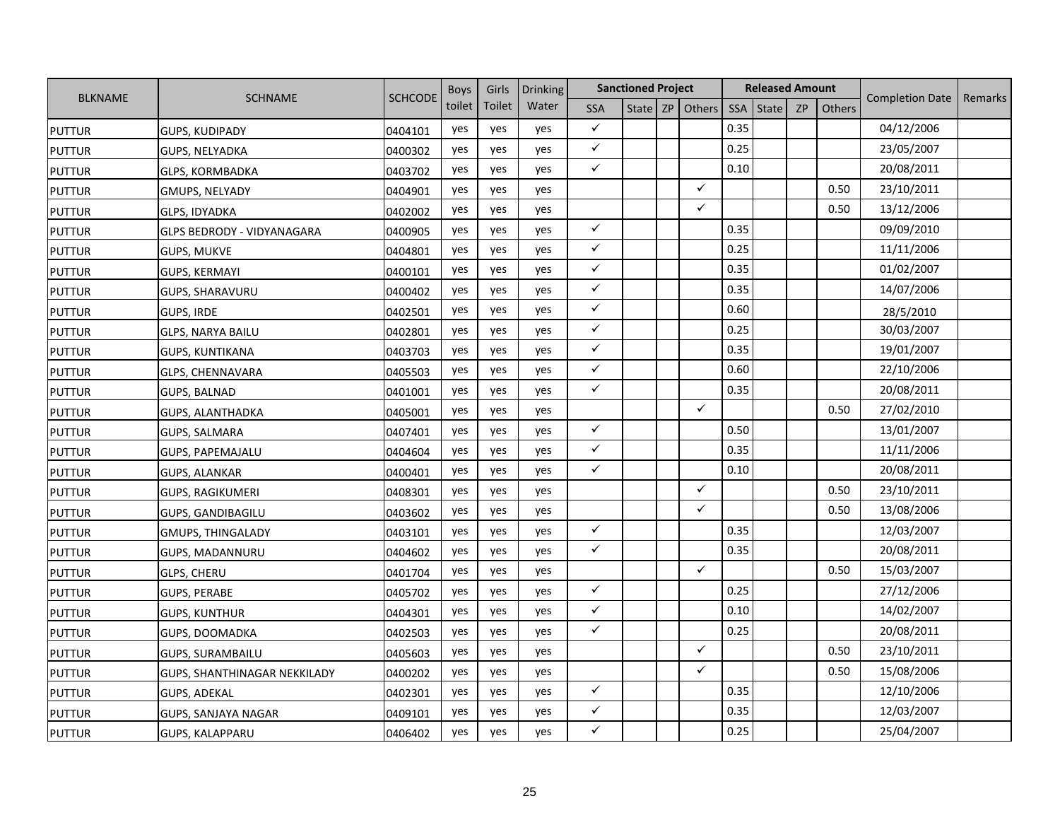|                |                              | <b>SCHCODE</b> | <b>Boys</b> | Girls  | <b>Drinking</b> |              | <b>Sanctioned Project</b> |                   |      | <b>Released Amount</b> |           |        | <b>Completion Date</b> |         |
|----------------|------------------------------|----------------|-------------|--------|-----------------|--------------|---------------------------|-------------------|------|------------------------|-----------|--------|------------------------|---------|
| <b>BLKNAME</b> | <b>SCHNAME</b>               |                | toilet      | Toilet | Water           | <b>SSA</b>   |                           | State $ZP$ Others | SSA  | <b>State</b>           | <b>ZP</b> | Others |                        | Remarks |
| <b>PUTTUR</b>  | GUPS, KUDIPADY               | 0404101        | yes         | yes    | yes             | $\checkmark$ |                           |                   | 0.35 |                        |           |        | 04/12/2006             |         |
| <b>PUTTUR</b>  | GUPS, NELYADKA               | 0400302        | yes         | yes    | yes             | $\checkmark$ |                           |                   | 0.25 |                        |           |        | 23/05/2007             |         |
| <b>PUTTUR</b>  | <b>GLPS, KORMBADKA</b>       | 0403702        | yes         | yes    | yes             | $\checkmark$ |                           |                   | 0.10 |                        |           |        | 20/08/2011             |         |
| <b>PUTTUR</b>  | GMUPS, NELYADY               | 0404901        | yes         | yes    | yes             |              |                           | $\checkmark$      |      |                        |           | 0.50   | 23/10/2011             |         |
| <b>PUTTUR</b>  | GLPS, IDYADKA                | 0402002        | yes         | yes    | yes             |              |                           | $\checkmark$      |      |                        |           | 0.50   | 13/12/2006             |         |
| <b>PUTTUR</b>  | GLPS BEDRODY - VIDYANAGARA   | 0400905        | yes         | yes    | yes             | $\checkmark$ |                           |                   | 0.35 |                        |           |        | 09/09/2010             |         |
| <b>PUTTUR</b>  | <b>GUPS, MUKVE</b>           | 0404801        | yes         | yes    | yes             | $\checkmark$ |                           |                   | 0.25 |                        |           |        | 11/11/2006             |         |
| <b>PUTTUR</b>  | <b>GUPS, KERMAYI</b>         | 0400101        | yes         | yes    | yes             | $\checkmark$ |                           |                   | 0.35 |                        |           |        | 01/02/2007             |         |
| <b>PUTTUR</b>  | GUPS, SHARAVURU              | 0400402        | yes         | yes    | yes             | $\checkmark$ |                           |                   | 0.35 |                        |           |        | 14/07/2006             |         |
| <b>PUTTUR</b>  | <b>GUPS, IRDE</b>            | 0402501        | yes         | yes    | yes             | $\checkmark$ |                           |                   | 0.60 |                        |           |        | 28/5/2010              |         |
| <b>PUTTUR</b>  | <b>GLPS, NARYA BAILU</b>     | 0402801        | yes         | yes    | yes             | $\checkmark$ |                           |                   | 0.25 |                        |           |        | 30/03/2007             |         |
| <b>PUTTUR</b>  | <b>GUPS, KUNTIKANA</b>       | 0403703        | yes         | yes    | yes             | $\checkmark$ |                           |                   | 0.35 |                        |           |        | 19/01/2007             |         |
| <b>PUTTUR</b>  | GLPS, CHENNAVARA             | 0405503        | yes         | yes    | yes             | $\checkmark$ |                           |                   | 0.60 |                        |           |        | 22/10/2006             |         |
| <b>PUTTUR</b>  | GUPS, BALNAD                 | 0401001        | yes         | yes    | yes             | $\checkmark$ |                           |                   | 0.35 |                        |           |        | 20/08/2011             |         |
| <b>PUTTUR</b>  | <b>GUPS, ALANTHADKA</b>      | 0405001        | yes         | yes    | yes             |              |                           | $\checkmark$      |      |                        |           | 0.50   | 27/02/2010             |         |
| <b>PUTTUR</b>  | GUPS, SALMARA                | 0407401        | yes         | yes    | yes             | $\checkmark$ |                           |                   | 0.50 |                        |           |        | 13/01/2007             |         |
| <b>PUTTUR</b>  | GUPS, PAPEMAJALU             | 0404604        | yes         | yes    | yes             | $\checkmark$ |                           |                   | 0.35 |                        |           |        | 11/11/2006             |         |
| <b>PUTTUR</b>  | <b>GUPS, ALANKAR</b>         | 0400401        | yes         | yes    | yes             | $\checkmark$ |                           |                   | 0.10 |                        |           |        | 20/08/2011             |         |
| <b>PUTTUR</b>  | <b>GUPS, RAGIKUMERI</b>      | 0408301        | yes         | yes    | yes             |              |                           | $\checkmark$      |      |                        |           | 0.50   | 23/10/2011             |         |
| <b>PUTTUR</b>  | <b>GUPS, GANDIBAGILU</b>     | 0403602        | yes         | yes    | yes             |              |                           | $\checkmark$      |      |                        |           | 0.50   | 13/08/2006             |         |
| <b>PUTTUR</b>  | GMUPS, THINGALADY            | 0403101        | yes         | yes    | yes             | $\checkmark$ |                           |                   | 0.35 |                        |           |        | 12/03/2007             |         |
| <b>PUTTUR</b>  | <b>GUPS, MADANNURU</b>       | 0404602        | yes         | yes    | yes             | $\checkmark$ |                           |                   | 0.35 |                        |           |        | 20/08/2011             |         |
| <b>PUTTUR</b>  | <b>GLPS, CHERU</b>           | 0401704        | yes         | yes    | yes             |              |                           | $\checkmark$      |      |                        |           | 0.50   | 15/03/2007             |         |
| <b>PUTTUR</b>  | <b>GUPS, PERABE</b>          | 0405702        | yes         | yes    | yes             | $\checkmark$ |                           |                   | 0.25 |                        |           |        | 27/12/2006             |         |
| <b>PUTTUR</b>  | <b>GUPS, KUNTHUR</b>         | 0404301        | yes         | yes    | yes             | $\checkmark$ |                           |                   | 0.10 |                        |           |        | 14/02/2007             |         |
| <b>PUTTUR</b>  | GUPS, DOOMADKA               | 0402503        | yes         | yes    | yes             | $\checkmark$ |                           |                   | 0.25 |                        |           |        | 20/08/2011             |         |
| <b>PUTTUR</b>  | <b>GUPS, SURAMBAILU</b>      | 0405603        | yes         | yes    | yes             |              |                           | $\checkmark$      |      |                        |           | 0.50   | 23/10/2011             |         |
| <b>PUTTUR</b>  | GUPS, SHANTHINAGAR NEKKILADY | 0400202        | yes         | yes    | yes             |              |                           | $\checkmark$      |      |                        |           | 0.50   | 15/08/2006             |         |
| <b>PUTTUR</b>  | GUPS, ADEKAL                 | 0402301        | yes         | yes    | yes             | $\checkmark$ |                           |                   | 0.35 |                        |           |        | 12/10/2006             |         |
| <b>PUTTUR</b>  | GUPS, SANJAYA NAGAR          | 0409101        | yes         | yes    | yes             | $\checkmark$ |                           |                   | 0.35 |                        |           |        | 12/03/2007             |         |
| <b>PUTTUR</b>  | <b>GUPS, KALAPPARU</b>       | 0406402        | yes         | yes    | yes             | $\checkmark$ |                           |                   | 0.25 |                        |           |        | 25/04/2007             |         |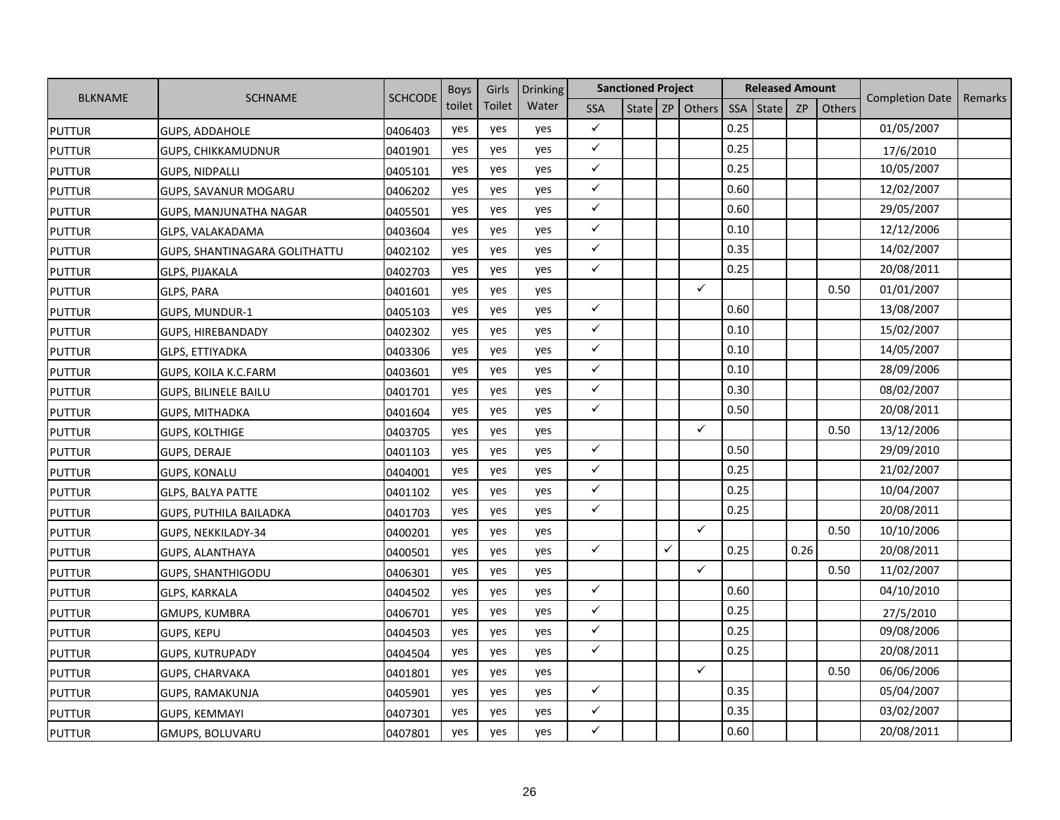|                |                               |                | <b>Boys</b> | Girls  | <b>Drinking</b> |              | <b>Sanctioned Project</b> |   |              |      | <b>Released Amount</b> |           |        |                        |         |
|----------------|-------------------------------|----------------|-------------|--------|-----------------|--------------|---------------------------|---|--------------|------|------------------------|-----------|--------|------------------------|---------|
| <b>BLKNAME</b> | <b>SCHNAME</b>                | <b>SCHCODE</b> | toilet      | Toilet | Water           | <b>SSA</b>   | State                     |   | $ZP$ Others  | SSA  | <b>State</b>           | <b>ZP</b> | Others | <b>Completion Date</b> | Remarks |
| <b>PUTTUR</b>  | <b>GUPS, ADDAHOLE</b>         | 0406403        | yes         | yes    | yes             | $\checkmark$ |                           |   |              | 0.25 |                        |           |        | 01/05/2007             |         |
| <b>PUTTUR</b>  | <b>GUPS, CHIKKAMUDNUR</b>     | 0401901        | yes         | yes    | yes             | $\checkmark$ |                           |   |              | 0.25 |                        |           |        | 17/6/2010              |         |
| <b>PUTTUR</b>  | <b>GUPS, NIDPALLI</b>         | 0405101        | yes         | yes    | yes             | $\checkmark$ |                           |   |              | 0.25 |                        |           |        | 10/05/2007             |         |
| <b>PUTTUR</b>  | <b>GUPS, SAVANUR MOGARU</b>   | 0406202        | yes         | yes    | yes             | $\checkmark$ |                           |   |              | 0.60 |                        |           |        | 12/02/2007             |         |
| <b>PUTTUR</b>  | GUPS, MANJUNATHA NAGAR        | 0405501        | yes         | yes    | yes             | $\checkmark$ |                           |   |              | 0.60 |                        |           |        | 29/05/2007             |         |
| <b>PUTTUR</b>  | GLPS, VALAKADAMA              | 0403604        | yes         | yes    | yes             | $\checkmark$ |                           |   |              | 0.10 |                        |           |        | 12/12/2006             |         |
| <b>PUTTUR</b>  | GUPS, SHANTINAGARA GOLITHATTU | 0402102        | yes         | yes    | yes             | $\checkmark$ |                           |   |              | 0.35 |                        |           |        | 14/02/2007             |         |
| <b>PUTTUR</b>  | <b>GLPS, PIJAKALA</b>         | 0402703        | yes         | yes    | yes             | $\checkmark$ |                           |   |              | 0.25 |                        |           |        | 20/08/2011             |         |
| <b>PUTTUR</b>  | GLPS, PARA                    | 0401601        | yes         | yes    | yes             |              |                           |   | $\checkmark$ |      |                        |           | 0.50   | 01/01/2007             |         |
| <b>PUTTUR</b>  | GUPS, MUNDUR-1                | 0405103        | yes         | yes    | yes             | $\checkmark$ |                           |   |              | 0.60 |                        |           |        | 13/08/2007             |         |
| <b>PUTTUR</b>  | <b>GUPS, HIREBANDADY</b>      | 0402302        | yes         | yes    | yes             | $\checkmark$ |                           |   |              | 0.10 |                        |           |        | 15/02/2007             |         |
| <b>PUTTUR</b>  | <b>GLPS, ETTIYADKA</b>        | 0403306        | yes         | yes    | yes             | $\checkmark$ |                           |   |              | 0.10 |                        |           |        | 14/05/2007             |         |
| <b>PUTTUR</b>  | GUPS, KOILA K.C.FARM          | 0403601        | yes         | yes    | yes             | $\checkmark$ |                           |   |              | 0.10 |                        |           |        | 28/09/2006             |         |
| <b>PUTTUR</b>  | <b>GUPS, BILINELE BAILU</b>   | 0401701        | yes         | yes    | yes             | $\checkmark$ |                           |   |              | 0.30 |                        |           |        | 08/02/2007             |         |
| <b>PUTTUR</b>  | <b>GUPS, MITHADKA</b>         | 0401604        | yes         | yes    | yes             | $\checkmark$ |                           |   |              | 0.50 |                        |           |        | 20/08/2011             |         |
| <b>PUTTUR</b>  | <b>GUPS, KOLTHIGE</b>         | 0403705        | yes         | yes    | yes             |              |                           |   | $\checkmark$ |      |                        |           | 0.50   | 13/12/2006             |         |
| <b>PUTTUR</b>  | GUPS, DERAJE                  | 0401103        | yes         | yes    | yes             | $\checkmark$ |                           |   |              | 0.50 |                        |           |        | 29/09/2010             |         |
| <b>PUTTUR</b>  | <b>GUPS, KONALU</b>           | 0404001        | yes         | yes    | yes             | $\checkmark$ |                           |   |              | 0.25 |                        |           |        | 21/02/2007             |         |
| <b>PUTTUR</b>  | <b>GLPS, BALYA PATTE</b>      | 0401102        | yes         | yes    | yes             | $\checkmark$ |                           |   |              | 0.25 |                        |           |        | 10/04/2007             |         |
| <b>PUTTUR</b>  | <b>GUPS, PUTHILA BAILADKA</b> | 0401703        | yes         | yes    | yes             | $\checkmark$ |                           |   |              | 0.25 |                        |           |        | 20/08/2011             |         |
| <b>PUTTUR</b>  | GUPS, NEKKILADY-34            | 0400201        | yes         | yes    | yes             |              |                           |   | $\checkmark$ |      |                        |           | 0.50   | 10/10/2006             |         |
| <b>PUTTUR</b>  | GUPS, ALANTHAYA               | 0400501        | yes         | yes    | yes             | $\checkmark$ |                           | ✓ |              | 0.25 |                        | 0.26      |        | 20/08/2011             |         |
| <b>PUTTUR</b>  | <b>GUPS, SHANTHIGODU</b>      | 0406301        | yes         | yes    | yes             |              |                           |   | $\checkmark$ |      |                        |           | 0.50   | 11/02/2007             |         |
| <b>PUTTUR</b>  | <b>GLPS, KARKALA</b>          | 0404502        | yes         | yes    | yes             | $\checkmark$ |                           |   |              | 0.60 |                        |           |        | 04/10/2010             |         |
| <b>PUTTUR</b>  | <b>GMUPS, KUMBRA</b>          | 0406701        | yes         | yes    | yes             | $\checkmark$ |                           |   |              | 0.25 |                        |           |        | 27/5/2010              |         |
| <b>PUTTUR</b>  | <b>GUPS, KEPU</b>             | 0404503        | yes         | yes    | yes             | $\checkmark$ |                           |   |              | 0.25 |                        |           |        | 09/08/2006             |         |
| <b>PUTTUR</b>  | <b>GUPS, KUTRUPADY</b>        | 0404504        | yes         | yes    | yes             | $\checkmark$ |                           |   |              | 0.25 |                        |           |        | 20/08/2011             |         |
| <b>PUTTUR</b>  | GUPS, CHARVAKA                | 0401801        | yes         | yes    | yes             |              |                           |   | $\checkmark$ |      |                        |           | 0.50   | 06/06/2006             |         |
| <b>PUTTUR</b>  | GUPS, RAMAKUNJA               | 0405901        | yes         | yes    | yes             | $\checkmark$ |                           |   |              | 0.35 |                        |           |        | 05/04/2007             |         |
| <b>PUTTUR</b>  | <b>GUPS, KEMMAYI</b>          | 0407301        | yes         | yes    | yes             | $\checkmark$ |                           |   |              | 0.35 |                        |           |        | 03/02/2007             |         |
| <b>PUTTUR</b>  | GMUPS, BOLUVARU               | 0407801        | yes         | yes    | yes             | $\checkmark$ |                           |   |              | 0.60 |                        |           |        | 20/08/2011             |         |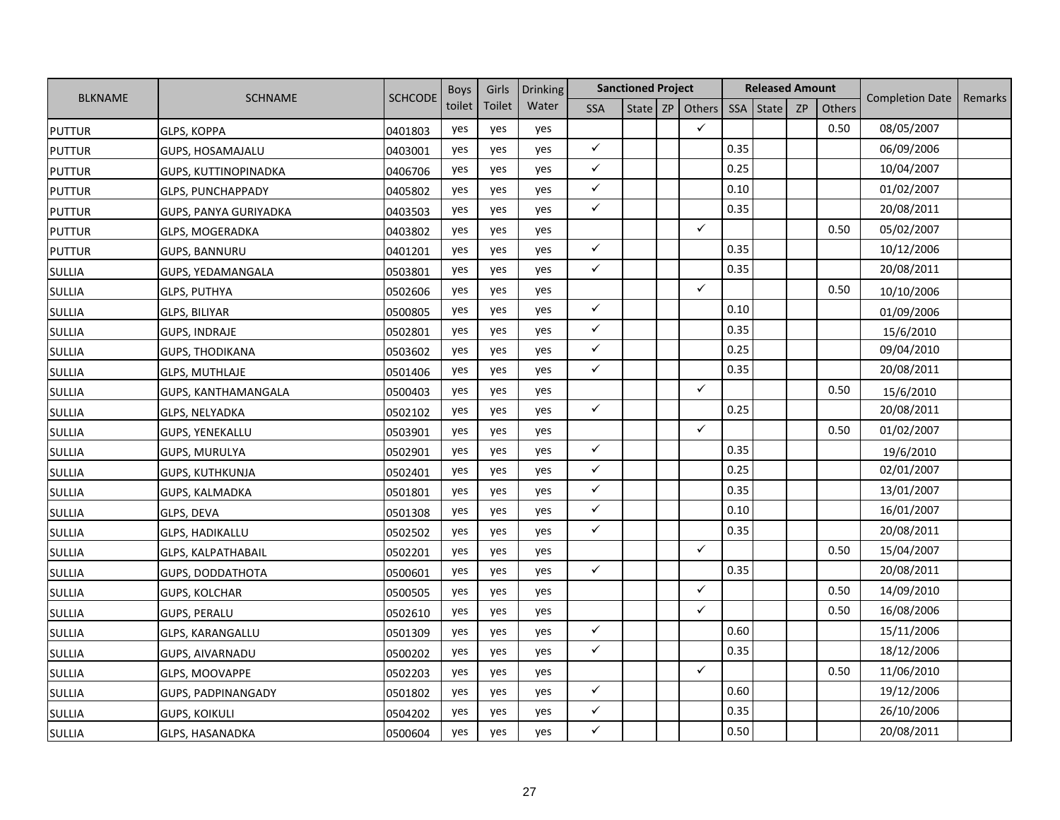|                |                             |                | <b>Boys</b> | Girls  | <b>Drinking</b> |              | <b>Sanctioned Project</b> |    |              | <b>Released Amount</b> |       |           |               | <b>Completion Date</b> |         |
|----------------|-----------------------------|----------------|-------------|--------|-----------------|--------------|---------------------------|----|--------------|------------------------|-------|-----------|---------------|------------------------|---------|
| <b>BLKNAME</b> | <b>SCHNAME</b>              | <b>SCHCODE</b> | toilet      | Toilet | Water           | <b>SSA</b>   | State                     | ZP | Others       | <b>SSA</b>             | State | <b>ZP</b> | <b>Others</b> |                        | Remarks |
| <b>PUTTUR</b>  | <b>GLPS, KOPPA</b>          | 0401803        | yes         | yes    | yes             |              |                           |    | $\checkmark$ |                        |       |           | 0.50          | 08/05/2007             |         |
| <b>PUTTUR</b>  | <b>GUPS, HOSAMAJALU</b>     | 0403001        | yes         | yes    | yes             | $\checkmark$ |                           |    |              | 0.35                   |       |           |               | 06/09/2006             |         |
| <b>PUTTUR</b>  | <b>GUPS, KUTTINOPINADKA</b> | 0406706        | yes         | yes    | yes             | $\checkmark$ |                           |    |              | 0.25                   |       |           |               | 10/04/2007             |         |
| <b>PUTTUR</b>  | <b>GLPS, PUNCHAPPADY</b>    | 0405802        | yes         | yes    | yes             | $\checkmark$ |                           |    |              | 0.10                   |       |           |               | 01/02/2007             |         |
| <b>PUTTUR</b>  | GUPS, PANYA GURIYADKA       | 0403503        | yes         | yes    | yes             | $\checkmark$ |                           |    |              | 0.35                   |       |           |               | 20/08/2011             |         |
| <b>PUTTUR</b>  | <b>GLPS, MOGERADKA</b>      | 0403802        | yes         | yes    | yes             |              |                           |    | $\checkmark$ |                        |       |           | 0.50          | 05/02/2007             |         |
| <b>PUTTUR</b>  | <b>GUPS, BANNURU</b>        | 0401201        | yes         | yes    | yes             | $\checkmark$ |                           |    |              | 0.35                   |       |           |               | 10/12/2006             |         |
| <b>SULLIA</b>  | GUPS, YEDAMANGALA           | 0503801        | yes         | yes    | yes             | $\checkmark$ |                           |    |              | 0.35                   |       |           |               | 20/08/2011             |         |
| SULLIA         | GLPS, PUTHYA                | 0502606        | yes         | yes    | yes             |              |                           |    | $\checkmark$ |                        |       |           | 0.50          | 10/10/2006             |         |
| SULLIA         | GLPS, BILIYAR               | 0500805        | yes         | yes    | yes             | $\checkmark$ |                           |    |              | 0.10                   |       |           |               | 01/09/2006             |         |
| <b>SULLIA</b>  | <b>GUPS, INDRAJE</b>        | 0502801        | yes         | yes    | yes             | $\checkmark$ |                           |    |              | 0.35                   |       |           |               | 15/6/2010              |         |
| <b>SULLIA</b>  | <b>GUPS, THODIKANA</b>      | 0503602        | yes         | yes    | yes             | $\checkmark$ |                           |    |              | 0.25                   |       |           |               | 09/04/2010             |         |
| <b>SULLIA</b>  | <b>GLPS, MUTHLAJE</b>       | 0501406        | yes         | yes    | yes             | $\checkmark$ |                           |    |              | 0.35                   |       |           |               | 20/08/2011             |         |
| <b>SULLIA</b>  | GUPS, KANTHAMANGALA         | 0500403        | yes         | yes    | yes             |              |                           |    | $\checkmark$ |                        |       |           | 0.50          | 15/6/2010              |         |
| <b>SULLIA</b>  | <b>GLPS, NELYADKA</b>       | 0502102        | yes         | yes    | yes             | $\checkmark$ |                           |    |              | 0.25                   |       |           |               | 20/08/2011             |         |
| <b>SULLIA</b>  | <b>GUPS, YENEKALLU</b>      | 0503901        | yes         | yes    | yes             |              |                           |    | $\checkmark$ |                        |       |           | 0.50          | 01/02/2007             |         |
| <b>SULLIA</b>  | <b>GUPS, MURULYA</b>        | 0502901        | yes         | yes    | yes             | $\checkmark$ |                           |    |              | 0.35                   |       |           |               | 19/6/2010              |         |
| <b>SULLIA</b>  | <b>GUPS, KUTHKUNJA</b>      | 0502401        | yes         | yes    | yes             | $\checkmark$ |                           |    |              | 0.25                   |       |           |               | 02/01/2007             |         |
| <b>SULLIA</b>  | <b>GUPS, KALMADKA</b>       | 0501801        | yes         | yes    | yes             | $\checkmark$ |                           |    |              | 0.35                   |       |           |               | 13/01/2007             |         |
| <b>SULLIA</b>  | GLPS, DEVA                  | 0501308        | yes         | yes    | yes             | $\checkmark$ |                           |    |              | 0.10                   |       |           |               | 16/01/2007             |         |
| <b>SULLIA</b>  | GLPS, HADIKALLU             | 0502502        | yes         | yes    | yes             | $\checkmark$ |                           |    |              | 0.35                   |       |           |               | 20/08/2011             |         |
| <b>SULLIA</b>  | <b>GLPS, KALPATHABAIL</b>   | 0502201        | yes         | yes    | yes             |              |                           |    | $\checkmark$ |                        |       |           | 0.50          | 15/04/2007             |         |
| <b>SULLIA</b>  | <b>GUPS, DODDATHOTA</b>     | 0500601        | yes         | yes    | yes             | $\checkmark$ |                           |    |              | 0.35                   |       |           |               | 20/08/2011             |         |
| <b>SULLIA</b>  | <b>GUPS, KOLCHAR</b>        | 0500505        | yes         | yes    | yes             |              |                           |    | $\checkmark$ |                        |       |           | 0.50          | 14/09/2010             |         |
| <b>SULLIA</b>  | <b>GUPS, PERALU</b>         | 0502610        | yes         | yes    | yes             |              |                           |    | $\checkmark$ |                        |       |           | 0.50          | 16/08/2006             |         |
| <b>SULLIA</b>  | GLPS, KARANGALLU            | 0501309        | yes         | yes    | yes             | $\checkmark$ |                           |    |              | 0.60                   |       |           |               | 15/11/2006             |         |
| <b>SULLIA</b>  | GUPS, AIVARNADU             | 0500202        | yes         | yes    | yes             | $\checkmark$ |                           |    |              | 0.35                   |       |           |               | 18/12/2006             |         |
| <b>SULLIA</b>  | GLPS, MOOVAPPE              | 0502203        | yes         | yes    | yes             |              |                           |    | $\checkmark$ |                        |       |           | 0.50          | 11/06/2010             |         |
| <b>SULLIA</b>  | GUPS, PADPINANGADY          | 0501802        | yes         | yes    | yes             | $\checkmark$ |                           |    |              | 0.60                   |       |           |               | 19/12/2006             |         |
| <b>SULLIA</b>  | <b>GUPS, KOIKULI</b>        | 0504202        | yes         | yes    | yes             | $\checkmark$ |                           |    |              | 0.35                   |       |           |               | 26/10/2006             |         |
| <b>SULLIA</b>  | <b>GLPS, HASANADKA</b>      | 0500604        | yes         | yes    | yes             | ✓            |                           |    |              | 0.50                   |       |           |               | 20/08/2011             |         |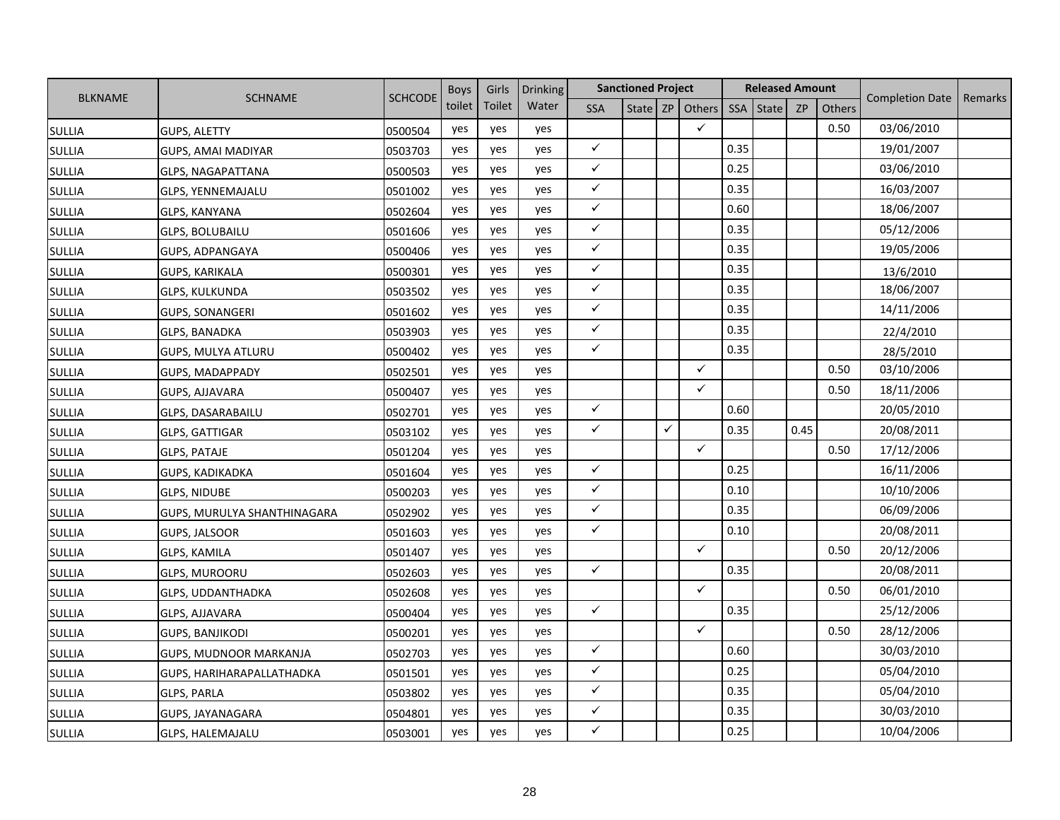|                |                             |                | <b>Boys</b> | Girls  | <b>Drinking</b> |              | <b>Sanctioned Project</b> |   |                   | <b>Released Amount</b> |       |           |        | <b>Completion Date</b> |         |
|----------------|-----------------------------|----------------|-------------|--------|-----------------|--------------|---------------------------|---|-------------------|------------------------|-------|-----------|--------|------------------------|---------|
| <b>BLKNAME</b> | <b>SCHNAME</b>              | <b>SCHCODE</b> | toilet      | Toilet | Water           | <b>SSA</b>   |                           |   | State $ZP$ Others | SSA                    | State | <b>ZP</b> | Others |                        | Remarks |
| <b>SULLIA</b>  | <b>GUPS, ALETTY</b>         | 0500504        | yes         | yes    | yes             |              |                           |   | $\checkmark$      |                        |       |           | 0.50   | 03/06/2010             |         |
| <b>SULLIA</b>  | GUPS, AMAI MADIYAR          | 0503703        | yes         | yes    | yes             | $\checkmark$ |                           |   |                   | 0.35                   |       |           |        | 19/01/2007             |         |
| <b>SULLIA</b>  | <b>GLPS, NAGAPATTANA</b>    | 0500503        | yes         | yes    | yes             | $\checkmark$ |                           |   |                   | 0.25                   |       |           |        | 03/06/2010             |         |
| <b>SULLIA</b>  | GLPS, YENNEMAJALU           | 0501002        | yes         | yes    | yes             | $\checkmark$ |                           |   |                   | 0.35                   |       |           |        | 16/03/2007             |         |
| <b>SULLIA</b>  | GLPS, KANYANA               | 0502604        | yes         | yes    | yes             | $\checkmark$ |                           |   |                   | 0.60                   |       |           |        | 18/06/2007             |         |
| <b>SULLIA</b>  | GLPS, BOLUBAILU             | 0501606        | yes         | yes    | yes             | $\checkmark$ |                           |   |                   | 0.35                   |       |           |        | 05/12/2006             |         |
| <b>SULLIA</b>  | GUPS, ADPANGAYA             | 0500406        | yes         | yes    | yes             | $\checkmark$ |                           |   |                   | 0.35                   |       |           |        | 19/05/2006             |         |
| <b>SULLIA</b>  | <b>GUPS, KARIKALA</b>       | 0500301        | yes         | yes    | yes             | $\checkmark$ |                           |   |                   | 0.35                   |       |           |        | 13/6/2010              |         |
| <b>SULLIA</b>  | GLPS, KULKUNDA              | 0503502        | yes         | yes    | yes             | $\checkmark$ |                           |   |                   | 0.35                   |       |           |        | 18/06/2007             |         |
| <b>SULLIA</b>  | <b>GUPS, SONANGERI</b>      | 0501602        | yes         | yes    | yes             | $\checkmark$ |                           |   |                   | 0.35                   |       |           |        | 14/11/2006             |         |
| <b>SULLIA</b>  | <b>GLPS, BANADKA</b>        | 0503903        | yes         | yes    | yes             | $\checkmark$ |                           |   |                   | 0.35                   |       |           |        | 22/4/2010              |         |
| <b>SULLIA</b>  | <b>GUPS, MULYA ATLURU</b>   | 0500402        | yes         | yes    | yes             | $\checkmark$ |                           |   |                   | 0.35                   |       |           |        | 28/5/2010              |         |
| <b>SULLIA</b>  | GUPS, MADAPPADY             | 0502501        | yes         | yes    | yes             |              |                           |   | $\checkmark$      |                        |       |           | 0.50   | 03/10/2006             |         |
| <b>SULLIA</b>  | GUPS, AJJAVARA              | 0500407        | yes         | yes    | yes             |              |                           |   | ✓                 |                        |       |           | 0.50   | 18/11/2006             |         |
| <b>SULLIA</b>  | <b>GLPS, DASARABAILU</b>    | 0502701        | yes         | yes    | yes             | $\checkmark$ |                           |   |                   | 0.60                   |       |           |        | 20/05/2010             |         |
| <b>SULLIA</b>  | <b>GLPS, GATTIGAR</b>       | 0503102        | yes         | yes    | yes             | $\checkmark$ |                           | ✓ |                   | 0.35                   |       | 0.45      |        | 20/08/2011             |         |
| <b>SULLIA</b>  | <b>GLPS, PATAJE</b>         | 0501204        | yes         | yes    | yes             |              |                           |   | $\checkmark$      |                        |       |           | 0.50   | 17/12/2006             |         |
| <b>SULLIA</b>  | GUPS, KADIKADKA             | 0501604        | yes         | yes    | yes             | $\checkmark$ |                           |   |                   | 0.25                   |       |           |        | 16/11/2006             |         |
| <b>SULLIA</b>  | <b>GLPS, NIDUBE</b>         | 0500203        | yes         | yes    | yes             | $\checkmark$ |                           |   |                   | 0.10                   |       |           |        | 10/10/2006             |         |
| <b>SULLIA</b>  | GUPS, MURULYA SHANTHINAGARA | 0502902        | yes         | yes    | yes             | $\checkmark$ |                           |   |                   | 0.35                   |       |           |        | 06/09/2006             |         |
| <b>SULLIA</b>  | <b>GUPS, JALSOOR</b>        | 0501603        | yes         | yes    | yes             | $\checkmark$ |                           |   |                   | 0.10                   |       |           |        | 20/08/2011             |         |
| <b>SULLIA</b>  | GLPS, KAMILA                | 0501407        | yes         | yes    | yes             |              |                           |   | ✓                 |                        |       |           | 0.50   | 20/12/2006             |         |
| <b>SULLIA</b>  | <b>GLPS, MUROORU</b>        | 0502603        | yes         | yes    | yes             | $\checkmark$ |                           |   |                   | 0.35                   |       |           |        | 20/08/2011             |         |
| <b>SULLIA</b>  | <b>GLPS, UDDANTHADKA</b>    | 0502608        | yes         | yes    | yes             |              |                           |   | $\checkmark$      |                        |       |           | 0.50   | 06/01/2010             |         |
| <b>SULLIA</b>  | GLPS, AJJAVARA              | 0500404        | yes         | yes    | yes             | $\checkmark$ |                           |   |                   | 0.35                   |       |           |        | 25/12/2006             |         |
| <b>SULLIA</b>  | <b>GUPS, BANJIKODI</b>      | 0500201        | yes         | yes    | yes             |              |                           |   | $\checkmark$      |                        |       |           | 0.50   | 28/12/2006             |         |
| <b>SULLIA</b>  | GUPS, MUDNOOR MARKANJA      | 0502703        | yes         | yes    | yes             | $\checkmark$ |                           |   |                   | 0.60                   |       |           |        | 30/03/2010             |         |
| <b>SULLIA</b>  | GUPS, HARIHARAPALLATHADKA   | 0501501        | yes         | yes    | yes             | $\checkmark$ |                           |   |                   | 0.25                   |       |           |        | 05/04/2010             |         |
| <b>SULLIA</b>  | GLPS, PARLA                 | 0503802        | yes         | yes    | yes             | $\checkmark$ |                           |   |                   | 0.35                   |       |           |        | 05/04/2010             |         |
| <b>SULLIA</b>  | GUPS, JAYANAGARA            | 0504801        | yes         | yes    | yes             | $\checkmark$ |                           |   |                   | 0.35                   |       |           |        | 30/03/2010             |         |
| <b>SULLIA</b>  | <b>GLPS, HALEMAJALU</b>     | 0503001        | yes         | yes    | yes             | $\checkmark$ |                           |   |                   | 0.25                   |       |           |        | 10/04/2006             |         |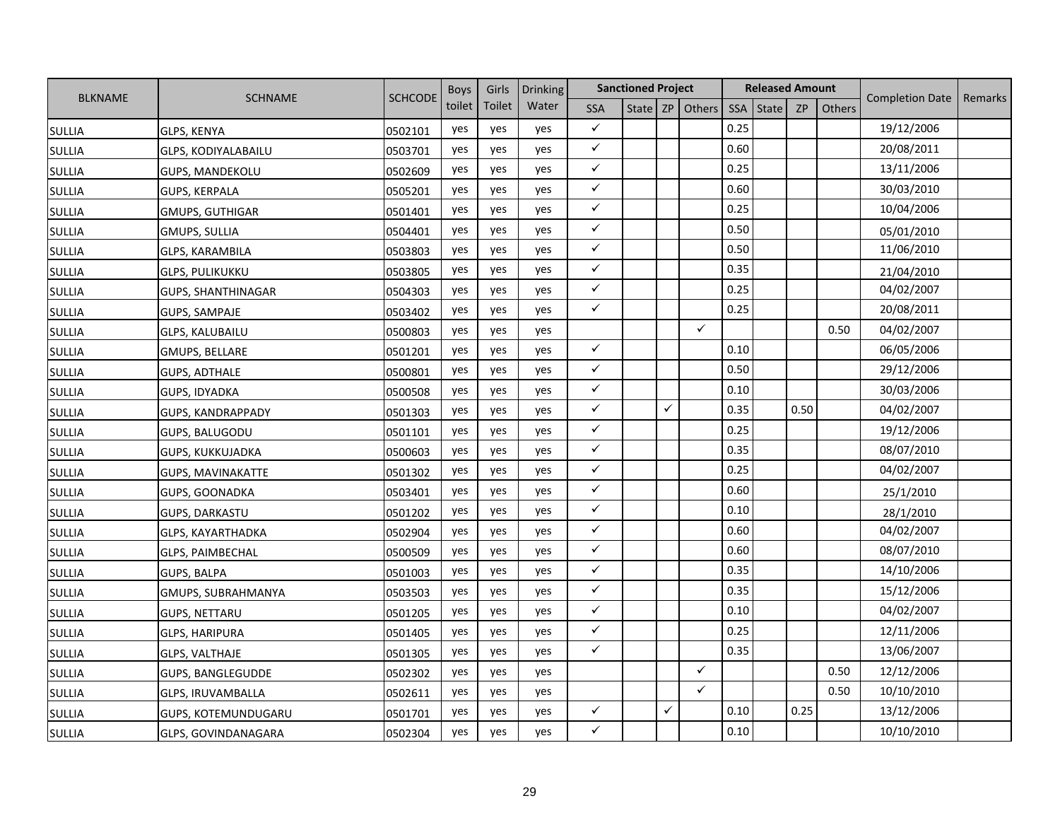|                |                           |                | <b>Boys</b> | Girls  | <b>Drinking</b> |              | <b>Sanctioned Project</b> |   |                     |      | <b>Released Amount</b> |           |        | <b>Completion Date</b> |         |
|----------------|---------------------------|----------------|-------------|--------|-----------------|--------------|---------------------------|---|---------------------|------|------------------------|-----------|--------|------------------------|---------|
| <b>BLKNAME</b> | <b>SCHNAME</b>            | <b>SCHCODE</b> | toilet      | Toilet | Water           | <b>SSA</b>   |                           |   | State   ZP   Others | SSA  | <b>State</b>           | <b>ZP</b> | Others |                        | Remarks |
| <b>SULLIA</b>  | <b>GLPS, KENYA</b>        | 0502101        | yes         | yes    | yes             | $\checkmark$ |                           |   |                     | 0.25 |                        |           |        | 19/12/2006             |         |
| <b>SULLIA</b>  | GLPS, KODIYALABAILU       | 0503701        | yes         | yes    | yes             | $\checkmark$ |                           |   |                     | 0.60 |                        |           |        | 20/08/2011             |         |
| <b>SULLIA</b>  | <b>GUPS, MANDEKOLU</b>    | 0502609        | yes         | yes    | yes             | $\checkmark$ |                           |   |                     | 0.25 |                        |           |        | 13/11/2006             |         |
| <b>SULLIA</b>  | <b>GUPS, KERPALA</b>      | 0505201        | yes         | yes    | yes             | $\checkmark$ |                           |   |                     | 0.60 |                        |           |        | 30/03/2010             |         |
| <b>SULLIA</b>  | GMUPS, GUTHIGAR           | 0501401        | yes         | yes    | yes             | $\checkmark$ |                           |   |                     | 0.25 |                        |           |        | 10/04/2006             |         |
| <b>SULLIA</b>  | GMUPS, SULLIA             | 0504401        | yes         | yes    | yes             | $\checkmark$ |                           |   |                     | 0.50 |                        |           |        | 05/01/2010             |         |
| <b>SULLIA</b>  | <b>GLPS, KARAMBILA</b>    | 0503803        | yes         | yes    | yes             | $\checkmark$ |                           |   |                     | 0.50 |                        |           |        | 11/06/2010             |         |
| <b>SULLIA</b>  | <b>GLPS, PULIKUKKU</b>    | 0503805        | yes         | yes    | yes             | $\checkmark$ |                           |   |                     | 0.35 |                        |           |        | 21/04/2010             |         |
| <b>SULLIA</b>  | <b>GUPS, SHANTHINAGAR</b> | 0504303        | yes         | yes    | yes             | $\checkmark$ |                           |   |                     | 0.25 |                        |           |        | 04/02/2007             |         |
| <b>SULLIA</b>  | <b>GUPS, SAMPAJE</b>      | 0503402        | yes         | yes    | yes             | $\checkmark$ |                           |   |                     | 0.25 |                        |           |        | 20/08/2011             |         |
| <b>SULLIA</b>  | <b>GLPS, KALUBAILU</b>    | 0500803        | yes         | yes    | yes             |              |                           |   | $\checkmark$        |      |                        |           | 0.50   | 04/02/2007             |         |
| <b>SULLIA</b>  | GMUPS, BELLARE            | 0501201        | yes         | yes    | yes             | $\checkmark$ |                           |   |                     | 0.10 |                        |           |        | 06/05/2006             |         |
| <b>SULLIA</b>  | <b>GUPS, ADTHALE</b>      | 0500801        | yes         | yes    | yes             | $\checkmark$ |                           |   |                     | 0.50 |                        |           |        | 29/12/2006             |         |
| <b>SULLIA</b>  | GUPS, IDYADKA             | 0500508        | yes         | yes    | yes             | $\checkmark$ |                           |   |                     | 0.10 |                        |           |        | 30/03/2006             |         |
| <b>SULLIA</b>  | GUPS, KANDRAPPADY         | 0501303        | yes         | yes    | yes             | $\checkmark$ |                           | ✓ |                     | 0.35 |                        | 0.50      |        | 04/02/2007             |         |
| <b>SULLIA</b>  | <b>GUPS, BALUGODU</b>     | 0501101        | yes         | yes    | yes             | $\checkmark$ |                           |   |                     | 0.25 |                        |           |        | 19/12/2006             |         |
| <b>SULLIA</b>  | GUPS, KUKKUJADKA          | 0500603        | yes         | yes    | yes             | $\checkmark$ |                           |   |                     | 0.35 |                        |           |        | 08/07/2010             |         |
| <b>SULLIA</b>  | <b>GUPS, MAVINAKATTE</b>  | 0501302        | yes         | yes    | yes             | $\checkmark$ |                           |   |                     | 0.25 |                        |           |        | 04/02/2007             |         |
| <b>SULLIA</b>  | <b>GUPS, GOONADKA</b>     | 0503401        | yes         | yes    | yes             | $\checkmark$ |                           |   |                     | 0.60 |                        |           |        | 25/1/2010              |         |
| <b>SULLIA</b>  | <b>GUPS, DARKASTU</b>     | 0501202        | yes         | yes    | yes             | $\checkmark$ |                           |   |                     | 0.10 |                        |           |        | 28/1/2010              |         |
| <b>SULLIA</b>  | GLPS, KAYARTHADKA         | 0502904        | yes         | yes    | yes             | $\checkmark$ |                           |   |                     | 0.60 |                        |           |        | 04/02/2007             |         |
| <b>SULLIA</b>  | GLPS, PAIMBECHAL          | 0500509        | yes         | yes    | yes             | $\checkmark$ |                           |   |                     | 0.60 |                        |           |        | 08/07/2010             |         |
| <b>SULLIA</b>  | <b>GUPS, BALPA</b>        | 0501003        | yes         | yes    | yes             | $\checkmark$ |                           |   |                     | 0.35 |                        |           |        | 14/10/2006             |         |
| <b>SULLIA</b>  | GMUPS, SUBRAHMANYA        | 0503503        | yes         | yes    | yes             | $\checkmark$ |                           |   |                     | 0.35 |                        |           |        | 15/12/2006             |         |
| <b>SULLIA</b>  | <b>GUPS, NETTARU</b>      | 0501205        | yes         | yes    | yes             | $\checkmark$ |                           |   |                     | 0.10 |                        |           |        | 04/02/2007             |         |
| <b>SULLIA</b>  | <b>GLPS, HARIPURA</b>     | 0501405        | yes         | yes    | yes             | $\checkmark$ |                           |   |                     | 0.25 |                        |           |        | 12/11/2006             |         |
| <b>SULLIA</b>  | <b>GLPS, VALTHAJE</b>     | 0501305        | yes         | yes    | yes             | $\checkmark$ |                           |   |                     | 0.35 |                        |           |        | 13/06/2007             |         |
| <b>SULLIA</b>  | <b>GUPS, BANGLEGUDDE</b>  | 0502302        | yes         | yes    | yes             |              |                           |   | ✓                   |      |                        |           | 0.50   | 12/12/2006             |         |
| <b>SULLIA</b>  | GLPS, IRUVAMBALLA         | 0502611        | yes         | yes    | yes             |              |                           |   | ✓                   |      |                        |           | 0.50   | 10/10/2010             |         |
| <b>SULLIA</b>  | GUPS, KOTEMUNDUGARU       | 0501701        | yes         | yes    | yes             | $\checkmark$ |                           | ✓ |                     | 0.10 |                        | 0.25      |        | 13/12/2006             |         |
| <b>SULLIA</b>  | GLPS, GOVINDANAGARA       | 0502304        | yes         | yes    | yes             | $\checkmark$ |                           |   |                     | 0.10 |                        |           |        | 10/10/2010             |         |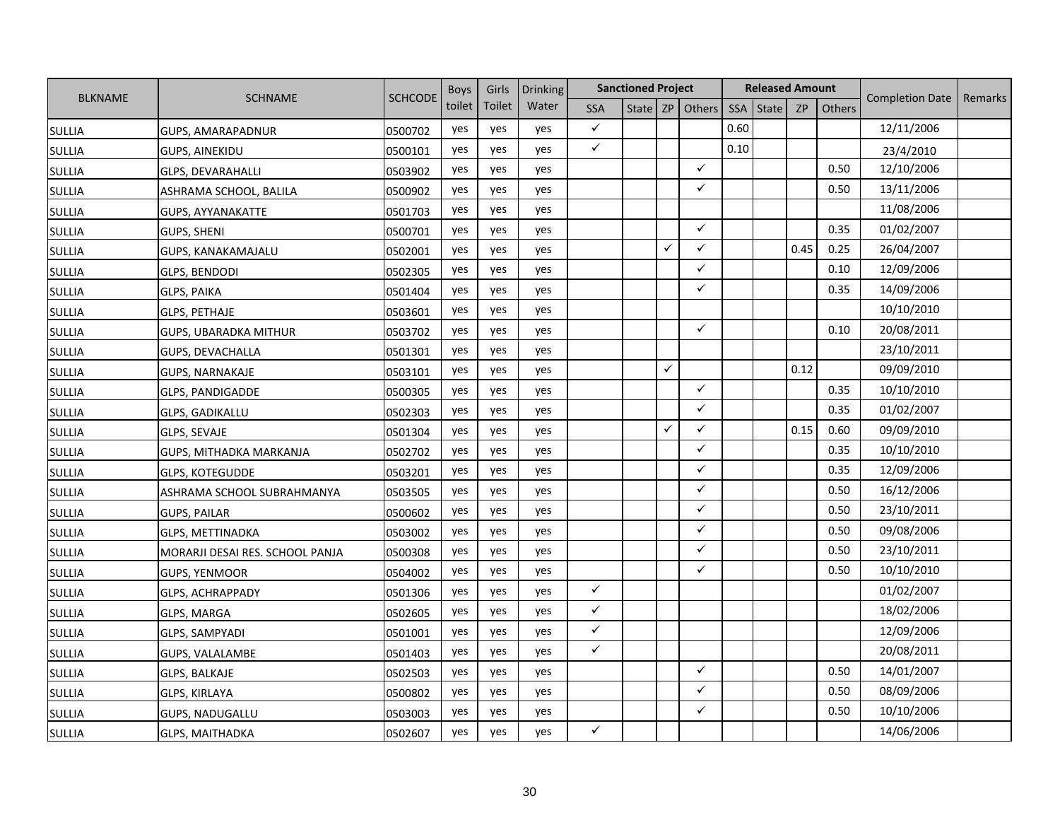|                |                                 |                | <b>Boys</b> | Girls  | Drinking |              | <b>Sanctioned Project</b> |              |                     |            | <b>Released Amount</b> |      |        | <b>Completion Date</b> | Remarks |
|----------------|---------------------------------|----------------|-------------|--------|----------|--------------|---------------------------|--------------|---------------------|------------|------------------------|------|--------|------------------------|---------|
| <b>BLKNAME</b> | <b>SCHNAME</b>                  | <b>SCHCODE</b> | toilet      | Toilet | Water    | <b>SSA</b>   |                           |              | State   ZP   Others | <b>SSA</b> | <b>State</b>           | ZP   | Others |                        |         |
| <b>SULLIA</b>  | GUPS, AMARAPADNUR               | 0500702        | yes         | yes    | yes      | $\checkmark$ |                           |              |                     | 0.60       |                        |      |        | 12/11/2006             |         |
| <b>SULLIA</b>  | <b>GUPS, AINEKIDU</b>           | 0500101        | yes         | yes    | yes      | $\checkmark$ |                           |              |                     | 0.10       |                        |      |        | 23/4/2010              |         |
| <b>SULLIA</b>  | <b>GLPS, DEVARAHALLI</b>        | 0503902        | yes         | yes    | yes      |              |                           |              | ✓                   |            |                        |      | 0.50   | 12/10/2006             |         |
| <b>SULLIA</b>  | ASHRAMA SCHOOL, BALILA          | 0500902        | yes         | yes    | yes      |              |                           |              | ✓                   |            |                        |      | 0.50   | 13/11/2006             |         |
| <b>SULLIA</b>  | <b>GUPS, AYYANAKATTE</b>        | 0501703        | yes         | yes    | yes      |              |                           |              |                     |            |                        |      |        | 11/08/2006             |         |
| <b>SULLIA</b>  | GUPS, SHENI                     | 0500701        | yes         | yes    | yes      |              |                           |              | ✓                   |            |                        |      | 0.35   | 01/02/2007             |         |
| <b>SULLIA</b>  | <b>GUPS, KANAKAMAJALU</b>       | 0502001        | yes         | yes    | yes      |              |                           | ✓            | ✓                   |            |                        | 0.45 | 0.25   | 26/04/2007             |         |
| <b>SULLIA</b>  | GLPS, BENDODI                   | 0502305        | yes         | yes    | yes      |              |                           |              | ✓                   |            |                        |      | 0.10   | 12/09/2006             |         |
| <b>SULLIA</b>  | <b>GLPS, PAIKA</b>              | 0501404        | yes         | yes    | yes      |              |                           |              | $\checkmark$        |            |                        |      | 0.35   | 14/09/2006             |         |
| <b>SULLIA</b>  | <b>GLPS, PETHAJE</b>            | 0503601        | yes         | yes    | yes      |              |                           |              |                     |            |                        |      |        | 10/10/2010             |         |
| <b>SULLIA</b>  | <b>GUPS, UBARADKA MITHUR</b>    | 0503702        | yes         | yes    | yes      |              |                           |              | $\checkmark$        |            |                        |      | 0.10   | 20/08/2011             |         |
| <b>SULLIA</b>  | GUPS, DEVACHALLA                | 0501301        | yes         | yes    | yes      |              |                           |              |                     |            |                        |      |        | 23/10/2011             |         |
| <b>SULLIA</b>  | <b>GUPS, NARNAKAJE</b>          | 0503101        | yes         | yes    | yes      |              |                           | $\checkmark$ |                     |            |                        | 0.12 |        | 09/09/2010             |         |
| <b>SULLIA</b>  | <b>GLPS, PANDIGADDE</b>         | 0500305        | yes         | yes    | yes      |              |                           |              | ✓                   |            |                        |      | 0.35   | 10/10/2010             |         |
| <b>SULLIA</b>  | <b>GLPS, GADIKALLU</b>          | 0502303        | yes         | yes    | yes      |              |                           |              | ✓                   |            |                        |      | 0.35   | 01/02/2007             |         |
| <b>SULLIA</b>  | <b>GLPS, SEVAJE</b>             | 0501304        | yes         | yes    | yes      |              |                           | ✓            | ✓                   |            |                        | 0.15 | 0.60   | 09/09/2010             |         |
| <b>SULLIA</b>  | GUPS, MITHADKA MARKANJA         | 0502702        | yes         | yes    | yes      |              |                           |              | ✓                   |            |                        |      | 0.35   | 10/10/2010             |         |
| <b>SULLIA</b>  | <b>GLPS, KOTEGUDDE</b>          | 0503201        | yes         | yes    | yes      |              |                           |              | ✓                   |            |                        |      | 0.35   | 12/09/2006             |         |
| <b>SULLIA</b>  | ASHRAMA SCHOOL SUBRAHMANYA      | 0503505        | yes         | yes    | yes      |              |                           |              | ✓                   |            |                        |      | 0.50   | 16/12/2006             |         |
| <b>SULLIA</b>  | <b>GUPS, PAILAR</b>             | 0500602        | yes         | yes    | yes      |              |                           |              | ✓                   |            |                        |      | 0.50   | 23/10/2011             |         |
| <b>SULLIA</b>  | GLPS, METTINADKA                | 0503002        | yes         | yes    | yes      |              |                           |              | ✓                   |            |                        |      | 0.50   | 09/08/2006             |         |
| <b>SULLIA</b>  | MORARJI DESAI RES. SCHOOL PANJA | 0500308        | yes         | yes    | yes      |              |                           |              | ✓                   |            |                        |      | 0.50   | 23/10/2011             |         |
| <b>SULLIA</b>  | <b>GUPS, YENMOOR</b>            | 0504002        | yes         | yes    | yes      |              |                           |              | ✓                   |            |                        |      | 0.50   | 10/10/2010             |         |
| <b>SULLIA</b>  | <b>GLPS, ACHRAPPADY</b>         | 0501306        | yes         | yes    | yes      | $\checkmark$ |                           |              |                     |            |                        |      |        | 01/02/2007             |         |
| <b>SULLIA</b>  | GLPS, MARGA                     | 0502605        | yes         | yes    | yes      | $\checkmark$ |                           |              |                     |            |                        |      |        | 18/02/2006             |         |
| <b>SULLIA</b>  | GLPS, SAMPYADI                  | 0501001        | yes         | yes    | yes      | $\checkmark$ |                           |              |                     |            |                        |      |        | 12/09/2006             |         |
| <b>SULLIA</b>  | GUPS, VALALAMBE                 | 0501403        | yes         | yes    | yes      | $\checkmark$ |                           |              |                     |            |                        |      |        | 20/08/2011             |         |
| <b>SULLIA</b>  | <b>GLPS, BALKAJE</b>            | 0502503        | yes         | yes    | yes      |              |                           |              | ✓                   |            |                        |      | 0.50   | 14/01/2007             |         |
| <b>SULLIA</b>  | GLPS, KIRLAYA                   | 0500802        | yes         | yes    | yes      |              |                           |              | ✓                   |            |                        |      | 0.50   | 08/09/2006             |         |
| <b>SULLIA</b>  | GUPS, NADUGALLU                 | 0503003        | yes         | yes    | yes      |              |                           |              | ✓                   |            |                        |      | 0.50   | 10/10/2006             |         |
| <b>SULLIA</b>  | <b>GLPS, MAITHADKA</b>          | 0502607        | yes         | yes    | yes      | ✓            |                           |              |                     |            |                        |      |        | 14/06/2006             |         |